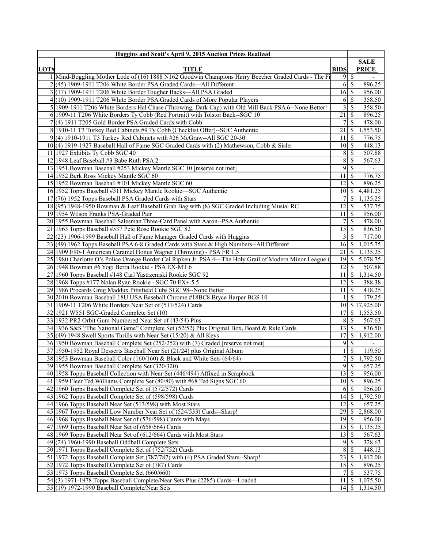|      | Huggins and Scott's April 9, 2015 Auction Prices Realized                                               |                    |                  |                     |
|------|---------------------------------------------------------------------------------------------------------|--------------------|------------------|---------------------|
|      |                                                                                                         |                    |                  | <b>SALE</b>         |
| LOT# | <b>TITLE</b>                                                                                            | <b>BIDS</b>        |                  | <b>PRICE</b>        |
|      | 1 Mind-Boggling Mother Lode of (16) 1888 N162 Goodwin Champions Harry Beecher Graded Cards - The Fi     |                    | $9 \overline{)}$ | $\mathbf{r}$        |
|      | $2(45)$ 1909-1911 T206 White Border PSA Graded Cards—All Different                                      |                    | $6 \mid$ \$      | 896.25              |
|      | 3(17) 1909-1911 T206 White Border Tougher Backs—All PSA Graded                                          | $16$ $\sqrt{ }$    |                  | 956.00              |
|      | 4(10) 1909-1911 T206 White Border PSA Graded Cards of More Popular Players                              | 6                  | <sup>\$</sup>    | 358.50              |
|      | 5 1909-1911 T206 White Borders Hal Chase (Throwing, Dark Cap) with Old Mill Back PSA 6--None Better!    | $\overline{3}$     | <sup>\$</sup>    | 358.50              |
|      | 6 1909-11 T206 White Borders Ty Cobb (Red Portrait) with Tolstoi Back--SGC 10                           | $\overline{21}$    | -S               | 896.25              |
|      | 7(4) 1911 T205 Gold Border PSA Graded Cards with Cobb                                                   | 7 <sup>1</sup>     | <sup>S</sup>     | 478.00              |
|      | 8 1910-11 T3 Turkey Red Cabinets #9 Ty Cobb (Checklist Offer)--SGC Authentic                            | $21 \mid$ \$       |                  | 1,553.50            |
|      | 9(4) 1910-1911 T3 Turkey Red Cabinets with #26 McGraw--All SGC 20-30                                    | 11                 | -S               | 776.75              |
|      | 10(4) 1919-1927 Baseball Hall of Fame SGC Graded Cards with (2) Mathewson, Cobb & Sisler                | $10 \mid S$        |                  | 448.13              |
|      | 11 1927 Exhibits Ty Cobb SGC 40                                                                         | 8 <sup>l</sup>     | -S               | 507.88              |
|      | 12 1948 Leaf Baseball #3 Babe Ruth PSA 2                                                                | 8                  | $\mathcal{S}$    | 567.63              |
|      | 13 1951 Bowman Baseball #253 Mickey Mantle SGC 10 [reserve not met]                                     | 9                  | $\mathbf S$      | $\blacksquare$      |
|      | 14 1952 Berk Ross Mickey Mantle SGC 60                                                                  | $11 \mid S$        |                  | 776.75              |
|      | 15 1952 Bowman Baseball #101 Mickey Mantle SGC 60                                                       | 12                 | -S               | 896.25              |
|      | 16 1952 Topps Baseball #311 Mickey Mantle Rookie—SGC Authentic                                          |                    |                  | 10 \$ 4,481.25      |
|      | 17 (76) 1952 Topps Baseball PSA Graded Cards with Stars                                                 |                    | <sup>\$</sup>    | 1,135.25            |
|      | 18 (95) 1948-1950 Bowman & Leaf Baseball Grab Bag with (8) SGC Graded Including Musial RC               | 12                 | <sup>\$</sup>    | 537.75              |
|      | 19 1954 Wilson Franks PSA-Graded Pair                                                                   | 111S               |                  | 956.00              |
|      | 20 1955 Bowman Baseball Salesman Three-Card Panel with Aaron--PSA Authentic                             |                    | <sup>\$</sup>    | 478.00              |
|      | 21 1963 Topps Baseball #537 Pete Rose Rookie SGC 82                                                     | 15                 | $\mathbb{S}$     | 836.50              |
|      | 22(23) 1906-1999 Baseball Hall of Fame Manager Graded Cards with Huggins                                |                    | $3 \mid S$       | 717.00              |
|      | 23 (49) 1962 Topps Baseball PSA 6-8 Graded Cards with Stars & High Numbers--All Different               | $16 \mid S$        |                  | 1,015.75            |
|      | 24 1909 E90-1 American Caramel Honus Wagner (Throwing) - PSA FR 1.5                                     | $21 \mid$ \$       |                  | 1,135.25            |
|      | 25 1980 Charlotte O's Police Orange Border Cal Ripken Jr. PSA 4—The Holy Grail of Modern Minor League O | 19S                |                  | 5,078.75            |
|      | 26 1948 Bowman #6 Yogi Berra Rookie - PSA EX-MT 6                                                       | $12$   \$          |                  | 507.88              |
|      | 27 1960 Topps Baseball #148 Carl Yastrzemski Rookie SGC 92                                              |                    |                  | $11 \mid $1,314.50$ |
|      | 28 1968 Topps #177 Nolan Ryan Rookie - SGC 70 EX+ 5.5                                                   | $\overline{12}$ \$ |                  | 388.38              |
|      | 29 1986 Procards Greg Maddux Pittsfield Cubs SGC 98--None Better                                        | $11 \mid S$        |                  | 418.25              |
|      | 30 2010 Bowman Baseball 18U USA Baseball Chrome #18BC8 Bryce Harper BGS 10                              |                    | <sup>S</sup>     | 179.25              |
|      | 31 1909-11 T206 White Borders Near Set of (511/524) Cards                                               |                    |                  | 10 \$17,925.00      |
|      | 32 1921 W551 SGC-Graded Complete Set (10)                                                               |                    |                  | 17 \$ 1,553.50      |
|      | 33 1932 PR2 Orbit Gum-Numbered Near Set of (43/54) Pins                                                 | 8                  | $\mathbb{S}$     | 567.63              |
|      | 34 1936 S&S "The National Game" Complete Set (52/52) Plus Original Box, Board & Rule Cards              | $13$ $\sqrt{5}$    |                  | 836.50              |
|      | $35(49)$ 1948 Swell Sports Thrills with Near Set (15/20) & All Keys                                     |                    |                  | 1,912.00            |
|      | 36 1950 Bowman Baseball Complete Set (252/252) with (7) Graded [reserve not met]                        | 9                  | $\mathbb{S}$     |                     |
|      | 37 1950-1952 Royal Desserts Baseball Near Set (21/24) plus Original Album                               |                    | <sup>\$</sup>    | 119.50              |
|      | 38 1953 Bowman Baseball Color (160/160) & Black and White Sets (64/64)                                  | $\overline{7}$     |                  | $\frac{1}{292.50}$  |
|      | 39 1955 Bowman Baseball Complete Set (320/320)                                                          | 9                  | $\mathbb{S}$     | 657.25              |
|      | 40 1958 Topps Baseball Collection with Near Set (446/494) Affixed in Scrapbook                          | $\overline{13}$ \$ |                  | 956.00              |
|      | 41 1959 Fleer Ted Williams Complete Set (80/80) with #68 Ted Signs SGC 60                               | $10$ $\sqrt{ }$    |                  | 896.25              |
|      | 42 1960 Topps Baseball Complete Set of (572/572) Cards                                                  | 61                 | -S               | 956.00              |
|      | 43 1962 Topps Baseball Complete Set of (598/598) Cards                                                  | 14                 | -S               | 1,792.50            |
|      | 44 1966 Topps Baseball Near Set (513/598) with Most Stars                                               | 12                 | -S               | 657.25              |
|      | 45 1967 Topps Baseball Low Number Near Set of (524/533) Cards--Sharp!                                   | 29                 | $\mathbb{S}$     | 2,868.00            |
|      | 46 1968 Topps Baseball Near Set of (576/598) Cards with Mays                                            | 19                 | \$               | 956.00              |
|      | 47 1969 Topps Baseball Near Set of (658/664) Cards                                                      |                    |                  | 1,135.25            |
|      | 48 1969 Topps Baseball Near Set of (612/664) Cards with Most Stars                                      | $13$ $\sqrt{5}$    |                  | 567.63              |
|      | 49(24) 1960-1990 Baseball Oddball Complete Sets                                                         | 91                 | -S               | 328.63              |
|      | 50 1971 Topps Baseball Complete Set of (752/752) Cards                                                  | 8                  | <sup>\$</sup>    | 448.13              |
|      | 51 1972 Topps Baseball Complete Set (787/787) with (4) PSA Graded Stars--Sharp!                         | $23 \mid$ \$       |                  | 1,912.00            |
|      | 52 1972 Topps Baseball Complete Set of (787) Cards                                                      | 15                 | -\$              | 896.25              |
|      | 53 1973 Topps Baseball Complete Set (660/660)                                                           |                    | <sup>\$</sup>    | 537.75              |
|      | 54(3) 1971-1978 Topps Baseball Complete/Near Sets Plus (2285) Cards—Loaded                              | 11                 | $\mathbb{S}$     | 1,075.50            |
|      | 55(19) 1972-1990 Baseball Complete/Near Sets                                                            | $14 \mid S$        |                  | 1,314.50            |
|      |                                                                                                         |                    |                  |                     |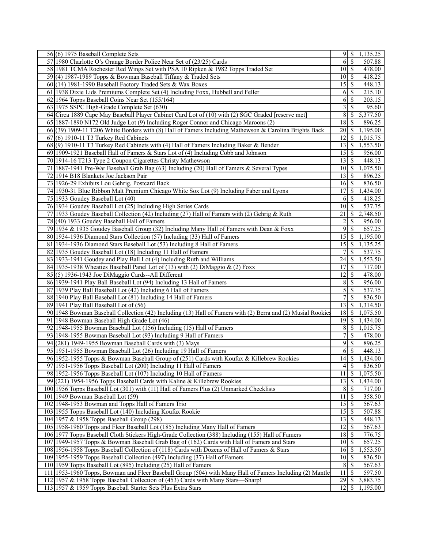| 56(6) 1975 Baseball Complete Sets                                                                           |                           |                          | 1,135.25              |
|-------------------------------------------------------------------------------------------------------------|---------------------------|--------------------------|-----------------------|
| 57 1980 Charlotte O's Orange Border Police Near Set of (23/25) Cards                                        | 6                         | $\overline{\mathcal{S}}$ | 507.88                |
| 58 1981 TCMA Rochester Red Wings Set with PSA 10 Ripken & 1982 Topps Traded Set                             | $10$ $\sqrt{5}$           |                          | 478.00                |
| 59(4) 1987-1989 Topps & Bowman Baseball Tiffany & Traded Sets                                               | $10 \mid S$               |                          | 418.25                |
| $60(14)$ 1981-1990 Baseball Factory Traded Sets & Wax Boxes                                                 |                           |                          | 448.13                |
| 61 1938 Dixie Lids Premiums Complete Set (4) Including Foxx, Hubbell and Feller                             | 6 S                       |                          | 215.10                |
| 62 1964 Topps Baseball Coins Near Set (155/164)                                                             | $\vert 6 \vert$           | $\mathcal{S}$            | 203.15                |
| 63 1975 SSPC High-Grade Complete Set (630)                                                                  | $\overline{\mathbf{3}}$   | $\overline{\mathcal{S}}$ | 95.60                 |
| 64 Circa 1889 Cape May Baseball Player Cabinet Card Lot of (10) with (2) SGC Graded [reserve met]           | $8\sqrt{5}$               |                          | $\overline{5,377.50}$ |
| 65 1887-1890 N172 Old Judge Lot (9) Including Roger Connor and Chicago Maroons (2)                          | 18                        | \$                       | 896.25                |
| 66(39) 1909-11 T206 White Borders with (8) Hall of Famers Including Mathewson & Carolina Brights Back       |                           |                          | 1,195.00              |
| 67(6) 1910-11 T3 Turkey Red Cabinets                                                                        | $\overline{1}2$ \$        |                          |                       |
| 68(9) 1910-11 T3 Turkey Red Cabinets with (4) Hall of Famers Including Baker & Bender                       | $\overline{1}$ 3   \$     |                          | 1,015.75<br>1,553.50  |
|                                                                                                             |                           |                          |                       |
| 69 1909-1921 Baseball Hall of Famers & Stars Lot of (4) Including Cobb and Johnson                          | $15$ $\sqrt{5}$           |                          | 956.00                |
| 70 1914-16 T213 Type 2 Coupon Cigarettes Christy Mathewson                                                  | $13\overline{3}$          |                          | 448.13                |
| 71   1887-1941 Pre-War Baseball Grab Bag (63) Including (20) Hall of Famers & Several Types                 | $10 \mid S$               |                          | 1,075.50              |
| 72 1914 B18 Blankets Joe Jackson Pair                                                                       | 13                        | S                        | 896.25                |
| 73 1926-29 Exhibits Lou Gehrig, Postcard Back                                                               | $\overline{16}$ \$        |                          | 836.50                |
| 74 1930-31 Blue Ribbon Malt Premium Chicago White Sox Lot (9) Including Faber and Lyons                     | 17                        | -\$                      | 1,434.00              |
| 75 1933 Goudey Baseball Lot (40)                                                                            | 6                         | -S                       | 418.25                |
| 76 1934 Goudey Baseball Lot (25) Including High Series Cards                                                | $10\vert S$               |                          | 537.75                |
| 77 1933 Goudey Baseball Collection (42) Including (27) Hall of Famers with (2) Gehrig & Ruth                | 21                        | \$                       | 2,748.50              |
| 78 (40) 1933 Goudey Baseball Hall of Famers                                                                 | $\overline{c}$            | \$                       | 956.00                |
| 79 1934 & 1935 Goudey Baseball Group (32) Including Many Hall of Famers with Dean & Foxx                    | 9                         | -\$                      | 657.25                |
| 80 1934-1936 Diamond Stars Collection (57) Including (33) Hall of Famers                                    | 15                        | $\mathsf{S}$             | 1,195.00              |
| 81 1934-1936 Diamond Stars Baseball Lot (53) Including 8 Hall of Famers                                     | $15$ $\sqrt{5}$           |                          | 1,135.25              |
| 82 1935 Goudey Baseball Lot (18) Including 11 Hall of Famers                                                |                           | S                        | 537.75                |
| 83 1933-1941 Goudey and Play Ball Lot (4) Including Ruth and Williams                                       | 24                        | <sup>\$</sup>            | 1,553.50              |
| 84 1935-1938 Wheaties Baseball Panel Lot of (13) with (2) DiMaggio & (2) Foxx                               |                           |                          | 717.00                |
| 85(5) 1936-1943 Joe DiMaggio Cards--All Different                                                           | 12                        | l \$                     | 478.00                |
| 86 1939-1941 Play Ball Baseball Lot (94) Including 13 Hall of Famers                                        | $8 \overline{\smash{)}\,$ |                          | 956.00                |
| 87 1939 Play Ball Baseball Lot (42) Including 6 Hall of Famers                                              |                           | 5S                       | 537.75                |
| 88 1940 Play Ball Baseball Lot (81) Including 14 Hall of Famers                                             | 7                         | <sup>\$</sup>            | 836.50                |
| 89 1941 Play Ball Baseball Lot of (56)                                                                      | $13$ $\sqrt{3}$           |                          | 1,314.50              |
| 90 1948 Bowman Baseball Collection (42) Including (13) Hall of Famers with (2) Berra and (2) Musial Rookies | $\overline{18}$ \$        |                          | 1,075.50              |
| 91 1948 Bowman Baseball High Grade Lot (46)                                                                 | $19$ $\sqrt{S}$           |                          | 1,434.00              |
| 92 1948-1955 Bowman Baseball Lot (156) Including (15) Hall of Famers                                        | $8 \mid S$                |                          | 1,015.75              |
| 93 1948-1955 Bowman Baseball Lot (93) Including 9 Hall of Famers                                            | 7                         | $\sqrt{S}$               | 478.00                |
| 94 (281) 1949-1955 Bowman Baseball Cards with (3) Mays                                                      | 9                         | $\overline{\mathcal{S}}$ | 896.25                |
| 95 1951-1955 Bowman Baseball Lot (26) Including 19 Hall of Famers                                           | 6                         | \$                       | 448.13                |
| 96 1952-1955 Topps & Bowman Baseball Group of (251) Cards with Koufax & Killebrew Rookies                   |                           |                          | 1,434.00              |
| 97 1951-1956 Topps Baseball Lot (200) Including 11 Hall of Famers                                           | $4 \overline{\sqrt{}}$    |                          | 836.50                |
| 98 1952-1956 Topps Baseball Lot (107) Including 10 Hall of Famers                                           | 11                        | \$                       | 1,075.50              |
| 99(221) 1954-1956 Topps Baseball Cards with Kaline & Killebrew Rookies                                      |                           |                          | 1,434.00              |
| 100 1956 Topps Baseball Lot (301) with (11) Hall of Famers Plus (2) Unmarked Checklists                     | $8 \mid S$                |                          | 717.00                |
| 101 1949 Bowman Baseball Lot (59)                                                                           | 11                        | S                        | 358.50                |
| 102 1948-1953 Bowman and Topps Hall of Famers Trio                                                          |                           |                          | $\overline{567.63}$   |
| 103 1955 Topps Baseball Lot (140) Including Koufax Rookie                                                   |                           |                          | 507.88                |
| 104 1957 & 1958 Topps Baseball Group (298)                                                                  | 13                        | - \$                     | 448.13                |
| 105 1958-1960 Topps and Fleer Baseball Lot (185) Including Many Hall of Famers                              | $12 \mid$ \$              |                          | 567.63                |
| 106 1977 Topps Baseball Cloth Stickers High-Grade Collection (388) Including (155) Hall of Famers           |                           |                          | 776.75                |
| 107 1949-1957 Topps & Bowman Baseball Grab Bag of (162) Cards with Hall of Famers and Stars                 | $10$ $\sqrt{5}$           |                          | 657.25                |
| 108 1956-1958 Topps Baseball Collection of (118) Cards with Dozens of Hall of Famers & Stars                | $16 \quad$ \$             |                          | 1,553.50              |
| 109 1955-1959 Topps Baseball Collection (497) Including (37) Hall of Famers                                 |                           |                          | 836.50                |
| 110 1959 Topps Baseball Lot (895) Including (25) Hall of Famers                                             | 8 <sup>1</sup>            | $\mathcal{S}$            | 567.63                |
| 111 1953-1960 Topps, Bowman and Fleer Baseball Group (504) with Many Hall of Famers Including (2) Mantle    | 11                        | <sup>\$</sup>            | 597.50                |
| 112 1957 & 1958 Topps Baseball Collection of (453) Cards with Many Stars—Sharp!                             | 29                        | \$                       | 3,883.75              |
| 113 1957 & 1959 Topps Baseball Starter Sets Plus Extra Stars                                                | 12                        | S                        | 1,195.00              |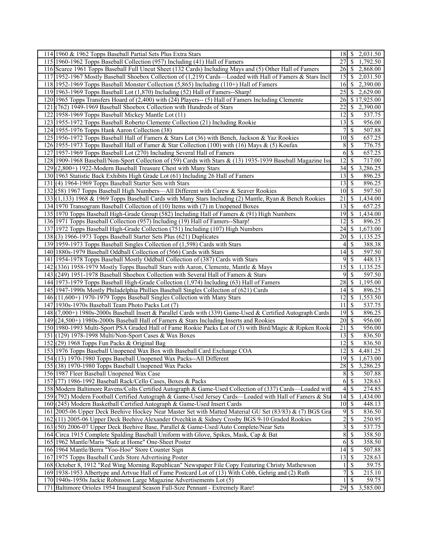| 114 1960 & 1962 Topps Baseball Partial Sets Plus Extra Stars                                                                                                    |                       | $\overline{18}$ \ \$ 2,031.50 |  |
|-----------------------------------------------------------------------------------------------------------------------------------------------------------------|-----------------------|-------------------------------|--|
| 115 1960-1962 Topps Baseball Collection (957) Including (41) Hall of Famers                                                                                     | 27                    | \$<br>1,792.50                |  |
| 116 Scarce 1961 Topps Baseball Full Uncut Sheet (132 Cards) Including Mays and (5) Other Hall of Famers                                                         |                       | 26 \$ 2,868.00                |  |
| 117 1952-1967 Mostly Baseball Shoebox Collection of (1,219) Cards—Loaded with Hall of Famers & Stars Incl                                                       | 15 <sup>1</sup>       | $\mathbb{S}$<br>2,031.50      |  |
| 118 1952-1969 Topps Baseball Monster Collection (5,865) Including (110+) Hall of Famers                                                                         | 16 <sup> </sup>       | <sup>\$</sup><br>2,390.00     |  |
| 119 1963-1969 Topps Baseball Lot (1,870) Including (52) Hall of Famers--Sharp!                                                                                  | 25                    | 2,629.00<br><sup>\$</sup>     |  |
| 120 1965 Topps Transfers Hoard of (2,400) with (24) Players-- (5) Hall of Famers Including Clemente                                                             | 26I                   | \$17,925.00                   |  |
| 121 (762) 1949-1969 Baseball Shoebox Collection with Hundreds of Stars                                                                                          | 22                    | 2,390.00<br>S                 |  |
| 122 1958-1969 Topps Baseball Mickey Mantle Lot (11)                                                                                                             | 12                    | -S<br>537.75                  |  |
| 123 1955-1972 Topps Baseball Roberto Clemente Collection (21) Including Rookie                                                                                  | 13                    | $\mathbb{S}$<br>956.00        |  |
| 124 1955-1976 Topps Hank Aaron Collection (38)                                                                                                                  | 71                    | \$<br>507.88                  |  |
| 125 1956-1972 Topps Baseball Hall of Famers & Stars Lot (36) with Bench, Jackson & Yaz Rookies                                                                  | $10 \mid$ \$          | 657.25                        |  |
| 126 1955-1973 Topps Baseball Hall of Famer & Star Collection (100) with (16) Mays & (5) Koufax                                                                  |                       | $8 \mid$ \$<br>776.75         |  |
| 127 1957-1969 Topps Baseball Lot (270) Including Several Hall of Famers                                                                                         |                       | $6 \mid$ \$<br>657.25         |  |
| 128 1909-1968 Baseball/Non-Sport Collection of (59) Cards with Stars & (13) 1935-1939 Baseball Magazine Iss                                                     | $\overline{12}$ \$    | 717.00                        |  |
| 129 (2,800+) 1922-Modern Baseball Treasure Chest with Many Stars                                                                                                | 34                    | 3,286.25<br><sup>\$</sup>     |  |
| 130 1963 Statistic Back Exhibits High Grade Lot (61) Including 26 Hall of Famers                                                                                | 13                    | <sup>\$</sup><br>896.25       |  |
| 131 (4) 1964-1969 Topps Baseball Starter Sets with Stars                                                                                                        | $13$ $\sqrt{5}$       | 896.25                        |  |
| 132 (58) 1967 Topps Baseball High Numbers—All Different with Carew & Seaver Rookies                                                                             | $101$ S               | 597.50                        |  |
| 133(1,133) 1968 & 1969 Topps Baseball Cards with Many Stars Including (2) Mantle, Ryan & Bench Rookies                                                          | 21                    | $\mathbb{S}$<br>1,434.00      |  |
| 134 1970 Transogram Baseball Collection of (10) Items with (7) in Unopened Boxes                                                                                | 13                    | 657.25<br>-S                  |  |
| 135 1970 Topps Baseball High-Grade Group (582) Including Hall of Famers & (91) High Numbers                                                                     | 19 <sup> </sup>       | $\mathbb{S}$<br>1,434.00      |  |
| 136 1971 Topps Baseball Collection (957) Including (19) Hall of Famers--Sharp!                                                                                  | 12                    | S<br>896.25                   |  |
| 137 1972 Topps Baseball High-Grade Collection (751) Including (107) High Numbers                                                                                | 24                    | 1,673.00<br>-S                |  |
| 138(3) 1966-1973 Topps Baseball Starter Sets Plus (621) Duplicates                                                                                              | $20$   \$             | 1,135.25                      |  |
| 139 1959-1973 Topps Baseball Singles Collection of (1,598) Cards with Stars                                                                                     |                       | $4$ \ $\sqrt{3}$<br>388.38    |  |
| 140 1880s-1979 Baseball Oddball Collection of (566) Cards with Stars                                                                                            | 14                    | $\mathcal{S}$<br>597.50       |  |
| 141 1954-1978 Topps Baseball Mostly Oddball Collection of (387) Cards with Stars                                                                                | 9                     | <sup>\$</sup><br>448.13       |  |
| 142 (336) 1958-1979 Mostly Topps Baseball Stars with Aaron, Clemente, Mantle & Mays                                                                             | $\overline{15}$       | \$<br>1,135.25                |  |
| 143 (249) 1951-1978 Baseball Shoebox Collection with Several Hall of Famers & Stars                                                                             | $\overline{9}$        | S<br>597.50                   |  |
| 144 1973-1979 Topps Baseball High-Grade Collection (1,974) Including (63) Hall of Famers                                                                        | 28 <sup> </sup>       | <sup>\$</sup><br>1,195.00     |  |
| 145 1947-1990s Mostly Philadelphia Phillies Baseball Singles Collection of (621) Cards                                                                          |                       | 896.25                        |  |
| 146 (11,600+) 1970-1979 Topps Baseball Singles Collection with Many Stars                                                                                       | 12<br>11 <sup>1</sup> | \$<br>1,553.50<br>-S          |  |
| 147 1930s-1970s Baseball Team Photo Packs Lot (7)<br>148 (7,000+) 1980s-2000s Baseball Insert & Parallel Cards with (339) Game-Used & Certified Autograph Cards | $19$ $\sqrt{5}$       | 537.75<br>896.25              |  |
| 149 (24,500+) 1980s-2000s Baseball Hall of Famers & Stars Including Inserts and Rookies                                                                         |                       | 956.00                        |  |
| 150 1980-1993 Multi-Sport PSA Graded Hall of Fame Rookie Packs Lot of (3) with Bird/Magic & Ripken Rook                                                         | $21$   \$             | 956.00                        |  |
| 151 (129) 1978-1998 Multi/Non-Sport Cases & Wax Boxes                                                                                                           | $13 \mid$ \$          | 836.50                        |  |
| 152 (29) 1968 Topps Fun Packs & Original Bag                                                                                                                    | 12                    | <sup>\$</sup><br>836.50       |  |
| 153 1976 Topps Baseball Unopened Wax Box with Baseball Card Exchange COA                                                                                        | 12                    | 4,481.25<br>\$                |  |
| 154(13) 1970-1980 Topps Baseball Unopened Wax Packs--All Different                                                                                              | $\overline{19}$ \$    | 1,673.00                      |  |
| 155 (38) 1970-1980 Topps Baseball Unopened Wax Packs                                                                                                            | $28$   \$             | 3,286.25                      |  |
| 156 1987 Fleer Baseball Unopened Wax Case                                                                                                                       | 8 <sup>1</sup>        | \$<br>507.88                  |  |
| 157 (77) 1986-1992 Baseball Rack/Cello Cases, Boxes & Packs                                                                                                     |                       | 328.63                        |  |
| 158 Modern Baltimore Ravens/Colts Certified Autograph & Game-Used Collection of (337) Cards—Loaded with                                                         | 41                    | <sup>\$</sup><br>274.85       |  |
| 159 (792) Modern Football Certified Autograph & Game-Used Jersey Cards—Loaded with Hall of Famers & Sta                                                         | 14                    | 1,434.00<br>S                 |  |
| 160 (245) Modern Basketball Certified Autograph & Game-Used Insert Cards                                                                                        | $\overline{10}$ \$    | 448.13                        |  |
| 161 2005-06 Upper Deck Beehive Hockey Near Master Set with Matted Material GU Set (83/83) & (7) BGS Gra                                                         | 9                     | -S<br>836.50                  |  |
| 162(11) 2005-06 Upper Deck Beehive Alexander Ovechkin & Sidney Crosby BGS 9-10 Graded Rookies                                                                   | $\overline{2}$        | \$<br>250.95                  |  |
| 163 (50) 2006-07 Upper Deck Beehive Base, Parallel & Game-Used/Auto Complete/Near Sets                                                                          |                       | 3S<br>537.75                  |  |
| 164 Circa 1915 Complete Spalding Baseball Uniform with Glove, Spikes, Mask, Cap & Bat                                                                           | 8                     | $\mathcal{S}$<br>358.50       |  |
| 165 1962 Mantle/Maris "Safe at Home" One-Sheet Poster                                                                                                           | 6                     | <sup>\$</sup><br>358.50       |  |
| 166 1964 Mantle/Berra "Yoo-Hoo" Store Counter Sign                                                                                                              | $14 \mid$ \$          | 507.88                        |  |
| 167 1975 Topps Baseball Cards Store Advertising Poster                                                                                                          |                       | 328.63                        |  |
| 168 October 8, 1912 "Red Wing Morning Republican" Newspaper File Copy Featuring Christy Mathewson                                                               | 11                    | <sup>S</sup><br>59.75         |  |
| 169 1938-1953 Albertype and Artvue Hall of Fame Postcard Lot of (13) With Cobb, Gehrig and (2) Ruth                                                             | 71                    | 215.10<br><sup>\$</sup>       |  |
| 170 1940s-1950s Jackie Robinson Large Magazine Advertisements Lot (5)                                                                                           | 11                    | <sup>\$</sup><br>59.75        |  |
| 171 Baltimore Orioles 1954 Inaugural Season Full-Size Pennant - Extremely Rare!                                                                                 | 29                    | \$3,585.00                    |  |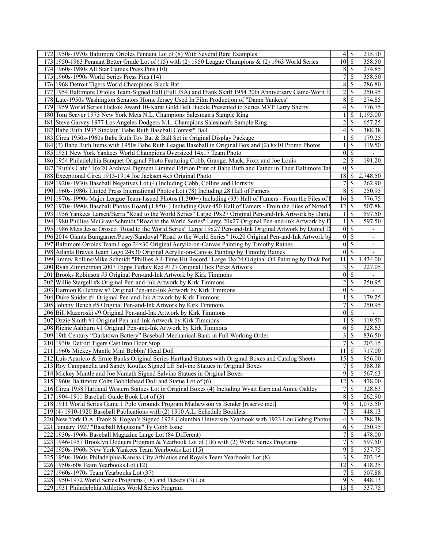|  | 172 1950s-1970s Baltimore Orioles Pennant Lot of (8) With Several Rare Examples                                                                          | 4                   | S                             | 215.10                                               |  |
|--|----------------------------------------------------------------------------------------------------------------------------------------------------------|---------------------|-------------------------------|------------------------------------------------------|--|
|  | 173 1950-1963 Pennant Better Grade Lot of (15) with (2) 1950 League Champions & (2) 1963 World Series                                                    | $\overline{10}$ \$  |                               | 358.50                                               |  |
|  | 174 1960s-1980s All Star Games Press Pins (10)                                                                                                           | 8 <sup>1</sup>      | $\overline{\mathcal{S}}$      | 274.85                                               |  |
|  | 175 1960s-1990s World Series Press Pins (14)                                                                                                             | $\overline{7}$      | <sup>\$</sup>                 | 358.50                                               |  |
|  | 176 1968 Detroit Tigers World Champions Black Bat                                                                                                        | $8\,$               | <sup>\$</sup>                 | 286.80                                               |  |
|  | 177 1954 Baltimore Orioles Team-Signed Ball (Full JSA) and Frank Skaff 1954 20th Anniversary Game-Worn E                                                 | $\overline{2}$      | \$                            | 250.95                                               |  |
|  | 178 Late-1950s Washington Senators Home Jersey Used In Film Production of "Damn Yankees"                                                                 | 8                   | $\mathbb{S}$                  | 274.85                                               |  |
|  | 179 1959 World Series Hickok Award 10-Karat Gold Belt Buckle Presented to Series MVP Larry Sherry                                                        | $\left 4\right $    | <sup>\$</sup>                 | 776.75                                               |  |
|  | 180 Tom Seaver 1973 New York Mets N.L. Champions Salesman's Sample Ring                                                                                  | $\mathbf{1}$        | <sup>\$</sup>                 | 1,195.00                                             |  |
|  | 181 Steve Garvey 1977 Los Angeles Dodgers N.L. Champions Salesman's Sample Ring                                                                          | $\overline{2}$      | <sup>\$</sup>                 | 657.25                                               |  |
|  | 182 Babe Ruth 1937 Sinclair "Babe Ruth Baseball Contest" Ball                                                                                            | 4                   | \$                            | 388.38                                               |  |
|  | 183 Circa 1950s-1960s Babe Ruth Toy Bat & Ball Set in Original Display Package                                                                           | $\mathbf{1}$        | <sup>\$</sup>                 | 179.25                                               |  |
|  | 184(3) Babe Ruth Items with 1950s Babe Ruth League Baseball in Original Box and (2) 8x10 Promo Photos                                                    | 1 <sup>1</sup>      | -S                            | 119.50                                               |  |
|  | 185 1951 New York Yankees World Champions Oversized 14x17 Team Photo                                                                                     | 0                   | $\mathcal{S}$                 |                                                      |  |
|  | 186 1954 Philadelphia Banquet Original Photo Featuring Cobb, Grange, Mack, Foxx and Joe Louis                                                            | $\overline{2}$      | <sup>\$</sup>                 | 191.20                                               |  |
|  | 187 "Ruth's Cafe" 16x20 Archival Pigment Limited Edition Print of Babe Ruth and Father in Their Baltimore Tay                                            | $\overline{0}$      | <sup>\$</sup>                 |                                                      |  |
|  | 188 Exceptional Circa 1913-1914 Joe Jackson 4x5 Original Photo                                                                                           | 18                  | <sup>\$</sup>                 | 2,748.50                                             |  |
|  | 189 1920s-1930s Baseball Negatives Lot (4) Including Cobb, Collins and Hornsby                                                                           | $\overline{7}$      | \$                            | 262.90                                               |  |
|  | 190 1960s-1980s United Press International Photos Lot (78) Including 28 Hall of Famers                                                                   | 8 <sup>l</sup>      | -S                            | 250.95                                               |  |
|  | 191 1970s-1990s Major League Team-Issued Photos (1,300+) Including (93) Hall of Famers - From the Files of 1                                             | 16                  | -S                            | 776.75                                               |  |
|  | 192 1970s-1990s Baseball Photos Hoard (1,850+) Including Over 450 Hall of Famers - From the Files of Noted §                                             | $12 \mid$ \$        |                               | 507.88                                               |  |
|  | 193 1956 Yankees Larsen/Berra "Road to the World Series" Large 19x27 Original Pen-and-Ink Artwork by Danie                                               | $\frac{1}{2}$       | $\mathbb{S}$                  | 597.50                                               |  |
|  | 194 1980 Phillies McGraw/Schmidt "Road to the World Series" Large 20x27 Original Pen-and-Ink Artwork by D                                                | $\mathbf{1}$        | \$                            | 597.50                                               |  |
|  | 195 1986 Mets Jesse Orosco "Road to the World Series" Large 19x27 Pen-and-Ink Original Artwork by Daniel D                                               | 0                   | $\mathcal{S}$                 | $\overline{\phantom{a}}$                             |  |
|  | 196 2014 Giants Bumgarner/Posey/Sandoval "Road to the World Series" 16x20 Original Pen-and-Ink Artwork by                                                | 0                   | $\mathcal{S}$                 |                                                      |  |
|  | 197 Baltimore Orioles Team Logo 24x30 Original Acrylic-on-Canvas Painting by Timothy Raines                                                              | 0                   | <sup>\$</sup>                 | $\overline{\phantom{a}}$<br>$\overline{\phantom{a}}$ |  |
|  | 198 Atlanta Braves Team Logo 24x30 Original Acrylic-on-Canvas Painting by Timothy Raines                                                                 | $\overline{0}$      | <sup>\$</sup>                 | $\blacksquare$                                       |  |
|  | 199 Jimmy Rollins/Mike Schmidt "Phillies All-Time Hit Record" Large 18x24 Original Oil Painting by Dick Per                                              | 11                  | \$                            | 1,434.00                                             |  |
|  |                                                                                                                                                          | $\overline{3}$      | <sup>\$</sup>                 |                                                      |  |
|  | 200 Ryan Zimmerman 2007 Topps Turkey Red #127 Original Dick Perez Artwork<br>201 Brooks Robinson #5 Original Pen-and-Ink Artwork by Kirk Timmons         | 0                   | -S                            | 227.05                                               |  |
|  | 202 Willie Stargell #8 Original Pen-and-Ink Artwork by Kirk Timmons                                                                                      | 2                   | \$                            | 250.95                                               |  |
|  | 203 Harmon Killebrew #3 Original Pen-and-Ink Artwork by Kirk Timmons                                                                                     | 0                   | <sup>\$</sup>                 |                                                      |  |
|  | 204 Duke Snider #4 Original Pen-and-Ink Artwork by Kirk Timmons                                                                                          |                     | <sup>\$</sup>                 | 179.25                                               |  |
|  | 205 Johnny Bench #5 Original Pen-and-Ink Artwork by Kirk Timmons                                                                                         | 7                   | \$                            | 250.95                                               |  |
|  | 206 Bill Mazeroski #9 Original Pen-and-Ink Artwork by Kirk Timmons                                                                                       | $\overline{0}$      | -S                            |                                                      |  |
|  |                                                                                                                                                          |                     |                               |                                                      |  |
|  | 207 Ozzie Smith #1 Original Pen-and-Ink Artwork by Kirk Timmons                                                                                          | $\mathbf{1}$        | <sup>\$</sup>                 | 119.50                                               |  |
|  | 208 Richie Ashburn #1 Original Pen-and-Ink Artwork by Kirk Timmons<br>209 19th Century "Darktown Battery" Baseball Mechanical Bank in Full Working Order | 6<br>$\overline{3}$ | <sup>\$</sup><br>-S           | 328.63                                               |  |
|  | 210 1930s Detroit Tigers Cast Iron Door Stop                                                                                                             |                     |                               | 836.50                                               |  |
|  | 211 1960s Mickey Mantle Mini Bobbin' Head Doll                                                                                                           | $\overline{7}$      | <sup>\$</sup><br>$11 \mid$ \$ | 203.15<br>717.00                                     |  |
|  | 212 Luis Aparicio & Ernie Banks Original Series Hartland Statues with Original Boxes and Catalog Sheets                                                  | 15                  | -\$                           | 956.00                                               |  |
|  | 213 Roy Campanella and Sandy Koufax Signed LE Salvino Statues in Original Boxes                                                                          | $\boldsymbol{7}$    | $\mathcal{S}$                 | 388.38                                               |  |
|  | 214 Mickey Mantle and Joe Namath Signed Salvino Statues in Original Boxes                                                                                | $\overline{9}$      | <sup>\$</sup>                 | 567.63                                               |  |
|  | 215 1960s Baltimore Colts Bobblehead Doll and Statue Lot of (6)                                                                                          | 12                  | -S                            | 478.00                                               |  |
|  | 216 Circa 1958 Hartland Western Statues Lot in Original Boxes (4) Including Wyatt Earp and Annie Oakley                                                  | $\overline{7}$      | <sup>\$</sup>                 | 328.63                                               |  |
|  |                                                                                                                                                          | 8                   | -S                            | 262.90                                               |  |
|  | 217 1904-1911 Baseball Guide Book Lot of (3)<br>218 1911 World Series Game 1 Polo Grounds Program Mathewson vs Bender [reserve met]                      | $\overline{9}$      | <sup>\$</sup>                 | 1,075.50                                             |  |
|  | 219(4) 1910-1920 Baseball Publications with (2) 1910 A.L. Schedule Booklets                                                                              | $\overline{7}$      | <sup>\$</sup>                 | 448.13                                               |  |
|  | 220 New York D.A. Frank S. Hogan's Signed 1924 Columbia University Yearbook with 1923 Lou Gehrig Photos                                                  |                     |                               | 388.38                                               |  |
|  |                                                                                                                                                          | $\vert 4 \vert$     | \$                            |                                                      |  |
|  | 221 January 1927 "Baseball Magazine" Ty Cobb Issue                                                                                                       | 6                   | <sup>\$</sup>                 | 250.95                                               |  |
|  | 222 1930s-1960s Baseball Magazine Large Lot (84 Different)                                                                                               | $\overline{7}$      | $\mathcal{S}$                 | 478.00                                               |  |
|  | 223 1946-1957 Brooklyn Dodgers Program & Yearbook Lot of (18) with (2) World Series Programs                                                             | $\overline{7}$      | <sup>\$</sup>                 | 597.50                                               |  |
|  | 224 1950s-1960s New York Yankees Team Yearbooks Lot (15)                                                                                                 | $\overline{9}$      | <sup>\$</sup>                 | 537.75                                               |  |
|  | 225   1950s-1960s Philadelphia/Kansas City Athletics and Royals Team Yearbooks Lot (8)                                                                   | 3 <sup>1</sup>      | -S                            | 203.15                                               |  |
|  | 226 1950s-60s Team Yearbooks Lot (12)                                                                                                                    | 12                  | -S                            | 418.25                                               |  |
|  | 227 1960s-1970s Team Yearbooks Lot (37)                                                                                                                  | 7                   | -\$                           | 507.88                                               |  |
|  | 228 1950-1972 World Series Programs (18) and Tickets (3) Lot                                                                                             | 9                   | -S                            | 448.13                                               |  |
|  | 229 1931 Philadelphia Athletics World Series Program                                                                                                     | $13 \mid S$         |                               | 537.75                                               |  |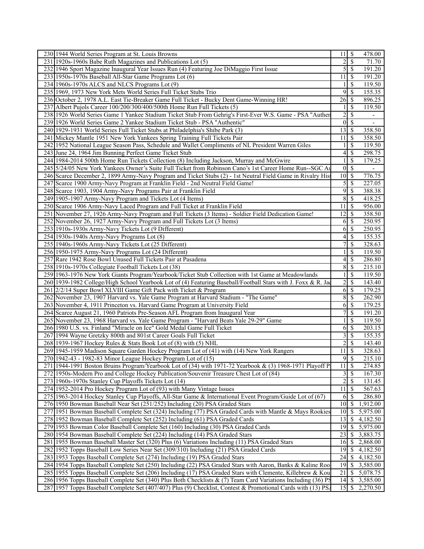|     | 230 1944 World Series Program at St. Louis Browns                                                             | 11              | - \$                     | 478.00                       |
|-----|---------------------------------------------------------------------------------------------------------------|-----------------|--------------------------|------------------------------|
|     | 231 1920s-1960s Babe Ruth Magazines and Publications Lot (5)                                                  | $\overline{c}$  | $\overline{\mathcal{S}}$ | 71.70                        |
|     | 232 1946 Sport Magazine Inaugural Year Issues Run (4) Featuring Joe DiMaggio First Issue                      | 5               | -\$                      | 191.20                       |
|     | 233 1950s-1970s Baseball All-Star Game Programs Lot (6)                                                       | 11              | $\mathbb{S}$             | 191.20                       |
|     | 234 1960s-1970s ALCS and NLCS Programs Lot (9)                                                                | 1               | <sup>\$</sup>            | 119.50                       |
|     | 235 1969, 1973 New York Mets World Series Full Ticket Stubs Trio                                              | 9               | -S                       | 155.35                       |
|     | 236 October 2, 1978 A.L. East Tie-Breaker Game Full Ticket - Bucky Dent Game-Winning HR!                      | $\overline{26}$ | - \$                     | 896.25                       |
|     | 237 Albert Pujols Career 100/200/300/400/500th Home Run Full Tickets (5)                                      |                 | $\mathcal{S}$            | 119.50                       |
|     | 238 1926 World Series Game 1 Yankee Stadium Ticket Stub From Gehrig's First-Ever W.S. Game - PSA "Auther      | $\overline{c}$  | $\overline{\mathcal{S}}$ | $\overline{\phantom{a}}$     |
|     | 239 1926 World Series Game 2 Yankee Stadium Ticket Stub - PSA "Authentic"                                     | $\mathbf{0}$    | $\mathcal{S}$            | $\overline{\phantom{a}}$     |
|     | 240 1929-1931 World Series Full Ticket Stubs at Philadelphia's Shibe Park (3)                                 | 13              | -\$                      | 358.50                       |
|     | 241 Mickey Mantle 1951 New York Yankees Spring Training Full Tickets Pair                                     | 11              | -\$                      | 358.50                       |
|     | 242 1952 National League Season Pass, Schedule and Wallet Compliments of NL President Warren Giles            |                 | $\overline{\mathcal{S}}$ | 119.50                       |
|     | 243 June 24, 1964 Jim Bunning Perfect Game Ticket Stub                                                        | 4               |                          | 298.75                       |
|     |                                                                                                               |                 | -\$<br>$\mathcal{S}$     | 179.25                       |
|     | 244 1984-2014 500th Home Run Tickets Collection (8) Including Jackson, Murray and McGwire                     |                 |                          |                              |
|     | 245 5/24/05 New York Yankees Owner's Suite Full Ticket from Robinson Cano's 1st Career Home Run-SGC Au        | $\theta$        | $\mathbb{S}$             | $\qquad \qquad \blacksquare$ |
|     | 246 Scarce December 2, 1899 Army-Navy Program and Ticket Stubs (2) - 1st Neutral Field Game in Rivalry His    | 10              | -S                       | 776.75                       |
|     | 247 Scarce 1900 Army-Navy Program at Franklin Field - 2nd Neutral Field Game!                                 | 5               | -S                       | 227.05                       |
|     | 248 Scarce 1903, 1904 Army-Navy Programs Pair at Franklin Field                                               | 9               | $\mathcal{S}$            | 388.38                       |
|     | 249 1905-1907 Army-Navy Program and Tickets Lot (4 Items)                                                     | 8               | $\mathcal{S}$            | 418.25                       |
|     | 250 Scarce 1906 Army-Navy Laced Program and Full Ticket at Franklin Field                                     | 11              | -\$                      | 956.00                       |
|     | 251 November 27, 1926 Army-Navy Program and Full Tickets (3 Items) - Soldier Field Dedication Game!           | 12              | $\mathbb{S}$             | 358.50                       |
|     | 252 November 26, 1927 Army-Navy Program and Full Tickets Lot (3 Items)                                        | 6               | -S                       | 250.95                       |
|     | 253 1910s-1930s Army-Navy Tickets Lot (9 Different)                                                           | 6               | -S                       | 250.95                       |
|     | 254 1930s-1940s Army-Navy Programs Lot (8)                                                                    | 4               | -S                       | 155.35                       |
|     | 255 1940s-1960s Army-Navy Tickets Lot (25 Different)                                                          | 7               | \$                       | 328.63                       |
|     | 256 1950-1975 Army-Navy Programs Lot (24 Different)                                                           |                 | \$                       | 119.50                       |
| 257 | Rare 1942 Rose Bowl Unused Full Tickets Pair at Pasadena                                                      | 4               | \$                       | 286.80                       |
|     | 258 1910s-1970s Collegiate Football Tickets Lot (38)                                                          | 8               | $\mathbb{S}$             | 215.10                       |
|     | 259 1963-1976 New York Giants Program/Yearbook/Ticket Stub Collection with 1st Game at Meadowlands            |                 | $\mathcal{S}$            | 119.50                       |
|     | 260 1939-1982 College/High School Yearbook Lot of (4) Featuring Baseball/Football Stars with J. Foxx & R. Jac | 2               | $\mathcal{S}$            | 143.40                       |
|     | 261 2/2/14 Super Bowl XLVIII Game Gift Pack with Ticket & Program                                             | 6               | $\sqrt{S}$               | 179.25                       |
|     | 262 November 23, 1907 Harvard vs. Yale Game Program at Harvard Stadium - "The Game"                           | 8               | $\mathcal{S}$            | 262.90                       |
|     | 263 November 4, 1911 Princeton vs. Harvard Game Program at University Field                                   | 6               | $\mathcal{S}$            | 179.25                       |
|     | 264 Scarce August 21, 1960 Patriots Pre-Season AFL Program from Inaugural Year                                | 7               | $\mathbb{S}$             | 191.20                       |
|     | 265 November 23, 1968 Harvard vs. Yale Game Program - "Harvard Beats Yale 29-29" Game                         |                 | \$                       | 119.50                       |
|     | 266 1980 U.S. vs. Finland "Miracle on Ice" Gold Medal Game Full Ticket                                        | 6               | $\mathcal{S}$            | 203.15                       |
|     | 267 1994 Wayne Gretzky 800th and 801st Career Goals Full Ticket                                               | 3               | $\overline{\mathcal{S}}$ | 155.35                       |
|     | 268 1939-1967 Hockey Rules & Stats Book Lot of (8) with (5) NHL                                               | 2               | $\overline{\mathcal{S}}$ | 143.40                       |
|     | 269 1945-1959 Madison Square Garden Hockey Program Lot of (41) with (14) New York Rangers                     | 11              | $\overline{\mathcal{S}}$ | 328.63                       |
|     | 270 1942-43 - 1982-83 Minor League Hockey Program Lot of (15)                                                 | $\overline{9}$  | $\overline{\mathcal{S}}$ | 215.10                       |
|     | 271   1944-1991 Boston Bruins Program/Yearbook Lot of (34) with 1971-72 Yearbook & (3) 1968-1971 Playoff P    | 11              | $\mathcal{S}$            | 274.85                       |
|     | 272 1950s-Modern Pro and College Hockey Publication/Souvenir Treasure Chest Lot of (84)                       | 3               | $\mathbb{S}$             | 167.30                       |
|     | 273 1960s-1970s Stanley Cup Playoffs Tickets Lot (14)                                                         | $\overline{c}$  | $\mathcal{S}$            | 131.45                       |
|     | 274 1952-2014 Pro Hockey Program Lot of (93) with Many Vintage Issues                                         | 11              | $\mathcal{S}$            | 567.63                       |
|     | 275 1963-2014 Hockey Stanley Cup Playoffs, All-Star Game & International Event Program/Guide Lot of (67)      | 6               | -S                       | 286.80                       |
|     | 276 1950 Bowman Baseball Near Set (251/252) Including (20) PSA Graded Stars                                   | 10              | - S                      | 1,912.00                     |
|     | 277 1951 Bowman Baseball Complete Set (324) Including (77) PSA Graded Cards with Mantle & Mays Rookies        | 10              | -\$                      | 5,975.00                     |
|     | 278 1952 Bowman Baseball Complete Set (252) Including (61) PSA Graded Cards                                   | 13              | -S                       | 4,182.50                     |
|     | 279 1953 Bowman Color Baseball Complete Set (160) Including (30) PSA Graded Cards                             | 19              | $\mathbb{S}$             | 5,975.00                     |
|     | 280 1954 Bowman Baseball Complete Set (224) Including (14) PSA Graded Stars                                   | 23              | $\mathbb{S}$             | 3,883.75                     |
|     | 281 1955 Bowman Baseball Master Set (320) Plus (6) Variations Including (11) PSA Graded Stars                 | 16              | \$                       | 2,868.00                     |
|     | 282 1952 Topps Baseball Low Series Near Set (309/310) Including (21) PSA Graded Cards                         | 19              | <b>S</b>                 |                              |
|     |                                                                                                               | 24              |                          | 4,182.50                     |
|     | 283 1953 Topps Baseball Complete Set (274) Including (19) PSA Graded Stars                                    |                 | -S                       | 4,182.50                     |
|     | 284 1954 Topps Baseball Complete Set (250) Including (22) PSA Graded Stars with Aaron, Banks & Kaline Roo     | 19              | -\$                      | 3,585.00                     |
|     | 285 1955 Topps Baseball Complete Set (206) Including (17) PSA Graded Stars with Clemente, Killebrew & Kou     | 21              | -\$                      | 5,078.75                     |
|     | 286 1956 Topps Baseball Complete Set (340) Plus Both Checklists & (7) Team Card Variations Including (36) PS  | 4               | $\mathbb{S}$             | 3,585.00                     |
|     | 287 1957 Topps Baseball Complete Set (407/407) Plus (9) Checklist, Contest & Promotional Cards with (13) PS/  |                 |                          | 2,270.50                     |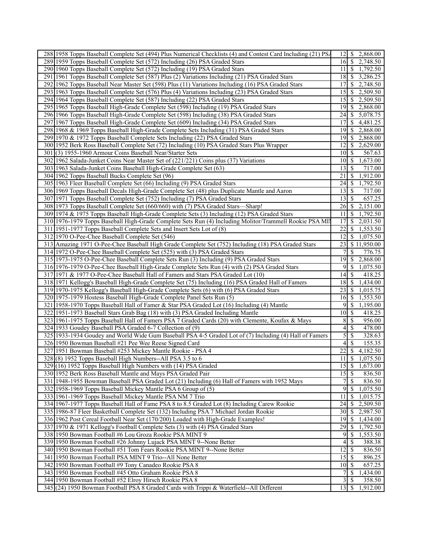|     | 288 1958 Topps Baseball Complete Set (494) Plus Numerical Checklists (4) and Contest Card Including (21) PS/ | $12$   \$                   |                           | 2,868.00    |
|-----|--------------------------------------------------------------------------------------------------------------|-----------------------------|---------------------------|-------------|
|     | 289 1959 Topps Baseball Complete Set (572) Including (26) PSA Graded Stars                                   | $16 \mid S$                 |                           | 2,748.50    |
|     | 290 1960 Topps Baseball Complete Set (572) Including (19) PSA Graded Stars                                   | 11                          | l \$                      | 1,792.50    |
| 291 | 1961 Topps Baseball Complete Set (587) Plus (2) Variations Including (21) PSA Graded Stars                   | $18$ $\sqrt{5}$             |                           | 3,286.25    |
|     | 292 1962 Topps Baseball Near Master Set (598) Plus (11) Variations Including (16) PSA Graded Stars           | 17                          | \$                        | 2,748.50    |
|     | 293 1963 Topps Baseball Complete Set (576) Plus (4) Variations Including (23) PSA Graded Stars               | 15                          | -S                        | 2,509.50    |
|     | 294 1964 Topps Baseball Complete Set (587) Including (22) PSA Graded Stars                                   | 15                          | <sup>\$</sup>             | 2,509.50    |
|     | 295 1965 Topps Baseball High-Grade Complete Set (598) Including (19) PSA Graded Stars                        | 19                          | <sup>\$</sup>             | 2,868.00    |
|     | 296 1966 Topps Baseball High-Grade Complete Set (598) Including (38) PSA Graded Stars                        | 24                          | -S                        | 5,078.75    |
| 297 | 1967 Topps Baseball High-Grade Complete Set (609) Including (34) PSA Graded Stars                            | 17                          | S                         | 4,481.25    |
|     | 298 1968 & 1969 Topps Baseball High-Grade Complete Sets Including (31) PSA Graded Stars                      | 19                          | -S                        | 2,868.00    |
|     | 299 1970 & 1972 Topps Baseball Complete Sets Including (22) PSA Graded Stars                                 | $\overline{1}9$ \$          |                           | 2,868.00    |
|     | 300 1952 Berk Ross Baseball Complete Set (72) Including (10) PSA Graded Stars Plus Wrapper                   | 12                          | \$                        | 2,629.00    |
|     | 301(3) 1955-1960 Armour Coins Baseball Near/Starter Sets                                                     | 10 <sup>1</sup>             | -\$                       | 567.63      |
|     | 302 1962 Salada-Junket Coins Near Master Set of (221/221) Coins plus (37) Variations                         | $10 \mid S$                 |                           | 1,673.00    |
|     | 303 1963 Salada-Junket Coins Baseball High-Grade Complete Set (63)                                           | 13                          | -S                        | 717.00      |
|     | 304 1962 Topps Baseball Bucks Complete Set (96)                                                              | 21                          | -S                        | 1,912.00    |
|     | 305 1963 Fleer Baseball Complete Set (66) Including (9) PSA Graded Stars                                     | 24                          | -S                        | 1,792.50    |
|     | 306 1969 Topps Baseball Decals High-Grade Complete Set (48) plus Duplicate Mantle and Aaron                  | 13                          | -\$                       | 717.00      |
|     | 307 1971 Topps Baseball Complete Set (752) Including (7) PSA Graded Stars                                    | 13                          | -S                        | 657.25      |
|     | 308 1973 Topps Baseball Complete Set (660/660) with (7) PSA Graded Stars-Sharp!                              | 26                          | -\$                       | 2,151.00    |
|     | 309 1974 & 1975 Topps Baseball High-Grade Complete Sets (3) Including (12) PSA Graded Stars                  | 11                          | S                         | 1,792.50    |
|     | 310 1976-1979 Topps Baseball High-Grade Complete Sets Run (4) Including Molitor/Trammell Rookie PSA MI       | 17                          | -S                        | 2,031.50    |
|     | 311 1951-1977 Topps Baseball Complete Sets and Insert Sets Lot of (8)                                        | 22                          | -\$                       | 1,553.50    |
|     | 312 1970 O-Pee-Chee Baseball Complete Set (546)                                                              | 12                          | \$                        | 1,075.50    |
|     | 313 Amazing 1971 O-Pee-Chee Baseball High Grade Complete Set (752) Including (18) PSA Graded Stars           | 23                          |                           | \$11,950.00 |
|     | 314 1972 O-Pee-Chee Baseball Complete Set (525) with (3) PSA Graded Stars                                    |                             | \$                        | 776.75      |
|     | 315 1973-1975 O-Pee-Chee Baseball Complete Sets Run (3) Including (9) PSA Graded Stars                       | 19                          | \$                        | 2,868.00    |
|     | 316 1976-1979 O-Pee-Chee Baseball High-Grade Complete Sets Run (4) with (2) PSA Graded Stars                 | 9                           | -\$                       | 1,075.50    |
|     | 317 1971 & 1977 O-Pee-Chee Baseball Hall of Famers and Stars PSA Graded Lot (10)                             | 14                          | S                         | 418.25      |
|     | 318 1971 Kellogg's Baseball High-Grade Complete Set (75) Including (16) PSA Graded Hall of Famers            | $18$ $\sqrt{5}$             |                           | 1,434.00    |
|     | 319 1970-1975 Kellogg's Baseball High-Grade Complete Sets (6) with (6) PSA Graded Stars                      | 23                          | 8                         | 1,015.75    |
|     | 320 1975-1979 Hostess Baseball High-Grade Complete Panel Sets Run (5)                                        | 16                          | <sup>\$</sup>             | 1,553.50    |
|     | 321 1958-1970 Topps Baseball Hall of Famer & Star PSA Graded Lot (16) Including (4) Mantle                   | 9                           | -\$                       | 1,195.00    |
| 322 | 1951-1973 Baseball Stars Grab Bag (18) with (3) PSA Graded Including Mantle                                  | $10 \mid$ \$                |                           | 418.25      |
|     | 323 1961-1975 Topps Baseball Hall of Famers PSA 7 Graded Cards (20) with Clemente, Koufax & Mays             | 8                           | $\mathcal{S}$             | 956.00      |
|     | 324 1933 Goudey Baseball PSA Graded 6-7 Collection of (9)                                                    | 4                           | $\mathcal{S}$             | 478.00      |
|     | 325 1933-1934 Goudey and World Wide Gum Baseball PSA 4-5 Graded Lot of (7) Including (4) Hall of Famers      |                             | $5\overline{\smash{)}\,}$ | 328.63      |
|     | 326 1950 Bowman Baseball #21 Pee Wee Reese Signed Card                                                       | $\overline{4}$              | \$                        | 155.35      |
|     | 327 1951 Bowman Baseball #253 Mickey Mantle Rookie - PSA 4                                                   | 22                          | \$                        | 4,182.50    |
|     | $328(8)$ 1952 Topps Baseball High Numbers--All PSA 3.5 to 6                                                  | 11                          | -\$                       | 1,075.50    |
|     | 329 (16) 1952 Topps Baseball High Numbers with (14) PSA Graded                                               | $15$ \$                     |                           | 1,673.00    |
|     | 330 1952 Berk Ross Baseball Mantle and Mays PSA Graded Pair                                                  | $15\overline{\smash{)}\,}$  |                           | 836.50      |
|     | 331 1948-1955 Bowman Baseball PSA Graded Lot (21) Including (6) Hall of Famers with 1952 Mays                |                             | 7s                        | 836.50      |
|     | 332 1958-1969 Topps Baseball Mickey Mantle PSA 6 Group of (5)                                                | 9                           | $\mathcal{S}$             | 1,075.50    |
|     | 333 1961-1969 Topps Baseball Mickey Mantle PSA NM 7 Trio                                                     | 11                          | \$                        | 1,015.75    |
|     | 334 1967-1977 Topps Baseball Hall of Fame PSA 8 to 8.5 Graded Lot (8) Including Carew Rookie                 | 24                          | -\$                       | 2,509.50    |
|     | 335 1986-87 Fleer Basketball Complete Set (132) Including PSA 7 Michael Jordan Rookie                        | 30 <sup>1</sup>             | - \$                      | 2,987.50    |
|     | 336 1962 Post Cereal Football Near Set (170/200) Loaded with High-Grade Examples!                            | 19                          | S                         | 1,434.00    |
|     | 337 1970 & 1971 Kellogg's Football Complete Sets (3) with (4) PSA Graded Stars                               | 29                          | -\$                       | 1,792.50    |
|     | 338 1950 Bowman Football #6 Lou Groza Rookie PSA MINT 9                                                      | 9                           | -\$                       | 1,553.50    |
|     | 339 1950 Bowman Football #26 Johnny Lujack PSA MINT 9--None Better                                           | 4                           | \$                        | 388.38      |
|     | 340 1950 Bowman Football #51 Tom Fears Rookie PSA MINT 9--None Better                                        | $12 \overline{\smash{)}\,}$ |                           | 836.50      |
|     | 341 1950 Bowman Football PSA MINT 9 Trio--All None Better                                                    | 15                          | $\mathsf{S}$              | 896.25      |
|     | 342 1950 Bowman Football #9 Tony Canadeo Rookie PSA 8                                                        |                             |                           | 657.25      |
|     | 343 1950 Bowman Football #45 Otto Graham Rookie PSA 8                                                        | 7                           | -S                        | 1,434.00    |
|     | 344 1950 Bowman Football #52 Elroy Hirsch Rookie PSA 8                                                       | $\frac{3}{ }$               | $\mathcal{S}$             | 358.50      |
|     | 345 (24) 1950 Bowman Football PSA 8 Graded Cards with Trippi & Waterfield--All Different                     |                             |                           | 1,912.00    |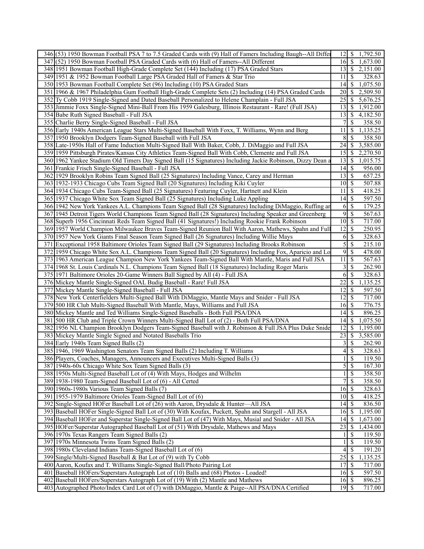| 346 (53) 1950 Bowman Football PSA 7 to 7.5 Graded Cards with (9) Hall of Famers Including Baugh--All Differ                                                                          |                                   |                          | 12 \ \$ 1,792.50 |
|--------------------------------------------------------------------------------------------------------------------------------------------------------------------------------------|-----------------------------------|--------------------------|------------------|
| 347 (52) 1950 Bowman Football PSA Graded Cards with (6) Hall of Famers--All Different                                                                                                | $16 \mid$ \$                      |                          | 1,673.00         |
| 348 1951 Bowman Football High-Grade Complete Set (144) Including (17) PSA Graded Stars                                                                                               |                                   |                          | 13 \$ 2,151.00   |
| 349 1951 & 1952 Bowman Football Large PSA Graded Hall of Famers & Star Trio                                                                                                          | 11                                | \$                       | 328.63           |
| 350 1953 Bowman Football Complete Set (96) Including (10) PSA Graded Stars                                                                                                           | 4                                 | \$                       | 1,075.50         |
| 351 1966 & 1967 Philadelphia Gum Football High-Grade Complete Sets (2) Including (14) PSA Graded Cards                                                                               | <b>20</b>                         | <sup>\$</sup>            | 2,509.50         |
| 352 Ty Cobb 1919 Single-Signed and Dated Baseball Personalized to Helene Champlain - Full JSA                                                                                        | 25                                | \$                       | 5,676.25         |
| 353 Jimmie Foxx Single-Signed Mini-Ball From His 1959 Galesburg, Illinois Restaurant - Rare! (Full JSA)                                                                              | $13 \mid S$                       |                          | 1,912.00         |
| 354 Babe Ruth Signed Baseball - Full JSA                                                                                                                                             | $13 \mid$ \$                      |                          | 4,182.50         |
| 355 Charlie Berry Single-Signed Baseball - Full JSA                                                                                                                                  | 7                                 | \$                       | 358.50           |
| 356 Early 1940s American League Stars Multi-Signed Baseball With Foxx, T. Williams, Wynn and Berg                                                                                    | 11                                | \$                       | 1,135.25         |
|                                                                                                                                                                                      | 8 <sup>°</sup>                    | S                        |                  |
| 357 1950 Brooklyn Dodgers Team-Signed Baseball with Full JSA<br>358 Late-1950s Hall of Fame Induction Multi-Signed Ball With Baker, Cobb, J. DiMaggio and Full JSA                   | 24                                |                          | 358.50           |
|                                                                                                                                                                                      |                                   | \$                       | 3,585.00         |
| 359 1959 Pittsburgh Pirates/Kansas City Athletics Team-Signed Ball With Cobb, Clemente and Full JSA                                                                                  |                                   |                          | 2,270.50         |
| 360 1962 Yankee Stadium Old Timers Day Signed Ball (15 Signatures) Including Jackie Robinson, Dizzy Dean a                                                                           | 13                                | $\mathcal{S}$            | 1,015.75         |
| 361 Frankie Frisch Single-Signed Baseball - Full JSA                                                                                                                                 | $14 \mid$ \$                      |                          | 956.00           |
| 362 1929 Brooklyn Robins Team Signed Ball (25 Signatures) Including Vance, Carey and Herman                                                                                          | $13 \mid S$                       |                          | 657.25           |
| 363 1932-1933 Chicago Cubs Team Signed Ball (20 Signatures) Including Kiki Cuyler                                                                                                    | $\overline{10}$ \$                |                          | 507.88           |
| 364 1934 Chicago Cubs Team-Signed Ball (25 Signatures) Featuring Cuyler, Hartnett and Klein                                                                                          | 11                                | $\mathcal{S}$            | 418.25           |
| 365 1937 Chicago White Sox Team Signed Ball (25 Signatures) Including Luke Appling                                                                                                   | $14\overline{3}$                  |                          | 597.50           |
| 366 1942 New York Yankees A.L. Champions Team Signed Ball (28 Signatures) Including DiMaggio, Ruffing an                                                                             | 6                                 | $\mathcal{S}$            | 179.25           |
| 367 1945 Detroit Tigers World Champions Team Signed Ball (28 Signatures) Including Speaker and Greenberg                                                                             | $\overline{9}$                    | $\mathbb{S}$             | 567.63           |
| 368 Superb 1956 Cincinnati Reds Team Signed Ball (41 Signatures!) Including Rookie Frank Robinson                                                                                    | $\overline{10}$ \$                |                          | 717.00           |
| 369 1957 World Champion Milwaukee Braves Team-Signed Reunion Ball With Aaron, Mathews, Spahn and Full                                                                                | $\overline{12}$ \$                |                          | 250.95           |
| 370 1957 New York Giants Final Season Team Signed Ball (26 Signatures) Including Willie Mays                                                                                         | 6                                 | \$                       | 328.63           |
| 371 Exceptional 1958 Baltimore Orioles Team Signed Ball (29 Signatures) Including Brooks Robinson                                                                                    |                                   | 5s                       | 215.10           |
| 372 1959 Chicago White Sox A.L. Champions Team Signed Ball (20 Signatures) Including Fox, Aparicio and Lo                                                                            | $\overline{9}$                    | -\$                      | 478.00           |
| 373 1963 American League Champion New York Yankees Team-Signed Ball With Mantle, Maris and Full JSA                                                                                  | 11                                | \$                       | 567.63           |
| 374 1968 St. Louis Cardinals N.L. Champions Team Signed Ball (18 Signatures) Including Roger Maris                                                                                   | $\overline{\mathbf{3}}$           | -\$                      | 262.90           |
| 375 1971 Baltimore Orioles 20-Game Winners Ball Signed by All (4) - Full JSA                                                                                                         | 6                                 | \$                       | 328.63           |
| 376 Mickey Mantle Single-Signed OAL Budig Baseball - Rare! Full JSA                                                                                                                  | 22                                | $\mathbb{S}$             | 1,135.25         |
| 377 Mickey Mantle Single-Signed Baseball - Full JSA                                                                                                                                  | $12 \mid$ \$                      |                          | 597.50           |
| 378 New York Centerfielders Multi-Signed Ball With DiMaggio, Mantle Mays and Snider - Full JSA                                                                                       |                                   |                          | 717.00           |
| 379 500 HR Club Multi-Signed Baseball With Mantle, Mays, Williams and Full JSA                                                                                                       |                                   |                          | 776.75           |
| 380 Mickey Mantle and Ted Williams Single-Signed Baseballs - Both Full PSA/DNA                                                                                                       | $14 \mid$ \$                      |                          | 896.25           |
| 381 500 HR Club and Triple Crown Winners Multi-Signed Ball Lot of (2) - Both Full PSA/DNA                                                                                            | 14                                | -S                       | 1,075.50         |
| 382 1956 NL Champion Brooklyn Dodgers Team-Signed Baseball with J. Robinson & Full JSA Plus Duke Snide                                                                               | 12                                | <sup>\$</sup>            | 1,195.00         |
| 383 Mickey Mantle Single Signed and Notated Baseballs Trio                                                                                                                           | $23 \mid$ \$                      |                          | 3,585.00         |
| 384 Early 1940s Team Signed Balls (2)                                                                                                                                                | $3\vert$                          | \$                       | 262.90           |
| 385 1946, 1969 Washington Senators Team Signed Balls (2) Including T. Williams                                                                                                       | 4                                 | \$                       | 328.63           |
| 386 Players, Coaches, Managers, Announcers and Executives Multi-Signed Balls (3)                                                                                                     | $\mathbf{1}$                      | $\overline{\mathcal{S}}$ | 119.50           |
| 387 1940s-60s Chicago White Sox Team Signed Balls (3)                                                                                                                                |                                   | 5S                       | 167.30           |
| 388 1950s Multi-Signed Baseball Lot of (4) With Mays, Hodges and Wilhelm                                                                                                             |                                   | $\overline{\mathcal{S}}$ | 358.50           |
| 389 1938-1980 Team-Signed Baseball Lot of (6) - All Certed                                                                                                                           |                                   | 7s                       | 358.50           |
| 390 1960s-1980s Various Team Signed Balls (7)                                                                                                                                        | $16\overline{3}$                  |                          | 328.63           |
| 391 1955-1979 Baltimore Orioles Team-Signed Ball Lot of (6)                                                                                                                          |                                   |                          | 418.25           |
| 392 Single-Signed HOFer Baseball Lot of (26) with Aaron, Drysdale & Hunter—All JSA                                                                                                   |                                   |                          | 836.50           |
|                                                                                                                                                                                      | $10$ $\beta$                      |                          |                  |
|                                                                                                                                                                                      | 14                                | -S                       |                  |
| 393 Baseball HOFer Single-Signed Ball Lot of (30) With Koufax, Puckett, Spahn and Stargell - All JSA                                                                                 | 16                                | <sup>\$</sup>            | 1,195.00         |
| 394 Baseball HOFer and Superstar Single-Signed Ball Lot of (47) With Mays, Musial and Snider - All JSA                                                                               | 14                                | <sup>S</sup>             | 1,673.00         |
| 395 HOFer/Superstar Autographed Baseball Lot of (51) With Drysdale, Mathews and Mays                                                                                                 | $23 \mid$ \$                      |                          | 1,434.00         |
| 396 1970s Texas Rangers Team Signed Balls (2)                                                                                                                                        | 1                                 | \$                       | 119.50           |
| 397 1970s Minnesota Twins Team Signed Balls (2)                                                                                                                                      | 1                                 | \$                       | 119.50           |
| 398 1980s Cleveland Indians Team-Signed Baseball Lot of (6)                                                                                                                          | $\overline{4}$                    | S                        | 191.20           |
| 399 Single/Multi-Signed Baseball & Bat Lot of (9) with Ty Cobb                                                                                                                       | $\overline{25}$                   | <sup>\$</sup>            | 1,135.25         |
| 400 Aaron, Koufax and T. Williams Single-Signed Ball/Photo Pairing Lot                                                                                                               | 17                                | -S                       | 717.00           |
| 401 Baseball HOFers/Superstars Autograph Lot of (10) Balls and (68) Photos - Loaded!                                                                                                 |                                   |                          | 597.50           |
| 402 Baseball HOFers/Superstars Autograph Lot of (19) With (2) Mantle and Mathews<br>403 Autographed Photo/Index Card Lot of (7) with DiMaggio, Mantle & Paige--All PSA/DNA Certified | $16 \mid S$<br>$\overline{19}$ \$ |                          | 896.25<br>717.00 |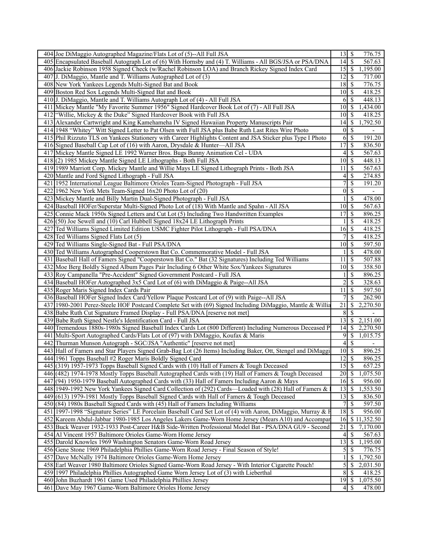|     | 404 Joe DiMaggio Autographed Magazine/Flats Lot of (5)--All Full JSA                                        | $13 \mid S$        |                          | 776.75                   |
|-----|-------------------------------------------------------------------------------------------------------------|--------------------|--------------------------|--------------------------|
|     | 405 Encapsulated Baseball Autograph Lot of (6) With Hornsby and (4) T. Williams - All BGS/JSA or PSA/DNA    | 14                 | $\overline{\mathcal{S}}$ | 567.63                   |
|     | 406 Jackie Robinson 1958 Signed Check (w/Rachel Robinson LOA) and Branch Rickey Signed Index Card           | $15$ $\sqrt{5}$    |                          | 1,195.00                 |
| 407 | J. DiMaggio, Mantle and T. Williams Autographed Lot of (3)                                                  | $12 \mid$ \$       |                          | 717.00                   |
|     | 408 New York Yankees Legends Multi-Signed Bat and Book                                                      | 18                 | \$                       | 776.75                   |
|     | 409 Boston Red Sox Legends Multi-Signed Bat and Book                                                        | 10                 | l \$                     | 418.25                   |
|     | 410 J. DiMaggio, Mantle and T. Williams Autograph Lot of (4) - All Full JSA                                 | 6                  | -\$                      | 448.13                   |
|     | 411 Mickey Mantle "My Favorite Summer 1956" Signed Hardcover Book Lot of (7) - All Full JSA                 | 10 <sup>1</sup>    | $\sqrt{S}$               | 1,434.00                 |
|     | 412 "Willie, Mickey & the Duke" Signed Hardcover Book with Full JSA                                         | 10                 | S                        | 418.25                   |
| 413 | Alexander Cartwright and King Kamehameha IV Signed Hawaiian Property Manuscripts Pair                       | 14                 | -\$                      | 1,792.50                 |
|     | 414 1948 "Whitey" Witt Signed Letter to Pat Olsen with Full JSA plus Babe Ruth Last Rites Wire Photo        | $\mathbf{0}$       | $\mathcal{S}$            |                          |
|     | 415 Phil Rizzuto TLS on Yankees Stationery with Career Highlights Content and JSA Sticker plus Type I Photo | 6                  | $\sqrt{3}$               | 191.20                   |
|     | 416 Signed Baseball Cap Lot of (16) with Aaron, Drysdale & Hunter-All JSA                                   | 17                 | $\mathbb{S}$             | 836.50                   |
|     | 417 Mickey Mantle Signed LE 1992 Warner Bros. Bugs Bunny Animation Cel - UDA                                | 4                  | $\sqrt{S}$               | 567.63                   |
| 418 | (2) 1985 Mickey Mantle Signed LE Lithographs - Both Full JSA                                                | 10                 | $\overline{\mathcal{S}}$ | 448.13                   |
|     | 419 1989 Marriott Corp. Mickey Mantle and Willie Mays LE Signed Lithograph Prints - Both JSA                | 11                 | $\mathbb{S}$             | 567.63                   |
| 420 | Mantle and Ford Signed Lithograph - Full JSA                                                                | 4                  | $\mathcal{S}$            | 274.85                   |
|     | 421 1952 International League Baltimore Orioles Team-Signed Photograph - Full JSA                           | 7                  | $\overline{\mathcal{S}}$ | 191.20                   |
|     | 422 1962 New York Mets Team-Signed 16x20 Photo Lot of (20)                                                  | $\vert 0 \vert$    | $\overline{\mathcal{S}}$ | $\overline{\phantom{a}}$ |
|     | 423 Mickey Mantle and Billy Martin Dual-Signed Photograph - Full JSA                                        | 1                  | $\overline{\mathcal{S}}$ | 478.00                   |
| 424 | Baseball HOFer/Superstar Multi-Signed Photo Lot of (18) With Mantle and Spahn - All JSA                     | 10                 | $\sqrt{S}$               | 567.63                   |
| 425 | Connie Mack 1950s Signed Letters and Cut Lot (5) Including Two Handwritten Examples                         | 17                 | $\overline{\mathcal{S}}$ | 896.25                   |
|     | 426(50) Joe Sewell and (10) Carl Hubbell Signed 18x24 LE Lithograph Prints                                  |                    | $\mathcal{S}$            | 418.25                   |
|     | 427 Ted Williams Signed Limited Edition USMC Fighter Pilot Lithograph - Full PSA/DNA                        | 16                 | <sup>5</sup>             | 418.25                   |
|     | 428 Ted Williams Signed Flats Lot (5)                                                                       | 7                  | $\overline{\mathcal{S}}$ | 418.25                   |
| 429 | Ted Williams Single-Signed Bat - Full PSA/DNA                                                               | 10                 | $\mathbf s$              | 597.50                   |
|     | 430 Ted Williams Autographed Cooperstown Bat Co. Commemorative Model - Full JSA                             |                    | $\mathcal{S}$            | 478.00                   |
| 431 | Baseball Hall of Famers Signed "Cooperstown Bat Co." Bat (32 Signatures) Including Ted Williams             | 11                 | $\mathcal{S}$            | 507.88                   |
| 432 | Moe Berg Boldly Signed Album Pages Pair Including 6 Other White Sox/Yankees Signatures                      | 10                 | $\mathbb{S}$             | 358.50                   |
|     | 433 Roy Campanella "Pre-Accident" Signed Government Postcard - Full JSA                                     |                    | \$                       | 896.25                   |
|     | 434 Baseball HOFer Autographed 3x5 Card Lot of (6) with DiMaggio & Paige--All JSA                           | 2                  | $\mathcal{S}$            | 328.63                   |
|     | 435 Roger Maris Signed Index Cards Pair                                                                     | 11                 | -\$                      | 597.50                   |
|     | 436 Baseball HOFer Signed Index Card/Yellow Plaque Postcard Lot of (9) with Paige--All JSA                  |                    | $\mathbf S$              | 262.90                   |
|     | 437 1980-2001 Perez-Steele HOF Postcard Complete Set with (69) Signed Including DiMaggio, Mantle & Willia   | 21                 | <sup>\$</sup>            | 2,270.50                 |
|     | 438 Babe Ruth Cut Signature Framed Display - Full PSA/DNA [reserve not met]                                 | 8                  | -\$                      |                          |
|     | 439 Babe Ruth Signed Nestle's Identification Card - Full JSA                                                | 13                 | \$                       | 2,151.00                 |
|     | 440 Tremendous 1880s-1980s Signed Baseball Index Cards Lot (800 Different) Including Numerous Deceased P    | 14                 | \$                       | 2,270.50                 |
| 441 | Multi-Sport Autographed Cards/Flats Lot of (97) with DiMaggio, Koufax & Maris                               | 9                  | \$                       | 1,015.75                 |
| 442 | Thurman Munson Autograph - SGC/JSA "Authentic" [reserve not met]                                            | $\overline{4}$     | $\overline{\mathcal{S}}$ |                          |
| 443 | Hall of Famers and Star Players Signed Grab-Bag Lot (26 Items) Including Baker, Ott, Stengel and DiMaggi    | 10                 | $\mathbb{S}$             | 896.25                   |
|     | 444 1961 Topps Baseball #2 Roger Maris Boldly Signed Card                                                   | $\overline{12}$ \$ |                          | 896.25                   |
|     | 445 (319) 1957-1973 Topps Baseball Signed Cards with (10) Hall of Famers & Tough Deceased                   |                    |                          | 657.25                   |
|     | 446 (482) 1974-1978 Mostly Topps Baseball Autographed Cards with (19) Hall of Famers & Tough Deceased       |                    |                          | 1,075.50                 |
|     | 447 (94) 1950-1979 Baseball Autographed Cards with (33) Hall of Famers Including Aaron & Mays               | $16\overline{3}$   |                          | 956.00                   |
|     | 448 1949-1992 New York Yankees Signed Card Collection of (292) Cards—Loaded with (28) Hall of Famers &      | 13                 | \$                       | 1,553.50                 |
| 449 | $(613)$ 1979-1981 Mostly Topps Baseball Signed Cards with Hall of Famers & Tough Deceased                   | 13                 | - S                      | 836.50                   |
|     | 450 (84) 1980s Baseball Signed Cards with (45) Hall of Famers Including Williams                            | 7                  | -\$                      | 597.50                   |
|     | 451 1997-1998 "Signature Series" LE Porcelain Baseball Card Set Lot of (4) with Aaron, DiMaggio, Murray & F | 18                 | -\$                      | 956.00                   |
|     | 452 Kareem Abdul-Jabbar 1980-1985 Los Angeles Lakers Game-Worn Home Jersey (Mears A10) and Accompar         | 16                 |                          | \$11,352.50              |
| 453 | Buck Weaver 1932-1933 Post-Career H&B Side-Written Professional Model Bat - PSA/DNA GU9 - Second            | 21                 | -S                       | 7,170.00                 |
|     | 454 Al Vincent 1957 Baltimore Orioles Game-Worn Home Jersey                                                 | 4                  | \$                       | 567.63                   |
|     | 455 Darold Knowles 1969 Washington Senators Game-Worn Road Jersey                                           | 13                 | \$                       | 1,195.00                 |
|     | 456 Gene Stone 1969 Philadelphia Phillies Game-Worn Road Jersey - Final Season of Style!                    | 5                  | -\$                      | 776.75                   |
| 457 | Dave McNally 1974 Baltimore Orioles Game-Worn Home Jersey                                                   |                    | \$                       | 1,792.50                 |
|     | 458 Earl Weaver 1980 Baltimore Orioles Signed Game-Worn Road Jersey - With Interior Cigarette Pouch!        | 5                  | \$                       | 2,031.50                 |
|     | 459 1997 Philadelphia Phillies Autographed Game Worn Jersey Lot of (3) with Lieberthal                      | 8                  | -S                       | 418.25                   |
|     | 460 John Buzhardt 1961 Game Used Philadelphia Phillies Jersey                                               | 19                 | <b>S</b>                 | 1,075.50                 |
|     | 461 Dave May 1967 Game-Worn Baltimore Orioles Home Jersey                                                   |                    | $4$   \$                 | 478.00                   |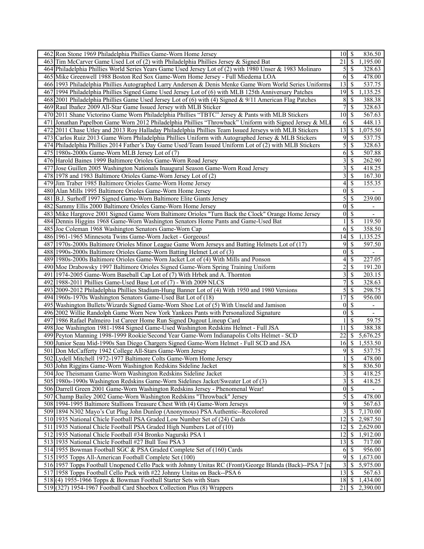| 462 Ron Stone 1969 Philadelphia Phillies Game-Worn Home Jersey                                            | $10 \mid S$      |                          | 836.50                   |
|-----------------------------------------------------------------------------------------------------------|------------------|--------------------------|--------------------------|
| 463 Tim McCarver Game Used Lot of (2) with Philadelphia Phillies Jersey & Signed Bat                      | 21               | <sup>5</sup>             | 1,195.00                 |
| 464 Philadelphia Phillies World Series Years Game Used Jersey Lot of (2) with 1980 Unser & 1983 Molinaro  | $\mathfrak{S}$   | S                        | 328.63                   |
| 465 Mike Greenwell 1988 Boston Red Sox Game-Worn Home Jersey - Full Miedema LOA                           | 6                | $\mathcal{S}$            | 478.00                   |
| 466 1993 Philadelphia Phillies Autographed Larry Andersen & Denis Menke Game Worn World Series Uniforms   | 13               | -\$                      | 537.75                   |
| 467 1994 Philadelphia Phillies Signed Game Used Jersey Lot of (6) with MLB 125th Anniversary Patches      | 19               | 8                        | 1,135.25                 |
| 468 2001 Philadelphia Phillies Game Used Jersey Lot of (6) with (4) Signed & 9/11 American Flag Patches   | 8                | $\mathcal{S}$            | 388.38                   |
| 469 Raul Ibañez 2009 All-Star Game Issued Jersey with MLB Sticker                                         | 7                | $\mathcal{S}$            | 328.63                   |
| 470 2011 Shane Victorino Game Worn Philadelphia Phillies "TBTC" Jersey & Pants with MLB Stickers          | 10               | $\mathbf s$              | 567.63                   |
| Jonathan Papelbon Game Worn 2012 Philadelphia Phillies "Throwback" Uniform with Signed Jersey & ML<br>471 | 6                | $\mathbb{S}$             | 448.13                   |
|                                                                                                           | 13               |                          |                          |
| 2011 Chase Utley and 2013 Roy Halladay Philadelphia Phillies Team Issued Jerseys with MLB Stickers<br>472 |                  | <b>S</b>                 | 1,075.50                 |
| 473<br>Carlos Ruiz 2013 Game Worn Philadelphia Phillies Uniform with Autographed Jersey & MLB Stickers    | 9                | -\$                      | 537.75                   |
| 474 Philadelphia Phillies 2014 Father's Day Game Used/Team Issued Uniform Lot of (2) with MLB Stickers    | 5                | $\mathcal{S}$            | 328.63                   |
| 475 1980s-2000s Game-Worn MLB Jersey Lot of (7)                                                           | 6                | -\$                      | 507.88                   |
| 476 Harold Baines 1999 Baltimore Orioles Game-Worn Road Jersey                                            | 3                | $\mathcal{S}$            | 262.90                   |
| Jose Guillen 2005 Washington Nationals Inaugural Season Game-Worn Road Jersey<br>477                      | 3                | $\mathbb{S}$             | 418.25                   |
| 478 1978 and 1983 Baltimore Orioles Game-Worn Jersey Lot of (2)                                           | 3                | \$                       | 167.30                   |
| 479 Jim Traber 1985 Baltimore Orioles Game-Worn Home Jersey                                               | 4                | $\mathcal{S}$            | 155.35                   |
| 480 Alan Mills 1995 Baltimore Orioles Game-Worn Home Jersey                                               | $\boldsymbol{0}$ | $\overline{\mathcal{S}}$ | $\overline{\phantom{a}}$ |
| 481 B.J. Surhoff 1997 Signed Game-Worn Baltimore Elite Giants Jersey                                      | 5                | \$                       | 239.00                   |
| Sammy Ellis 2000 Baltimore Orioles Game-Worn Home Jersey<br>482                                           | $\boldsymbol{0}$ | $\mathcal{S}$            | $\overline{\phantom{a}}$ |
| Mike Hargrove 2001 Signed Game Worn Baltimore Orioles "Turn Back the Clock" Orange Home Jersey<br>483     | $\mathbf{0}$     | $\mathbb{S}$             | $\overline{\phantom{a}}$ |
| 484 Dennis Higgins 1968 Game-Worn Washington Senators Home Pants and Game-Used Bat                        |                  | \$                       | 119.50                   |
| 485 Joe Coleman 1968 Washington Senators Game-Worn Cap                                                    | 6                | $\mathcal{S}$            | 358.50                   |
| 486 1961-1965 Minnesota Twins Game-Worn Jacket - Gorgeous!                                                | 14               | $\mathcal{S}$            | 1,135.25                 |
| 487 1970s-2000s Baltimore Orioles Minor League Game Worn Jerseys and Batting Helmets Lot of (17)          | 9                | $\overline{\mathcal{S}}$ | 597.50                   |
| 488 1990s-2000s Baltimore Orioles Game-Worn Batting Helmet Lot of (3)                                     | $\boldsymbol{0}$ | $\mathcal{S}$            | $\overline{\phantom{0}}$ |
| 489 1980s-2000s Baltimore Orioles Game-Worn Jacket Lot of (4) With Mills and Ponson                       | 4                | \$                       | 227.05                   |
| 490 Moe Drabowsky 1997 Baltimore Orioles Signed Game-Worn Spring Training Uniform                         | $\overline{c}$   | \$                       | 191.20                   |
| 491 1974-2005 Game-Worn Baseball Cap Lot of (7) With Hrbek and A. Thornton                                | 3                | -\$                      | 203.15                   |
| 492 1988-2011 Phillies Game-Used Base Lot of (7) - With 2009 NLCS                                         | 7                | \$                       | 328.63                   |
| 493 2009-2012 Philadelphia Phillies Stadium-Hung Banner Lot of (4) With 1950 and 1980 Versions            | 5                | $\overline{\mathcal{S}}$ | 298.75                   |
| 494 1960s-1970s Washington Senators Game-Used Bat Lot of (18)                                             | 17               | $\mathcal{S}$            | 956.00                   |
| Washington Bullets/Wizards Signed Game-Worn Shoe Lot of (5) With Unseld and Jamison<br>495                | 0                | $\mathcal{S}$            | $\overline{\phantom{a}}$ |
| 496 2002 Willie Randolph Game Worn New York Yankees Pants with Personalized Signature                     | $\theta$         | $\mathcal{S}$            | $\overline{\phantom{a}}$ |
| 497 1986 Rafael Palmeiro 1st Career Home Run Signed Dugout Lineup Card                                    |                  | $\mathbb{S}$             | 59.75                    |
| 498 Joe Washington 1981-1984 Signed Game-Used Washington Redskins Helmet - Full JSA                       | 11               | \$                       | 388.38                   |
| 499 Peyton Manning 1998-1999 Rookie/Second Year Game-Worn Indianapolis Colts Helmet - SCD                 | 22               | $\mathcal{S}$            | 5,676.25                 |
| 500 Junior Seau Mid-1990s San Diego Chargers Signed Game-Worn Helmet - Full SCD and JSA                   | 16               | -\$                      | 1,553.50                 |
| Don McCafferty 1942 College All-Stars Game-Worn Jersey<br>501                                             | 9                | \$                       | 537.75                   |
| 502 Lydell Mitchell 1972-1977 Baltimore Colts Game-Worn Home Jersey                                       | $\mathbf{1}$     | $\mathcal{S}$            | 478.00                   |
| 503 John Riggins Game-Worn Washington Redskins Sideline Jacket                                            | $8\,$            | $\sqrt{s}$               | 836.50                   |
| 504 Joe Theismann Game-Worn Washington Redskins Sideline Jacket                                           | 3                | $\overline{\mathcal{S}}$ | 418.25                   |
| 505 1980s-1990s Washington Redskins Game-Worn Sidelines Jacket/Sweater Lot of (3)                         | 3                | $\sqrt{3}$               | 418.25                   |
| 506 Darrell Green 2001 Game-Worn Washington Redskins Jersey - Phenomenal Wear!                            | $\boldsymbol{0}$ | $\overline{\mathcal{S}}$ |                          |
| 507<br>Champ Bailey 2002 Game-Worn Washington Redskins "Throwback" Jersey                                 | 5                | $\mathbb{S}$             | 478.00                   |
| 508 1994-1995 Baltimore Stallions Treasure Chest With (4) Game-Worn Jerseys                               | 9                | -S                       | 567.63                   |
| 509 1894 N302 Mayo's Cut Plug John Dunlop (Anonymous) PSA Authentic--Recolored                            | 3                | -\$                      | 7,170.00                 |
| 510 1935 National Chicle Football PSA Graded Low Number Set of (24) Cards                                 | 12               | -\$                      | 2,987.50                 |
| 511 1935 National Chicle Football PSA Graded High Numbers Lot of (10)                                     | 12               | $\mathcal{S}$            | 2,629.00                 |
| 512 1935 National Chicle Football #34 Bronko Nagurski PSA 1                                               | 12               | -S                       | 1,912.00                 |
| 513 1935 National Chicle Football #27 Bull Tosi PSA 3                                                     | 13               | \$                       | 717.00                   |
| 514 1955 Bowman Football SGC & PSA Graded Complete Set of (160) Cards                                     | 6                | 8                        | 956.00                   |
| 515 1955 Topps All-American Football Complete Set (100)                                                   | $\overline{9}$   | -S                       | 1,673.00                 |
| 516 1957 Topps Football Unopened Cello Pack with Johnny Unitas RC (Front)/George Blanda (Back)--PSA 7 [re | 3                | -S                       | 5,975.00                 |
| 517 1958 Topps Football Cello Pack with #22 Johnny Unitas on Back--PSA 6                                  | 13               | l \$                     | 567.63                   |
| 518 (4) 1955-1966 Topps & Bowman Football Starter Sets with Stars                                         | $18$ $\sqrt{5}$  |                          | 1,434.00                 |
| 519 (327) 1954-1967 Football Card Shoebox Collection Plus (8) Wrappers                                    | $21 \mid$ \$     |                          | 2,390.00                 |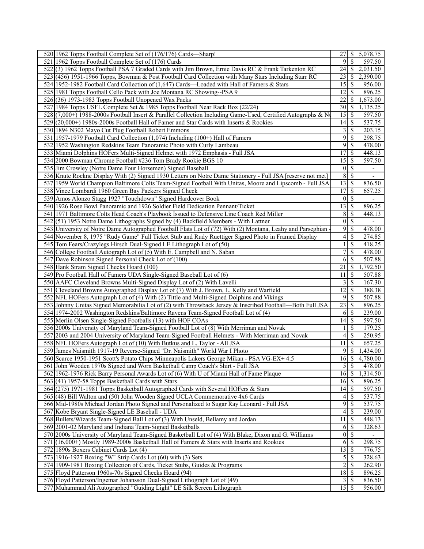| 520 1962 Topps Football Complete Set of (176/176) Cards—Sharp!                                              |                         |                          | 27 \$ 5,078.75           |
|-------------------------------------------------------------------------------------------------------------|-------------------------|--------------------------|--------------------------|
| 521 1962 Topps Football Complete Set of (176) Cards                                                         | 9                       | $\overline{\mathcal{S}}$ | 597.50                   |
| 522(3) 1962 Topps Football PSA 7 Graded Cards with Jim Brown, Ernie Davis RC & Frank Tarkenton RC           | 24                      | -\$                      | 2,031.50                 |
| 523 (456) 1951-1966 Topps, Bowman & Post Football Card Collection with Many Stars Including Starr RC        | 23                      | -S                       | 2,390.00                 |
| 524 1952-1982 Football Card Collection of (1,647) Cards—Loaded with Hall of Famers & Stars                  | 15                      | \$                       | 956.00                   |
| 525 1981 Topps Football Cello Pack with Joe Montana RC Showing--PSA 9                                       | 12                      | -S                       | 896.25                   |
| $526(36)$ 1973-1983 Topps Football Unopened Wax Packs                                                       | 22                      | <sup>\$</sup>            | 1,673.00                 |
| 527 1984 Topps USFL Complete Set & 1985 Topps Football Near Rack Box (22/24)                                | 30                      | - \$                     | 1,135.25                 |
| 528(7,000+) 1988-2000s Football Insert & Parallel Collection Including Game-Used, Certified Autographs & No | 15                      | S                        | 597.50                   |
| 529 (20,000+) 1980s-2000s Football Hall of Famer and Star Cards with Inserts & Rookies                      | 14                      | $\mathbb{S}$             | 537.75                   |
| 530 1894 N302 Mayo Cut Plug Football Robert Emmons                                                          | 3                       | $\mathbb{S}$             | 203.15                   |
| 531 1957-1979 Football Card Collection (1,074) Including (100+) Hall of Famers                              | 9                       | $\mathbb{S}$             | 298.75                   |
|                                                                                                             | 9                       | $\mathcal{S}$            | 478.00                   |
| 532 1952 Washington Redskins Team Panoramic Photo with Curly Lambeau                                        |                         |                          |                          |
| 533 Miami Dolphins HOFers Multi-Signed Helmet with 1972 Emphasis - Full JSA                                 | 17                      | $\overline{\mathcal{S}}$ | 448.13                   |
| 534 2000 Bowman Chrome Football #236 Tom Brady Rookie BGS 10                                                | 15                      | <sup>5</sup>             | 597.50                   |
| 535 Jim Crowley (Notre Dame Four Horsemen) Signed Baseball                                                  | $\boldsymbol{0}$        | $\mathcal{S}$            | $\blacksquare$           |
| 536 Knute Rockne Display With (2) Signed 1930 Letters on Notre Dame Stationery - Full JSA [reserve not met] | 8                       | -S                       | $\overline{\phantom{a}}$ |
| 537 1959 World Champion Baltimore Colts Team-Signed Football With Unitas, Moore and Lipscomb - Full JSA     | $\overline{13}$ \$      |                          | 836.50                   |
| 538 Vince Lombardi 1960 Green Bay Packers Signed Check                                                      | 17                      | <sup>\$</sup>            | 657.25                   |
| 539 Amos Alonzo Stagg 1927 "Touchdown" Signed Hardcover Book                                                | $\mathbf{0}$            | $\overline{\mathcal{S}}$ |                          |
| 540 1926 Rose Bowl Panoramic and 1926 Soldier Field Dedication Pennant/Ticket                               | 13                      | $\mathcal{S}$            | 896.25                   |
| 541 1971 Baltimore Colts Head Coach's Playbook Issued to Defensive Line Coach Red Miller                    | 8                       | <sup>\$</sup>            | 448.13                   |
| 542(51) 1953 Notre Dame Lithographs Signed by (4) Backfield Members - With Lattner                          | $\vert 0 \vert$         | $\mathcal{S}$            |                          |
| 543 University of Notre Dame Autographed Football Flats Lot of (72) With (2) Montana, Leahy and Parseghian  | 9                       | $\mathcal{S}$            | 478.00                   |
| 544 November 8, 1975 "Rudy Game" Full Ticket Stub and Rudy Ruettiger Signed Photo in Framed Display         | 4                       | \$                       | 274.85                   |
| 545 Tom Fears/Crazylegs Hirsch Dual-Signed LE Lithograph Lot of (50)                                        | 1                       | $\mathcal{S}$            | 418.25                   |
| 546 College Football Autograph Lot of (5) With E. Campbell and N. Saban                                     | 7                       | \$                       | 478.00                   |
| 547 Dave Robinson Signed Personal Check Lot of (100)                                                        | 6                       | -\$                      | 507.88                   |
| 548 Hank Stram Signed Checks Hoard (100)                                                                    | 21                      | -\$                      | 1,792.50                 |
| 549 Pro Football Hall of Famers UDA Single-Signed Baseball Lot of (6)                                       | 11                      | \$                       | 507.88                   |
| 550 AAFC Cleveland Browns Multi-Signed Display Lot of (2) With Lavelli                                      | 3                       | -\$                      | 167.30                   |
| 551 Cleveland Browns Autographed Display Lot of (7) With J. Brown, L. Kelly and Warfield                    | 12                      | -\$                      | 388.38                   |
| 552 NFL HOFers Autograph Lot of (4) With (2) Tittle and Multi-Signed Dolphins and Vikings                   | 9                       | $\mathcal{S}$            | $\overline{507}$ .88     |
| 553 Johnny Unitas Signed Memorabilia Lot of (2) with Throwback Jersey & Inscribed Football—Both Full JSA    | 23                      | -S                       | 896.25                   |
| 554 1974-2002 Washington Redskins/Baltimore Ravens Team-Signed Football Lot of (4)                          | 6                       | - \$                     | 239.00                   |
| 555 Merlin Olsen Single-Signed Footballs (13) with HOF COAs                                                 | 14                      | -\$                      | 597.50                   |
| 556 2000s University of Maryland Team-Signed Football Lot of (8) With Merriman and Novak                    |                         | -S                       | 179.25                   |
| 557 2003 and 2004 University of Maryland Team-Signed Football Helmets - With Merriman and Novak             | 4                       | $\mathcal{S}$            | 250.95                   |
| 558 NFL HOFers Autograph Lot of (10) With Butkus and L. Taylor - All JSA                                    | 11                      | \$                       | 657.25                   |
| 559 James Naismith 1917-19 Reverse-Signed "Dr. Naismith" World War I Photo                                  | 9                       | \$                       | 1,434.00                 |
| 560 Scarce 1950-1951 Scott's Potato Chips Minneapolis Lakers George Mikan - PSA VG-EX+ 4.5                  | $16$ $\sqrt{5}$         |                          | 4,780.00                 |
| 561 John Wooden 1970s Signed and Worn Basketball Camp Coach's Shirt - Full JSA                              |                         |                          | 478.00                   |
| 562 1962-1976 Rick Barry Personal Awards Lot of (6) With U of Miami Hall of Fame Plaque                     | $16$ $\sqrt{ }$         |                          | 1,314.50                 |
| 563 (41) 1957-58 Topps Basketball Cards with Stars                                                          | $\overline{16}$ \$      |                          | 896.25                   |
| 564 (275) 1971-1981 Topps Basketball Autographed Cards with Several HOFers & Stars                          |                         |                          | 597.50                   |
| 565 (48) Bill Walton and (50) John Wooden Signed UCLA Commemorative 4x6 Cards                               | 4                       | -S                       | 537.75                   |
| 566 Mid-1980s Michael Jordan Photo Signed and Personalized to Sugar Ray Leonard - Full JSA                  | $\overline{9}$          | -S                       | 537.75                   |
| 567 Kobe Bryant Single-Signed LE Baseball - UDA                                                             | 4                       | $\mathcal{S}$            | 239.00                   |
| 568 Bullets/Wizards Team-Signed Ball Lot of (3) With Unseld, Bellamy and Jordan                             | 11                      | $\mathcal{S}$            | 448.13                   |
| 569 2001-02 Maryland and Indiana Team-Signed Basketballs                                                    | 6                       | <sup>5</sup>             | 328.63                   |
| 570 2000s University of Maryland Team-Signed Basketball Lot of (4) With Blake, Dixon and G. Williams        | 0                       | $\mathbb{S}$             |                          |
| 571 (16,000+) Mostly 1989-2000s Basketball Hall of Famers & Stars with Inserts and Rookies                  | 6                       | -S                       | 298.75                   |
| 572 1890s Boxers Cabinet Cards Lot (4)                                                                      | 13                      | \$                       | 776.75                   |
| 573 1916-1927 Boxing "W" Strip Cards Lot (60) with (3) Sets                                                 | 5                       | $\mathcal{S}$            | 328.63                   |
| 574 1909-1981 Boxing Collection of Cards, Ticket Stubs, Guides & Programs                                   | $\overline{\mathbf{c}}$ | $\mathcal{S}$            | 262.90                   |
| 575 Floyd Patterson 1960s-70s Signed Checks Hoard (94)                                                      | 18                      | l \$                     | 896.25                   |
| 576 Floyd Patterson/Ingemar Johansson Dual-Signed Lithograph Lot of (49)                                    | 3                       | <b>S</b>                 | 836.50                   |
| 577 Muhammad Ali Autographed "Guiding Light" LE Silk Screen Lithograph                                      |                         |                          | 956.00                   |
|                                                                                                             |                         |                          |                          |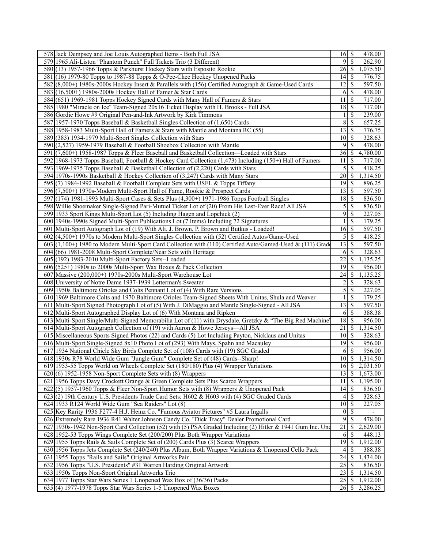| 578 Jack Dempsey and Joe Louis Autographed Items - Both Full JSA                                                                          | $16 \mid$ \$<br>478.00                     |
|-------------------------------------------------------------------------------------------------------------------------------------------|--------------------------------------------|
| 579 1965 Ali-Liston "Phantom Punch" Full Tickets Trio (3 Different)                                                                       | $\overline{\mathcal{S}}$<br>9<br>262.90    |
| 580 (13) 1957-1966 Topps & Parkhurst Hockey Stars with Esposito Rookie                                                                    | 26<br>1,075.50<br>  S                      |
| 581 (16) 1979-80 Topps to 1987-88 Topps & O-Pee-Chee Hockey Unopened Packs                                                                | 14<br>-S<br>776.75                         |
| 582(8,000+) 1980s-2000s Hockey Insert & Parallels with (156) Certified Autograph & Game-Used Cards                                        | <sup>\$</sup><br>12<br>597.50              |
| 583 (16,500+) 1980s-2000s Hockey Hall of Famer & Star Cards                                                                               | 6<br>-S<br>478.00                          |
| 584 (651) 1969-1981 Topps Hockey Signed Cards with Many Hall of Famers & Stars                                                            | $\overline{\mathcal{S}}$<br>11<br>717.00   |
| 585 1980 "Miracle on Ice" Team-Signed 20x16 Ticket Display with H. Brooks - Full JSA                                                      | 18<br>$\sqrt{S}$<br>717.00                 |
| 586 Gordie Howe #9 Original Pen-and-Ink Artwork by Kirk Timmons                                                                           | <sup>\$</sup><br>239.00<br>1               |
| 587 1957-1970 Topps Baseball & Basketball Singles Collection of (1,650) Cards                                                             | 8<br>$\mathbb{S}$<br>657.25                |
| 588 1958-1983 Multi-Sport Hall of Famers & Stars with Mantle and Montana RC (55)                                                          | 13<br>$\mathbb{S}$<br>776.75               |
|                                                                                                                                           | $\overline{10}$<br>$\sqrt{S}$              |
| 589 (383) 1934-1979 Multi-Sport Singles Collection with Stars<br>590 (2,527) 1959-1979 Baseball & Football Shoebox Collection with Mantle | 328.63<br>\$<br>9                          |
|                                                                                                                                           | 478.00                                     |
| 591 (7,600+) 1958-1987 Topps & Fleer Baseball and Basketball Collection—Loaded with Stars                                                 | 36<br>$\mathbb{S}$<br>4,780.00             |
| 592 1968-1973 Topps Baseball, Football & Hockey Card Collection (1,473) Including (150+) Hall of Famers                                   | $\mathcal{S}$<br>11<br>717.00              |
| 593 1969-1975 Topps Baseball & Basketball Collection of (2,220) Cards with Stars                                                          | \$<br>5<br>418.25                          |
| 594 1970s-1990s Basketball & Hockey Collection of (3,247) Cards with Many Stars                                                           | 20<br>$\mathbb{S}$<br>1,314.50             |
| 595(7) 1984-1992 Baseball & Football Complete Sets with USFL & Topps Tiffany                                                              | 19<br>-S<br>896.25                         |
| 596 (7,500+) 1970s-Modern Multi-Sport Hall of Fame, Rookie & Prospect Cards                                                               | $\overline{\mathcal{S}}$<br>13<br>597.50   |
| 597 (174) 1981-1993 Multi-Sport Cases & Sets Plus (4,300+) 1971-1986 Topps Football Singles                                               | 18<br>$\sqrt{S}$<br>836.50                 |
| 598 Willie Shoemaker Single-Signed Pari-Mutuel Ticket Lot of (20) From His Last-Ever Race! All JSA                                        | 5<br>-S<br>836.50                          |
| 599 1933 Sport Kings Multi-Sport Lot (5) Including Hagen and Lopchick (2)                                                                 | $\overline{9}$<br>\$<br>227.05             |
| 600 1940s-1990s Signed Multi-Sport Publications Lot (7 Items) Including 72 Signatures                                                     | $\mathbf{1}$<br>$\mathbb{S}$<br>179.25     |
| 601 Multi-Sport Autograph Lot of (19) With Ali, J. Brown, P. Brown and Butkus - Loaded!                                                   | 16<br>$\mathbb{S}$<br>597.50               |
| 602 (4,500+) 1970s to Modern Multi-Sport Singles Collection with (52) Certified Autos/Game-Used                                           | $\overline{\mathcal{S}}$<br>5<br>418.25    |
| $603(1,100+)$ 1980 to Modern Multi-Sport Card Collection with (110) Certified Auto/Gamed-Used & (111) Grade                               | $\overline{13}$<br>597.50<br>$\sqrt{S}$    |
| 604 (66) 1981-2008 Multi-Sport Complete/Near Sets with Heritage                                                                           | -S<br>328.63<br>6                          |
| 605 (192) 1983-2010 Multi-Sport Factory Sets--Loaded                                                                                      | 22<br>\$<br>1,135.25                       |
| $606$ (525+) 1980s to 2000s Multi-Sport Wax Boxes & Pack Collection                                                                       | 19<br>$\mathcal{S}$<br>956.00              |
| 607 Massive (200,000+) 1970s-2000s Multi-Sport Warehouse Lot                                                                              | 24<br>$\mathbb{S}$<br>1,135.25             |
|                                                                                                                                           |                                            |
| 608 University of Notre Dame 1937-1939 Letterman's Sweater                                                                                | $\mathbb{S}$<br>2<br>328.63                |
| 609 1950s Baltimore Orioles and Colts Pennant Lot of (4) With Rare Versions                                                               | $\overline{5}$<br>$\sqrt{S}$<br>227.05     |
| 610 1969 Baltimore Colts and 1970 Baltimore Orioles Team-Signed Sheets With Unitas, Shula and Weaver                                      | \$<br>1<br>179.25                          |
| 611 Multi-Sport Signed Photograph Lot of (5) With J. DiMaggio and Mantle Single-Signed - All JSA                                          | 13<br>$\mathbb{S}$<br>597.50               |
| 612 Multi-Sport Autographed Display Lot of (6) With Montana and Ripken                                                                    | 6<br>$\mathcal{S}$<br>388.38               |
| 613 Multi-Sport Single/Multi-Signed Memorabilia Lot of (11) with Drysdale, Gretzky & "The Big Red Machine"                                | 18 <br>$\mathbb{S}$<br>956.00              |
| 614 Multi-Sport Autograph Collection of (19) with Aaron & Howe Jerseys—All JSA                                                            | 21<br>$\mathcal{S}$<br>1,314.50            |
| 615 Miscellaneous Sports Signed Photos (22) and Cards (5) Lot Including Payton, Nicklaus and Unitas                                       | 10<br>328.63<br>$\sqrt{S}$                 |
| 616 Multi-Sport Single-Signed 8x10 Photo Lot of (293) With Mays, Spahn and Macauley                                                       | 19<br>$\mathcal{S}$<br>956.00              |
| 617 1934 National Chicle Sky Birds Complete Set of (108) Cards with (19) SGC Graded                                                       | $\mathbb{S}$<br>956.00<br>6                |
| 618 1930s R78 World Wide Gum "Jungle Gum" Complete Set of (48) Cards--Sharp!                                                              | $10\overline{\smash{)}\,}$<br>1,314.50     |
| 619 1953-55 Topps World on Wheels Complete Set (180/180) Plus (4) Wrapper Variations                                                      | $\overline{16}$ \$ 2,031.50                |
| $620(6)$ 1952-1958 Non-Sport Complete Sets with (8) Wrappers                                                                              | $\overline{\mathcal{S}}$<br>13<br>1,673.00 |
| 621 1956 Topps Davy Crockett Orange & Green Complete Sets Plus Scarce Wrappers                                                            | $\overline{\mathcal{S}}$<br>1,195.00<br>11 |
| $622(5)$ 1957-1960 Topps & Fleer Non-Sport Humor Sets with (8) Wrappers & Unopened Pack                                                   | $\mathbb{S}$<br>836.50<br>14               |
| 623(2) 19th Century U.S. Presidents Trade Card Sets: H602 & H603 with (4) SGC Graded Cards                                                | $\mathbb{S}$<br>328.63<br>4                |
| 624 1933 R124 World Wide Gum "Sea Raiders" Lot (8)                                                                                        | $\overline{10}$<br>-\$<br>227.05           |
| 625 Key Rarity 1936 F277-4 H.J. Heinz Co. "Famous Aviator Pictures" #5 Laura Ingalls                                                      | $\overline{\$}$<br>$\vert 0 \vert$         |
| 626 Extremely Rare 1936 R41 Walter Johnson Candy Co. "Dick Tracy" Dealer Promotional Card                                                 | 9<br>$\overline{\mathcal{S}}$<br>478.00    |
| 627 1930s-1942 Non-Sport Card Collection (52) with (5) PSA Graded Including (2) Hitler & 1941 Gum Inc. Und                                | 21<br>2,629.00<br>$\mathbb S$              |
| 628 1952-53 Topps Wings Complete Set (200/200) Plus Both Wrapper Variations                                                               | $\mathbb{S}$<br>6<br>448.13                |
| 629 1955 Topps Rails & Sails Complete Set of (200) Cards Plus (3) Scarce Wrappers                                                         | 19<br>$\mathbb{S}$<br>1,912.00             |
| 630 1956 Topps Jets Complete Set (240/240) Plus Album, Both Wrapper Variations & Unopened Cello Pack                                      | 4<br><sup>\$</sup><br>388.38               |
| 631 1955 Topps "Rails and Sails" Original Artworks Pair                                                                                   | 24<br>$\mathbb{S}$<br>1,434.00             |
| 632 1956 Topps "U.S. Presidents" #31 Warren Harding Original Artwork                                                                      | $\overline{25}$<br>$\mathcal{S}$<br>836.50 |
| 633 1950s Topps Non-Sport Original Artworks Trio                                                                                          | 23<br>1,314.50<br><sup>S</sup>             |
| 634 1977 Topps Star Wars Series 1 Unopened Wax Box of (36/36) Packs                                                                       | 25<br>$\mathbb{S}$<br>1,912.00             |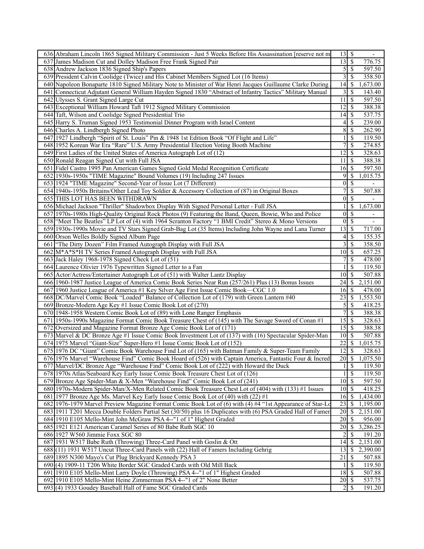| 636 Abraham Lincoln 1865 Signed Military Commission - Just 5 Weeks Before His Assassination [reserve not m  | 13              | -\$                       |                          |
|-------------------------------------------------------------------------------------------------------------|-----------------|---------------------------|--------------------------|
| 637 James Madison Cut and Dolley Madison Free Frank Signed Pair                                             | 13              | -\$                       | 776.75                   |
| 638 Andrew Jackson 1836 Signed Ship's Papers                                                                | $\mathfrak{S}$  | -\$                       | 597.50                   |
| 639 President Calvin Coolidge (Twice) and His Cabinet Members Signed Lot (16 Items)                         | 3               | S                         | 358.50                   |
| 640 Napoleon Bonaparte 1810 Signed Military Note to Minister of War Henri Jacques Guillaume Clarke During   | 14              | S                         | 1,673.00                 |
| 641 Connecticut Adjutant General William Hayden Signed 1830 "Abstract of Infantry Tactics" Military Manual  | 3               | \$                        | 143.40                   |
| 642 Ulysses S. Grant Signed Large Cut                                                                       | 11              | \$                        | 597.50                   |
| 643 Exceptional William Howard Taft 1912 Signed Military Commission                                         | 12              | S                         | 388.38                   |
| 644 Taft, Wilson and Coolidge Signed Presidential Trio                                                      | 14              | -S                        | 537.75                   |
| 645 Harry S. Truman Signed 1953 Testimonial Dinner Program with Israel Content                              | 4               | \$                        | 239.00                   |
| 646 Charles A. Lindbergh Signed Photo                                                                       | 8               | \$                        | 262.90                   |
| 647 1927 Lindbergh "Spirit of St. Louis" Pin & 1948 1st Edition Book "Of Flight and Life"                   |                 | \$                        | 119.50                   |
| 648 1952 Korean War Era "Rare" U.S. Army Presidential Election Voting Booth Machine                         | 7               | <sup>\$</sup>             | 274.85                   |
| 649 First Ladies of the United States of America Autograph Lot of (12)                                      | 12              | \$                        | 328.63                   |
| 650 Ronald Reagan Signed Cut with Full JSA                                                                  | 11              | -\$                       | 388.38                   |
| 651 Fidel Castro 1995 Pan American Games Signed Gold Medal Recognition Certificate                          |                 |                           | 597.50                   |
|                                                                                                             |                 |                           |                          |
| 652 1930s-1950s "TIME Magazine" Bound Volumes (19) Including 247 Issues                                     | 9               | S                         | 1,015.75                 |
| 653 1924 "TIME Magazine" Second-Year of Issue Lot (7 Different)                                             | $\vert 0 \vert$ | $\boldsymbol{\mathsf{S}}$ |                          |
| 654 1940s-1950s Britains/Other Lead Toy Soldier & Accessory Collection of (87) in Original Boxes            | 7               | \$                        | 507.88                   |
| 655 THIS LOT HAS BEEN WITHDRAWN                                                                             | $\vert 0 \vert$ | \$                        |                          |
| 656 Michael Jackson "Thriller" Shadowbox Display With Signed Personal Letter - Full JSA                     | 1               | <sup>\$</sup>             | 1,673.00                 |
| 657 1970s-1980s High-Quality Original Rock Photos (9) Featuring the Band, Queen, Bowie, Who and Police      | $\vert 0 \vert$ | $\mathbf{\$}$             | $\overline{\phantom{a}}$ |
| 658 "Meet The Beatles" LP Lot of (4) with 1964 Scranton Factory "1 BMI Credit" Stereo & Mono Versions       | $\bf{0}$        | \$                        |                          |
| 659 1930s-1990s Movie and TV Stars Signed Grab-Bag Lot (35 Items) Including John Wayne and Lana Turner      | 13              | $\boldsymbol{\mathsf{S}}$ | 717.00                   |
| 660 Orson Welles Boldly Signed Album Page                                                                   | 4               | \$                        | 155.35                   |
| 661   "The Dirty Dozen" Film Framed Autograph Display with Full JSA                                         | 3               | \$                        | 358.50                   |
| 662 M*A*S*H TV Series Framed Autograph Display with Full JSA                                                | 10 <sup>1</sup> | -\$                       | 657.25                   |
| 663 Jack Haley 1968-1978 Signed Check Lot of (51)                                                           | 7               | S                         | 478.00                   |
| 664 Laurence Olivier 1976 Typewritten Signed Letter to a Fan                                                | -1              | \$                        | 119.50                   |
| 665 Actor/Actress/Entertainer Autograph Lot of (51) with Walter Lantz Display                               | 10 <sup>1</sup> | -S                        | 507.88                   |
| 666 1960-1987 Justice League of America Comic Book Series Near Run (257/261) Plus (13) Bonus Issues         | 24              | <sup>\$</sup>             | 2,151.00                 |
| 667 1960 Justice League of America #1 Key Silver Age First Issue Comic Book—CGC 1.0                         | 16              | S                         | 478.00                   |
| 668 DC/Marvel Comic Book "Loaded" Balance of Collection Lot of (179) with Green Lantern #40                 | 23              | -\$                       | 1,553.50                 |
| 669 Bronze-Modern Age Key #1 Issue Comic Book Lot of (270)                                                  | 5               | <sup>\$</sup>             | 418.25                   |
| 670 1948-1958 Western Comic Book Lot of (89) with Lone Ranger Emphasis                                      | 7               | \$                        | 388.38                   |
| 671 1950s-1990s Magazine Format Comic Book Treasure Chest of (145) with The Savage Sword of Conan #1        | 15              | $\boldsymbol{\mathsf{S}}$ | 328.63                   |
| 672 Oversized and Magazine Format Bronze Age Comic Book Lot of (171)                                        | 15              | -\$                       | 388.38                   |
| 673 Marvel & DC Bronze Age #1 Issue Comic Book Investment Lot of (137) with (16) Spectacular Spider-Man     | 10              | -\$                       | 507.88                   |
| 674 1975 Marvel "Giant-Size" Super-Hero #1 Issue Comic Book Lot of (152)                                    | 22              | \$                        | 1,015.75                 |
| 675 1976 DC "Giant" Comic Book Warehouse Find Lot of (165) with Batman Family & Super-Team Family           | 12              | $\overline{\mathcal{S}}$  | 328.63                   |
| 676 1976 Marvel "Warehouse Find" Comic Book Hoard of (526) with Captain America, Fantastic Four & Incred    | 20              | $\mathbb{S}$              | 1,075.50                 |
| 677 Marvel/DC Bronze Age "Warehouse Find" Comic Book Lot of (222) with Howard the Duck                      |                 | \$                        | 119.50                   |
| 678 1970s Atlas/Seaboard Key Early Issue Comic Book Treasure Chest Lot of (126)                             | 1               | $\mathbb{S}$              | 119.50                   |
| 679 Bronze Age Spider-Man & X-Men "Warehouse Find" Comic Book Lot of (241)                                  |                 |                           | 597.50                   |
| 680 1970s-Modern Spider-Man/X-Men Related Comic Book Treasure Chest Lot of (404) with (133) #1 Issues       | $10 \mid S$     |                           | 418.25                   |
| 681 1977 Bronze Age Ms. Marvel Key Early Issue Comic Book Lot of (40) with (22) #1                          | 16              | -\$                       | 1,434.00                 |
| 682 1976-1979 Marvel Preview Magazine Format Comic Book Lot of (6) with (4) #4 "1st Appearance of Star-Lo   | 23              | \$                        | 1,195.00                 |
| 683 1911 T201 Mecca Double Folders Partial Set (30/50) plus 16 Duplicates with (6) PSA Graded Hall of Famer | 20              | \$                        | 2,151.00                 |
| 684 1910 E105 Mello-Mint John McGraw PSA 4--"1 of 1" Highest Graded                                         | 20 <sub>l</sub> | \$                        | 956.00                   |
| 685 1921 E121 American Caramel Series of 80 Babe Ruth SGC 10                                                | 20              | -\$                       | 3,286.25                 |
| 686 1927 W560 Jimmie Foxx SGC 80                                                                            |                 | \$                        | 191.20                   |
| 687 1931 W517 Babe Ruth (Throwing) Three-Card Panel with Goslin & Ott                                       | 14              | \$                        | 2,151.00                 |
| 688 (11) 1931 W517 Uncut Three-Card Panels with (22) Hall of Famers Including Gehrig                        | 13              | \$                        | 2,390.00                 |
| 689 1895 N300 Mayo's Cut Plug Brickyard Kennedy PSA 3                                                       | 21              | \$                        | 507.88                   |
| 690(4) 1909-11 T206 White Border SGC Graded Cards with Old Mill Back                                        | 1               | -S                        | 119.50                   |
| 691 1910 E105 Mello-Mint Larry Doyle (Throwing) PSA 4--"1 of 1" Highest Graded                              |                 |                           | 507.88                   |
| 692 1910 E105 Mello-Mint Heine Zimmerman PSA 4--"1 of 2" None Better                                        | 20              | - \$                      | 537.75                   |
| 693(4) 1933 Goudey Baseball Hall of Fame SGC Graded Cards                                                   | $\overline{2}$  | S                         | 191.20                   |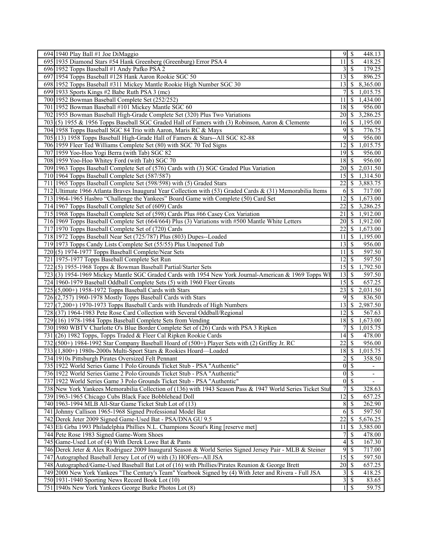| 694 1940 Play Ball #1 Joe DiMaggio<br>$9 \mid$ \$<br>448.13<br><sup>5</sup><br>695 1935 Diamond Stars #54 Hank Greenberg (Greenburg) Error PSA 4<br>11<br>418.25<br>179.25<br>696 1952 Topps Baseball #1 Andy Pafko PSA 2<br>3<br>$\sqrt{S}$<br>1954 Topps Baseball #128 Hank Aaron Rookie SGC 50<br>13<br>-S<br>896.25<br>697<br>698 1952 Topps Baseball #311 Mickey Mantle Rookie High Number SGC 30<br>13<br>8,365.00<br>  S<br>699 1933 Sports Kings #2 Babe Ruth PSA 3 (mc)<br>7<br>-S<br>1,015.75<br>700 1952 Bowman Baseball Complete Set (252/252)<br>11<br>1,434.00<br>-S<br>701 1952 Bowman Baseball #101 Mickey Mantle SGC 60<br>956.00<br>18<br>-S<br>702 1955 Bowman Baseball High-Grade Complete Set (320) Plus Two Variations<br>20<br>$\sqrt{S}$<br>3,286.25<br>703(5) 1955 & 1956 Topps Baseball SGC Graded Hall of Famers with (3) Robinson, Aaron & Clemente<br>  \$<br>1,195.00<br>16<br>704 1958 Topps Baseball SGC 84 Trio with Aaron, Maris RC & Mays<br>9<br>-S<br>776.75<br>9<br>705 (13) 1958 Topps Baseball High-Grade Hall of Famers & Stars--All SGC 82-88<br>$\mathbb{S}$<br>956.00<br>706 1959 Fleer Ted Williams Complete Set (80) with SGC 70 Ted Signs<br>1,015.75<br>12<br>  S<br>707 1959 Yoo-Hoo Yogi Berra (with Tab) SGC 82<br>956.00<br>19<br>-\$<br>708 1959 Yoo-Hoo Whitey Ford (with Tab) SGC 70<br>$\sqrt{S}$<br>956.00<br>18<br>709 1963 Topps Baseball Complete Set of (576) Cards with (3) SGC Graded Plus Variation<br>2,031.50<br>20<br>$\sqrt{S}$<br>710 1964 Topps Baseball Complete Set (587/587)<br>15<br>1,314.50<br>-S<br>711 1965 Topps Baseball Complete Set (598/598) with (5) Graded Stars<br>22<br>3,883.75<br>-S<br>712 Ultimate 1966 Atlanta Braves Inaugural Year Collection with (53) Graded Cards & (31) Memorabilia Items<br>-\$<br>717.00<br>6<br>713 1964-1965 Hasbro "Challenge the Yankees" Board Game with Complete (50) Card Set<br>12<br>-S<br>1,673.00<br>714 1967 Topps Baseball Complete Set of (609) Cards<br>22<br>3,286.25<br>-S<br>715 1968 Topps Baseball Complete Set of (598) Cards Plus #66 Casey Cox Variation<br>21<br>$\mathbb{S}$<br>$\overline{1,912.00}$<br>716 1969 Topps Baseball Complete Set (664/664) Plus (3) Variations with #500 Mantle White Letters<br>20<br>-S<br>1,912.00<br>717 1970 Topps Baseball Complete Set of (720) Cards<br>22<br>-\$<br>1,673.00<br>718 1972 Topps Baseball Near Set (725/787) Plus (803) Dupes--Loaded<br>1,195.00<br>11<br>-S<br>719 1973 Topps Candy Lists Complete Set (55/55) Plus Unopened Tub<br>956.00<br>13<br>-S<br>(5) 1974-1977 Topps Baseball Complete/Near Sets<br>597.50<br>720<br>11<br>-S<br>$\mathcal{S}$<br>597.50<br>721 1975-1977 Topps Baseball Complete Set Run<br>12<br>1,792.50<br>722<br>$(5)$ 1955-1968 Topps & Bowman Baseball Partial/Starter Sets<br>15<br>-S<br>723(3) 1954-1969 Mickey Mantle SGC Graded Cards with 1954 New York Journal-American & 1969 Topps Wh<br>13<br>597.50<br>∣\$.<br>724 1960-1979 Baseball Oddball Complete Sets (5) with 1960 Fleer Greats<br>15<br>-\$<br>657.25<br>$725$ (5,000+) 1958-1972 Topps Baseball Cards with Stars<br>23<br>2,031.50<br>-S<br>$726$ $(2,757)$ 1960-1978 Mostly Topps Baseball Cards with Stars<br>-S<br>9<br>836.50<br>727 (7,200+) 1970-1973 Topps Baseball Cards with Hundreds of High Numbers<br>$\mathbb{S}$<br>2,987.50<br>13<br>728 (37) 1964-1983 Pete Rose Card Collection with Several Oddball/Regional<br>12<br>-S<br>567.63<br>(16) 1978-1984 Topps Baseball Complete Sets from Vending<br>729<br>18<br>-S<br>1,673.00<br>1,015.75<br>730 1980 WBTV Charlotte O's Blue Border Complete Set of (26) Cards with PSA 3 Ripken<br><sup>\$</sup><br>$\sqrt{S}$<br>478.00<br>731<br>$(26)$ 1982 Topps, Topps Traded & Fleer Cal Ripken Rookie Cards<br>14<br>732 (500+) 1984-1992 Star Company Baseball Hoard of (500+) Player Sets with (2) Griffey Jr. RC<br>22<br>$\mathbb{S}$<br>956.00<br>18S<br>733(1,800+) 1980s-2000s Multi-Sport Stars & Rookies Hoard—Loaded<br>1,015.75<br>$\overline{c}$<br>$\overline{\mathcal{S}}$<br>734 1910s Pittsburgh Pirates Oversized Felt Pennant<br>358.50<br>$\overline{0}$<br>735 1922 World Series Game 1 Polo Grounds Ticket Stub - PSA "Authentic"<br><b>S</b><br>$\vert 0 \vert$<br>736 1922 World Series Game 2 Polo Grounds Ticket Stub - PSA "Authentic"<br>-\$<br>$\overline{0}$<br>$\overline{\mathcal{S}}$<br>737 1922 World Series Game 3 Polo Grounds Ticket Stub - PSA "Authentic"<br>738 New York Yankees Memorabilia Collection of (136) with 1943 Season Pass & 1947 World Series Ticket Stul<br><sup>\$</sup><br>328.63<br>12<br>$\mathcal{S}$<br>657.25<br>739 1963-1965 Chicago Cubs Black Face Bobblehead Doll<br>8<br>262.90<br>740 1963-1994 MLB All-Star Game Ticket Stub Lot of (13)<br>-S<br>6<br>-\$<br>597.50<br>741 Johnny Callison 1965-1968 Signed Professional Model Bat<br>22<br>5,676.25<br>742 Derek Jeter 2009 Signed Game-Used Bat - PSA/DNA GU 9.5<br>-S<br>$\overline{11}$<br>743 Eli Grba 1993 Philadelphia Phillies N.L. Champions Scout's Ring [reserve met]<br>$\hat{\mathbb{S}}$<br>3,585.00<br>\$<br>744 Pete Rose 1983 Signed Game-Worn Shoes<br>478.00<br>7<br>$\mathcal{S}$<br>745 Game-Used Lot of (4) With Derek Lowe Bat & Pants<br>4<br>167.30<br>$\overline{9}$<br>746 Derek Jeter & Alex Rodriguez 2009 Inaugural Season & World Series Signed Jersey Pair - MLB & Steiner<br>$\sqrt{S}$<br>717.00<br>$\overline{15}$<br>747 Autographed Baseball Jersey Lot of (9) with (3) HOFers--All JSA<br>$\sqrt{S}$<br>597.50<br>657.25<br>748 Autographed/Game-Used Baseball Bat Lot of (16) with Phillies/Pirates Reunion & George Brett<br>20<br>  \$<br>749 2000 New York Yankees "The Century's Team" Yearbook Signed by (4) With Jeter and Rivera - Full JSA<br>3<br>418.25<br>8<br>3<br>750 1931-1940 Sporting News Record Book Lot (10)<br>$\mathcal{S}$<br>83.65<br>751 1940s New York Yankees George Burke Photos Lot (8)<br>$1 \mid S$<br>59.75 |  |  |  |
|---------------------------------------------------------------------------------------------------------------------------------------------------------------------------------------------------------------------------------------------------------------------------------------------------------------------------------------------------------------------------------------------------------------------------------------------------------------------------------------------------------------------------------------------------------------------------------------------------------------------------------------------------------------------------------------------------------------------------------------------------------------------------------------------------------------------------------------------------------------------------------------------------------------------------------------------------------------------------------------------------------------------------------------------------------------------------------------------------------------------------------------------------------------------------------------------------------------------------------------------------------------------------------------------------------------------------------------------------------------------------------------------------------------------------------------------------------------------------------------------------------------------------------------------------------------------------------------------------------------------------------------------------------------------------------------------------------------------------------------------------------------------------------------------------------------------------------------------------------------------------------------------------------------------------------------------------------------------------------------------------------------------------------------------------------------------------------------------------------------------------------------------------------------------------------------------------------------------------------------------------------------------------------------------------------------------------------------------------------------------------------------------------------------------------------------------------------------------------------------------------------------------------------------------------------------------------------------------------------------------------------------------------------------------------------------------------------------------------------------------------------------------------------------------------------------------------------------------------------------------------------------------------------------------------------------------------------------------------------------------------------------------------------------------------------------------------------------------------------------------------------------------------------------------------------------------------------------------------------------------------------------------------------------------------------------------------------------------------------------------------------------------------------------------------------------------------------------------------------------------------------------------------------------------------------------------------------------------------------------------------------------------------------------------------------------------------------------------------------------------------------------------------------------------------------------------------------------------------------------------------------------------------------------------------------------------------------------------------------------------------------------------------------------------------------------------------------------------------------------------------------------------------------------------------------------------------------------------------------------------------------------------------------------------------------------------------------------------------------------------------------------------------------------------------------------------------------------------------------------------------------------------------------------------------------------------------------------------------------------------------------------------------------------------------------------------------------------------------------------------------------------------------------------------------------------------------------------------------------------------------------------------------------------------------------------------------------------------------------------------------------------------------------------------------------------------------------------------------------------------------------------------------------------------------------------------------------------------------------------------------------------------------------------------------------------------------------------------------------------------------------------------------------------------------------------------------------------------------------------------------------------------------------------------------------------------------------------------------------------------------------------------------------------------------------------------------------------------------------------------------------------------------------------------------------------------------------------------------------------------------------------------------------------------------------------------------------------------------|--|--|--|
|                                                                                                                                                                                                                                                                                                                                                                                                                                                                                                                                                                                                                                                                                                                                                                                                                                                                                                                                                                                                                                                                                                                                                                                                                                                                                                                                                                                                                                                                                                                                                                                                                                                                                                                                                                                                                                                                                                                                                                                                                                                                                                                                                                                                                                                                                                                                                                                                                                                                                                                                                                                                                                                                                                                                                                                                                                                                                                                                                                                                                                                                                                                                                                                                                                                                                                                                                                                                                                                                                                                                                                                                                                                                                                                                                                                                                                                                                                                                                                                                                                                                                                                                                                                                                                                                                                                                                                                                                                                                                                                                                                                                                                                                                                                                                                                                                                                                                                                                                                                                                                                                                                                                                                                                                                                                                                                                                                                                                                                                                                                                                                                                                                                                                                                                                                                                                                                                                                                                                                           |  |  |  |
|                                                                                                                                                                                                                                                                                                                                                                                                                                                                                                                                                                                                                                                                                                                                                                                                                                                                                                                                                                                                                                                                                                                                                                                                                                                                                                                                                                                                                                                                                                                                                                                                                                                                                                                                                                                                                                                                                                                                                                                                                                                                                                                                                                                                                                                                                                                                                                                                                                                                                                                                                                                                                                                                                                                                                                                                                                                                                                                                                                                                                                                                                                                                                                                                                                                                                                                                                                                                                                                                                                                                                                                                                                                                                                                                                                                                                                                                                                                                                                                                                                                                                                                                                                                                                                                                                                                                                                                                                                                                                                                                                                                                                                                                                                                                                                                                                                                                                                                                                                                                                                                                                                                                                                                                                                                                                                                                                                                                                                                                                                                                                                                                                                                                                                                                                                                                                                                                                                                                                                           |  |  |  |
|                                                                                                                                                                                                                                                                                                                                                                                                                                                                                                                                                                                                                                                                                                                                                                                                                                                                                                                                                                                                                                                                                                                                                                                                                                                                                                                                                                                                                                                                                                                                                                                                                                                                                                                                                                                                                                                                                                                                                                                                                                                                                                                                                                                                                                                                                                                                                                                                                                                                                                                                                                                                                                                                                                                                                                                                                                                                                                                                                                                                                                                                                                                                                                                                                                                                                                                                                                                                                                                                                                                                                                                                                                                                                                                                                                                                                                                                                                                                                                                                                                                                                                                                                                                                                                                                                                                                                                                                                                                                                                                                                                                                                                                                                                                                                                                                                                                                                                                                                                                                                                                                                                                                                                                                                                                                                                                                                                                                                                                                                                                                                                                                                                                                                                                                                                                                                                                                                                                                                                           |  |  |  |
|                                                                                                                                                                                                                                                                                                                                                                                                                                                                                                                                                                                                                                                                                                                                                                                                                                                                                                                                                                                                                                                                                                                                                                                                                                                                                                                                                                                                                                                                                                                                                                                                                                                                                                                                                                                                                                                                                                                                                                                                                                                                                                                                                                                                                                                                                                                                                                                                                                                                                                                                                                                                                                                                                                                                                                                                                                                                                                                                                                                                                                                                                                                                                                                                                                                                                                                                                                                                                                                                                                                                                                                                                                                                                                                                                                                                                                                                                                                                                                                                                                                                                                                                                                                                                                                                                                                                                                                                                                                                                                                                                                                                                                                                                                                                                                                                                                                                                                                                                                                                                                                                                                                                                                                                                                                                                                                                                                                                                                                                                                                                                                                                                                                                                                                                                                                                                                                                                                                                                                           |  |  |  |
|                                                                                                                                                                                                                                                                                                                                                                                                                                                                                                                                                                                                                                                                                                                                                                                                                                                                                                                                                                                                                                                                                                                                                                                                                                                                                                                                                                                                                                                                                                                                                                                                                                                                                                                                                                                                                                                                                                                                                                                                                                                                                                                                                                                                                                                                                                                                                                                                                                                                                                                                                                                                                                                                                                                                                                                                                                                                                                                                                                                                                                                                                                                                                                                                                                                                                                                                                                                                                                                                                                                                                                                                                                                                                                                                                                                                                                                                                                                                                                                                                                                                                                                                                                                                                                                                                                                                                                                                                                                                                                                                                                                                                                                                                                                                                                                                                                                                                                                                                                                                                                                                                                                                                                                                                                                                                                                                                                                                                                                                                                                                                                                                                                                                                                                                                                                                                                                                                                                                                                           |  |  |  |
|                                                                                                                                                                                                                                                                                                                                                                                                                                                                                                                                                                                                                                                                                                                                                                                                                                                                                                                                                                                                                                                                                                                                                                                                                                                                                                                                                                                                                                                                                                                                                                                                                                                                                                                                                                                                                                                                                                                                                                                                                                                                                                                                                                                                                                                                                                                                                                                                                                                                                                                                                                                                                                                                                                                                                                                                                                                                                                                                                                                                                                                                                                                                                                                                                                                                                                                                                                                                                                                                                                                                                                                                                                                                                                                                                                                                                                                                                                                                                                                                                                                                                                                                                                                                                                                                                                                                                                                                                                                                                                                                                                                                                                                                                                                                                                                                                                                                                                                                                                                                                                                                                                                                                                                                                                                                                                                                                                                                                                                                                                                                                                                                                                                                                                                                                                                                                                                                                                                                                                           |  |  |  |
|                                                                                                                                                                                                                                                                                                                                                                                                                                                                                                                                                                                                                                                                                                                                                                                                                                                                                                                                                                                                                                                                                                                                                                                                                                                                                                                                                                                                                                                                                                                                                                                                                                                                                                                                                                                                                                                                                                                                                                                                                                                                                                                                                                                                                                                                                                                                                                                                                                                                                                                                                                                                                                                                                                                                                                                                                                                                                                                                                                                                                                                                                                                                                                                                                                                                                                                                                                                                                                                                                                                                                                                                                                                                                                                                                                                                                                                                                                                                                                                                                                                                                                                                                                                                                                                                                                                                                                                                                                                                                                                                                                                                                                                                                                                                                                                                                                                                                                                                                                                                                                                                                                                                                                                                                                                                                                                                                                                                                                                                                                                                                                                                                                                                                                                                                                                                                                                                                                                                                                           |  |  |  |
|                                                                                                                                                                                                                                                                                                                                                                                                                                                                                                                                                                                                                                                                                                                                                                                                                                                                                                                                                                                                                                                                                                                                                                                                                                                                                                                                                                                                                                                                                                                                                                                                                                                                                                                                                                                                                                                                                                                                                                                                                                                                                                                                                                                                                                                                                                                                                                                                                                                                                                                                                                                                                                                                                                                                                                                                                                                                                                                                                                                                                                                                                                                                                                                                                                                                                                                                                                                                                                                                                                                                                                                                                                                                                                                                                                                                                                                                                                                                                                                                                                                                                                                                                                                                                                                                                                                                                                                                                                                                                                                                                                                                                                                                                                                                                                                                                                                                                                                                                                                                                                                                                                                                                                                                                                                                                                                                                                                                                                                                                                                                                                                                                                                                                                                                                                                                                                                                                                                                                                           |  |  |  |
|                                                                                                                                                                                                                                                                                                                                                                                                                                                                                                                                                                                                                                                                                                                                                                                                                                                                                                                                                                                                                                                                                                                                                                                                                                                                                                                                                                                                                                                                                                                                                                                                                                                                                                                                                                                                                                                                                                                                                                                                                                                                                                                                                                                                                                                                                                                                                                                                                                                                                                                                                                                                                                                                                                                                                                                                                                                                                                                                                                                                                                                                                                                                                                                                                                                                                                                                                                                                                                                                                                                                                                                                                                                                                                                                                                                                                                                                                                                                                                                                                                                                                                                                                                                                                                                                                                                                                                                                                                                                                                                                                                                                                                                                                                                                                                                                                                                                                                                                                                                                                                                                                                                                                                                                                                                                                                                                                                                                                                                                                                                                                                                                                                                                                                                                                                                                                                                                                                                                                                           |  |  |  |
|                                                                                                                                                                                                                                                                                                                                                                                                                                                                                                                                                                                                                                                                                                                                                                                                                                                                                                                                                                                                                                                                                                                                                                                                                                                                                                                                                                                                                                                                                                                                                                                                                                                                                                                                                                                                                                                                                                                                                                                                                                                                                                                                                                                                                                                                                                                                                                                                                                                                                                                                                                                                                                                                                                                                                                                                                                                                                                                                                                                                                                                                                                                                                                                                                                                                                                                                                                                                                                                                                                                                                                                                                                                                                                                                                                                                                                                                                                                                                                                                                                                                                                                                                                                                                                                                                                                                                                                                                                                                                                                                                                                                                                                                                                                                                                                                                                                                                                                                                                                                                                                                                                                                                                                                                                                                                                                                                                                                                                                                                                                                                                                                                                                                                                                                                                                                                                                                                                                                                                           |  |  |  |
|                                                                                                                                                                                                                                                                                                                                                                                                                                                                                                                                                                                                                                                                                                                                                                                                                                                                                                                                                                                                                                                                                                                                                                                                                                                                                                                                                                                                                                                                                                                                                                                                                                                                                                                                                                                                                                                                                                                                                                                                                                                                                                                                                                                                                                                                                                                                                                                                                                                                                                                                                                                                                                                                                                                                                                                                                                                                                                                                                                                                                                                                                                                                                                                                                                                                                                                                                                                                                                                                                                                                                                                                                                                                                                                                                                                                                                                                                                                                                                                                                                                                                                                                                                                                                                                                                                                                                                                                                                                                                                                                                                                                                                                                                                                                                                                                                                                                                                                                                                                                                                                                                                                                                                                                                                                                                                                                                                                                                                                                                                                                                                                                                                                                                                                                                                                                                                                                                                                                                                           |  |  |  |
|                                                                                                                                                                                                                                                                                                                                                                                                                                                                                                                                                                                                                                                                                                                                                                                                                                                                                                                                                                                                                                                                                                                                                                                                                                                                                                                                                                                                                                                                                                                                                                                                                                                                                                                                                                                                                                                                                                                                                                                                                                                                                                                                                                                                                                                                                                                                                                                                                                                                                                                                                                                                                                                                                                                                                                                                                                                                                                                                                                                                                                                                                                                                                                                                                                                                                                                                                                                                                                                                                                                                                                                                                                                                                                                                                                                                                                                                                                                                                                                                                                                                                                                                                                                                                                                                                                                                                                                                                                                                                                                                                                                                                                                                                                                                                                                                                                                                                                                                                                                                                                                                                                                                                                                                                                                                                                                                                                                                                                                                                                                                                                                                                                                                                                                                                                                                                                                                                                                                                                           |  |  |  |
|                                                                                                                                                                                                                                                                                                                                                                                                                                                                                                                                                                                                                                                                                                                                                                                                                                                                                                                                                                                                                                                                                                                                                                                                                                                                                                                                                                                                                                                                                                                                                                                                                                                                                                                                                                                                                                                                                                                                                                                                                                                                                                                                                                                                                                                                                                                                                                                                                                                                                                                                                                                                                                                                                                                                                                                                                                                                                                                                                                                                                                                                                                                                                                                                                                                                                                                                                                                                                                                                                                                                                                                                                                                                                                                                                                                                                                                                                                                                                                                                                                                                                                                                                                                                                                                                                                                                                                                                                                                                                                                                                                                                                                                                                                                                                                                                                                                                                                                                                                                                                                                                                                                                                                                                                                                                                                                                                                                                                                                                                                                                                                                                                                                                                                                                                                                                                                                                                                                                                                           |  |  |  |
|                                                                                                                                                                                                                                                                                                                                                                                                                                                                                                                                                                                                                                                                                                                                                                                                                                                                                                                                                                                                                                                                                                                                                                                                                                                                                                                                                                                                                                                                                                                                                                                                                                                                                                                                                                                                                                                                                                                                                                                                                                                                                                                                                                                                                                                                                                                                                                                                                                                                                                                                                                                                                                                                                                                                                                                                                                                                                                                                                                                                                                                                                                                                                                                                                                                                                                                                                                                                                                                                                                                                                                                                                                                                                                                                                                                                                                                                                                                                                                                                                                                                                                                                                                                                                                                                                                                                                                                                                                                                                                                                                                                                                                                                                                                                                                                                                                                                                                                                                                                                                                                                                                                                                                                                                                                                                                                                                                                                                                                                                                                                                                                                                                                                                                                                                                                                                                                                                                                                                                           |  |  |  |
|                                                                                                                                                                                                                                                                                                                                                                                                                                                                                                                                                                                                                                                                                                                                                                                                                                                                                                                                                                                                                                                                                                                                                                                                                                                                                                                                                                                                                                                                                                                                                                                                                                                                                                                                                                                                                                                                                                                                                                                                                                                                                                                                                                                                                                                                                                                                                                                                                                                                                                                                                                                                                                                                                                                                                                                                                                                                                                                                                                                                                                                                                                                                                                                                                                                                                                                                                                                                                                                                                                                                                                                                                                                                                                                                                                                                                                                                                                                                                                                                                                                                                                                                                                                                                                                                                                                                                                                                                                                                                                                                                                                                                                                                                                                                                                                                                                                                                                                                                                                                                                                                                                                                                                                                                                                                                                                                                                                                                                                                                                                                                                                                                                                                                                                                                                                                                                                                                                                                                                           |  |  |  |
|                                                                                                                                                                                                                                                                                                                                                                                                                                                                                                                                                                                                                                                                                                                                                                                                                                                                                                                                                                                                                                                                                                                                                                                                                                                                                                                                                                                                                                                                                                                                                                                                                                                                                                                                                                                                                                                                                                                                                                                                                                                                                                                                                                                                                                                                                                                                                                                                                                                                                                                                                                                                                                                                                                                                                                                                                                                                                                                                                                                                                                                                                                                                                                                                                                                                                                                                                                                                                                                                                                                                                                                                                                                                                                                                                                                                                                                                                                                                                                                                                                                                                                                                                                                                                                                                                                                                                                                                                                                                                                                                                                                                                                                                                                                                                                                                                                                                                                                                                                                                                                                                                                                                                                                                                                                                                                                                                                                                                                                                                                                                                                                                                                                                                                                                                                                                                                                                                                                                                                           |  |  |  |
|                                                                                                                                                                                                                                                                                                                                                                                                                                                                                                                                                                                                                                                                                                                                                                                                                                                                                                                                                                                                                                                                                                                                                                                                                                                                                                                                                                                                                                                                                                                                                                                                                                                                                                                                                                                                                                                                                                                                                                                                                                                                                                                                                                                                                                                                                                                                                                                                                                                                                                                                                                                                                                                                                                                                                                                                                                                                                                                                                                                                                                                                                                                                                                                                                                                                                                                                                                                                                                                                                                                                                                                                                                                                                                                                                                                                                                                                                                                                                                                                                                                                                                                                                                                                                                                                                                                                                                                                                                                                                                                                                                                                                                                                                                                                                                                                                                                                                                                                                                                                                                                                                                                                                                                                                                                                                                                                                                                                                                                                                                                                                                                                                                                                                                                                                                                                                                                                                                                                                                           |  |  |  |
|                                                                                                                                                                                                                                                                                                                                                                                                                                                                                                                                                                                                                                                                                                                                                                                                                                                                                                                                                                                                                                                                                                                                                                                                                                                                                                                                                                                                                                                                                                                                                                                                                                                                                                                                                                                                                                                                                                                                                                                                                                                                                                                                                                                                                                                                                                                                                                                                                                                                                                                                                                                                                                                                                                                                                                                                                                                                                                                                                                                                                                                                                                                                                                                                                                                                                                                                                                                                                                                                                                                                                                                                                                                                                                                                                                                                                                                                                                                                                                                                                                                                                                                                                                                                                                                                                                                                                                                                                                                                                                                                                                                                                                                                                                                                                                                                                                                                                                                                                                                                                                                                                                                                                                                                                                                                                                                                                                                                                                                                                                                                                                                                                                                                                                                                                                                                                                                                                                                                                                           |  |  |  |
|                                                                                                                                                                                                                                                                                                                                                                                                                                                                                                                                                                                                                                                                                                                                                                                                                                                                                                                                                                                                                                                                                                                                                                                                                                                                                                                                                                                                                                                                                                                                                                                                                                                                                                                                                                                                                                                                                                                                                                                                                                                                                                                                                                                                                                                                                                                                                                                                                                                                                                                                                                                                                                                                                                                                                                                                                                                                                                                                                                                                                                                                                                                                                                                                                                                                                                                                                                                                                                                                                                                                                                                                                                                                                                                                                                                                                                                                                                                                                                                                                                                                                                                                                                                                                                                                                                                                                                                                                                                                                                                                                                                                                                                                                                                                                                                                                                                                                                                                                                                                                                                                                                                                                                                                                                                                                                                                                                                                                                                                                                                                                                                                                                                                                                                                                                                                                                                                                                                                                                           |  |  |  |
|                                                                                                                                                                                                                                                                                                                                                                                                                                                                                                                                                                                                                                                                                                                                                                                                                                                                                                                                                                                                                                                                                                                                                                                                                                                                                                                                                                                                                                                                                                                                                                                                                                                                                                                                                                                                                                                                                                                                                                                                                                                                                                                                                                                                                                                                                                                                                                                                                                                                                                                                                                                                                                                                                                                                                                                                                                                                                                                                                                                                                                                                                                                                                                                                                                                                                                                                                                                                                                                                                                                                                                                                                                                                                                                                                                                                                                                                                                                                                                                                                                                                                                                                                                                                                                                                                                                                                                                                                                                                                                                                                                                                                                                                                                                                                                                                                                                                                                                                                                                                                                                                                                                                                                                                                                                                                                                                                                                                                                                                                                                                                                                                                                                                                                                                                                                                                                                                                                                                                                           |  |  |  |
|                                                                                                                                                                                                                                                                                                                                                                                                                                                                                                                                                                                                                                                                                                                                                                                                                                                                                                                                                                                                                                                                                                                                                                                                                                                                                                                                                                                                                                                                                                                                                                                                                                                                                                                                                                                                                                                                                                                                                                                                                                                                                                                                                                                                                                                                                                                                                                                                                                                                                                                                                                                                                                                                                                                                                                                                                                                                                                                                                                                                                                                                                                                                                                                                                                                                                                                                                                                                                                                                                                                                                                                                                                                                                                                                                                                                                                                                                                                                                                                                                                                                                                                                                                                                                                                                                                                                                                                                                                                                                                                                                                                                                                                                                                                                                                                                                                                                                                                                                                                                                                                                                                                                                                                                                                                                                                                                                                                                                                                                                                                                                                                                                                                                                                                                                                                                                                                                                                                                                                           |  |  |  |
|                                                                                                                                                                                                                                                                                                                                                                                                                                                                                                                                                                                                                                                                                                                                                                                                                                                                                                                                                                                                                                                                                                                                                                                                                                                                                                                                                                                                                                                                                                                                                                                                                                                                                                                                                                                                                                                                                                                                                                                                                                                                                                                                                                                                                                                                                                                                                                                                                                                                                                                                                                                                                                                                                                                                                                                                                                                                                                                                                                                                                                                                                                                                                                                                                                                                                                                                                                                                                                                                                                                                                                                                                                                                                                                                                                                                                                                                                                                                                                                                                                                                                                                                                                                                                                                                                                                                                                                                                                                                                                                                                                                                                                                                                                                                                                                                                                                                                                                                                                                                                                                                                                                                                                                                                                                                                                                                                                                                                                                                                                                                                                                                                                                                                                                                                                                                                                                                                                                                                                           |  |  |  |
|                                                                                                                                                                                                                                                                                                                                                                                                                                                                                                                                                                                                                                                                                                                                                                                                                                                                                                                                                                                                                                                                                                                                                                                                                                                                                                                                                                                                                                                                                                                                                                                                                                                                                                                                                                                                                                                                                                                                                                                                                                                                                                                                                                                                                                                                                                                                                                                                                                                                                                                                                                                                                                                                                                                                                                                                                                                                                                                                                                                                                                                                                                                                                                                                                                                                                                                                                                                                                                                                                                                                                                                                                                                                                                                                                                                                                                                                                                                                                                                                                                                                                                                                                                                                                                                                                                                                                                                                                                                                                                                                                                                                                                                                                                                                                                                                                                                                                                                                                                                                                                                                                                                                                                                                                                                                                                                                                                                                                                                                                                                                                                                                                                                                                                                                                                                                                                                                                                                                                                           |  |  |  |
|                                                                                                                                                                                                                                                                                                                                                                                                                                                                                                                                                                                                                                                                                                                                                                                                                                                                                                                                                                                                                                                                                                                                                                                                                                                                                                                                                                                                                                                                                                                                                                                                                                                                                                                                                                                                                                                                                                                                                                                                                                                                                                                                                                                                                                                                                                                                                                                                                                                                                                                                                                                                                                                                                                                                                                                                                                                                                                                                                                                                                                                                                                                                                                                                                                                                                                                                                                                                                                                                                                                                                                                                                                                                                                                                                                                                                                                                                                                                                                                                                                                                                                                                                                                                                                                                                                                                                                                                                                                                                                                                                                                                                                                                                                                                                                                                                                                                                                                                                                                                                                                                                                                                                                                                                                                                                                                                                                                                                                                                                                                                                                                                                                                                                                                                                                                                                                                                                                                                                                           |  |  |  |
|                                                                                                                                                                                                                                                                                                                                                                                                                                                                                                                                                                                                                                                                                                                                                                                                                                                                                                                                                                                                                                                                                                                                                                                                                                                                                                                                                                                                                                                                                                                                                                                                                                                                                                                                                                                                                                                                                                                                                                                                                                                                                                                                                                                                                                                                                                                                                                                                                                                                                                                                                                                                                                                                                                                                                                                                                                                                                                                                                                                                                                                                                                                                                                                                                                                                                                                                                                                                                                                                                                                                                                                                                                                                                                                                                                                                                                                                                                                                                                                                                                                                                                                                                                                                                                                                                                                                                                                                                                                                                                                                                                                                                                                                                                                                                                                                                                                                                                                                                                                                                                                                                                                                                                                                                                                                                                                                                                                                                                                                                                                                                                                                                                                                                                                                                                                                                                                                                                                                                                           |  |  |  |
|                                                                                                                                                                                                                                                                                                                                                                                                                                                                                                                                                                                                                                                                                                                                                                                                                                                                                                                                                                                                                                                                                                                                                                                                                                                                                                                                                                                                                                                                                                                                                                                                                                                                                                                                                                                                                                                                                                                                                                                                                                                                                                                                                                                                                                                                                                                                                                                                                                                                                                                                                                                                                                                                                                                                                                                                                                                                                                                                                                                                                                                                                                                                                                                                                                                                                                                                                                                                                                                                                                                                                                                                                                                                                                                                                                                                                                                                                                                                                                                                                                                                                                                                                                                                                                                                                                                                                                                                                                                                                                                                                                                                                                                                                                                                                                                                                                                                                                                                                                                                                                                                                                                                                                                                                                                                                                                                                                                                                                                                                                                                                                                                                                                                                                                                                                                                                                                                                                                                                                           |  |  |  |
|                                                                                                                                                                                                                                                                                                                                                                                                                                                                                                                                                                                                                                                                                                                                                                                                                                                                                                                                                                                                                                                                                                                                                                                                                                                                                                                                                                                                                                                                                                                                                                                                                                                                                                                                                                                                                                                                                                                                                                                                                                                                                                                                                                                                                                                                                                                                                                                                                                                                                                                                                                                                                                                                                                                                                                                                                                                                                                                                                                                                                                                                                                                                                                                                                                                                                                                                                                                                                                                                                                                                                                                                                                                                                                                                                                                                                                                                                                                                                                                                                                                                                                                                                                                                                                                                                                                                                                                                                                                                                                                                                                                                                                                                                                                                                                                                                                                                                                                                                                                                                                                                                                                                                                                                                                                                                                                                                                                                                                                                                                                                                                                                                                                                                                                                                                                                                                                                                                                                                                           |  |  |  |
|                                                                                                                                                                                                                                                                                                                                                                                                                                                                                                                                                                                                                                                                                                                                                                                                                                                                                                                                                                                                                                                                                                                                                                                                                                                                                                                                                                                                                                                                                                                                                                                                                                                                                                                                                                                                                                                                                                                                                                                                                                                                                                                                                                                                                                                                                                                                                                                                                                                                                                                                                                                                                                                                                                                                                                                                                                                                                                                                                                                                                                                                                                                                                                                                                                                                                                                                                                                                                                                                                                                                                                                                                                                                                                                                                                                                                                                                                                                                                                                                                                                                                                                                                                                                                                                                                                                                                                                                                                                                                                                                                                                                                                                                                                                                                                                                                                                                                                                                                                                                                                                                                                                                                                                                                                                                                                                                                                                                                                                                                                                                                                                                                                                                                                                                                                                                                                                                                                                                                                           |  |  |  |
|                                                                                                                                                                                                                                                                                                                                                                                                                                                                                                                                                                                                                                                                                                                                                                                                                                                                                                                                                                                                                                                                                                                                                                                                                                                                                                                                                                                                                                                                                                                                                                                                                                                                                                                                                                                                                                                                                                                                                                                                                                                                                                                                                                                                                                                                                                                                                                                                                                                                                                                                                                                                                                                                                                                                                                                                                                                                                                                                                                                                                                                                                                                                                                                                                                                                                                                                                                                                                                                                                                                                                                                                                                                                                                                                                                                                                                                                                                                                                                                                                                                                                                                                                                                                                                                                                                                                                                                                                                                                                                                                                                                                                                                                                                                                                                                                                                                                                                                                                                                                                                                                                                                                                                                                                                                                                                                                                                                                                                                                                                                                                                                                                                                                                                                                                                                                                                                                                                                                                                           |  |  |  |
|                                                                                                                                                                                                                                                                                                                                                                                                                                                                                                                                                                                                                                                                                                                                                                                                                                                                                                                                                                                                                                                                                                                                                                                                                                                                                                                                                                                                                                                                                                                                                                                                                                                                                                                                                                                                                                                                                                                                                                                                                                                                                                                                                                                                                                                                                                                                                                                                                                                                                                                                                                                                                                                                                                                                                                                                                                                                                                                                                                                                                                                                                                                                                                                                                                                                                                                                                                                                                                                                                                                                                                                                                                                                                                                                                                                                                                                                                                                                                                                                                                                                                                                                                                                                                                                                                                                                                                                                                                                                                                                                                                                                                                                                                                                                                                                                                                                                                                                                                                                                                                                                                                                                                                                                                                                                                                                                                                                                                                                                                                                                                                                                                                                                                                                                                                                                                                                                                                                                                                           |  |  |  |
|                                                                                                                                                                                                                                                                                                                                                                                                                                                                                                                                                                                                                                                                                                                                                                                                                                                                                                                                                                                                                                                                                                                                                                                                                                                                                                                                                                                                                                                                                                                                                                                                                                                                                                                                                                                                                                                                                                                                                                                                                                                                                                                                                                                                                                                                                                                                                                                                                                                                                                                                                                                                                                                                                                                                                                                                                                                                                                                                                                                                                                                                                                                                                                                                                                                                                                                                                                                                                                                                                                                                                                                                                                                                                                                                                                                                                                                                                                                                                                                                                                                                                                                                                                                                                                                                                                                                                                                                                                                                                                                                                                                                                                                                                                                                                                                                                                                                                                                                                                                                                                                                                                                                                                                                                                                                                                                                                                                                                                                                                                                                                                                                                                                                                                                                                                                                                                                                                                                                                                           |  |  |  |
|                                                                                                                                                                                                                                                                                                                                                                                                                                                                                                                                                                                                                                                                                                                                                                                                                                                                                                                                                                                                                                                                                                                                                                                                                                                                                                                                                                                                                                                                                                                                                                                                                                                                                                                                                                                                                                                                                                                                                                                                                                                                                                                                                                                                                                                                                                                                                                                                                                                                                                                                                                                                                                                                                                                                                                                                                                                                                                                                                                                                                                                                                                                                                                                                                                                                                                                                                                                                                                                                                                                                                                                                                                                                                                                                                                                                                                                                                                                                                                                                                                                                                                                                                                                                                                                                                                                                                                                                                                                                                                                                                                                                                                                                                                                                                                                                                                                                                                                                                                                                                                                                                                                                                                                                                                                                                                                                                                                                                                                                                                                                                                                                                                                                                                                                                                                                                                                                                                                                                                           |  |  |  |
|                                                                                                                                                                                                                                                                                                                                                                                                                                                                                                                                                                                                                                                                                                                                                                                                                                                                                                                                                                                                                                                                                                                                                                                                                                                                                                                                                                                                                                                                                                                                                                                                                                                                                                                                                                                                                                                                                                                                                                                                                                                                                                                                                                                                                                                                                                                                                                                                                                                                                                                                                                                                                                                                                                                                                                                                                                                                                                                                                                                                                                                                                                                                                                                                                                                                                                                                                                                                                                                                                                                                                                                                                                                                                                                                                                                                                                                                                                                                                                                                                                                                                                                                                                                                                                                                                                                                                                                                                                                                                                                                                                                                                                                                                                                                                                                                                                                                                                                                                                                                                                                                                                                                                                                                                                                                                                                                                                                                                                                                                                                                                                                                                                                                                                                                                                                                                                                                                                                                                                           |  |  |  |
|                                                                                                                                                                                                                                                                                                                                                                                                                                                                                                                                                                                                                                                                                                                                                                                                                                                                                                                                                                                                                                                                                                                                                                                                                                                                                                                                                                                                                                                                                                                                                                                                                                                                                                                                                                                                                                                                                                                                                                                                                                                                                                                                                                                                                                                                                                                                                                                                                                                                                                                                                                                                                                                                                                                                                                                                                                                                                                                                                                                                                                                                                                                                                                                                                                                                                                                                                                                                                                                                                                                                                                                                                                                                                                                                                                                                                                                                                                                                                                                                                                                                                                                                                                                                                                                                                                                                                                                                                                                                                                                                                                                                                                                                                                                                                                                                                                                                                                                                                                                                                                                                                                                                                                                                                                                                                                                                                                                                                                                                                                                                                                                                                                                                                                                                                                                                                                                                                                                                                                           |  |  |  |
|                                                                                                                                                                                                                                                                                                                                                                                                                                                                                                                                                                                                                                                                                                                                                                                                                                                                                                                                                                                                                                                                                                                                                                                                                                                                                                                                                                                                                                                                                                                                                                                                                                                                                                                                                                                                                                                                                                                                                                                                                                                                                                                                                                                                                                                                                                                                                                                                                                                                                                                                                                                                                                                                                                                                                                                                                                                                                                                                                                                                                                                                                                                                                                                                                                                                                                                                                                                                                                                                                                                                                                                                                                                                                                                                                                                                                                                                                                                                                                                                                                                                                                                                                                                                                                                                                                                                                                                                                                                                                                                                                                                                                                                                                                                                                                                                                                                                                                                                                                                                                                                                                                                                                                                                                                                                                                                                                                                                                                                                                                                                                                                                                                                                                                                                                                                                                                                                                                                                                                           |  |  |  |
|                                                                                                                                                                                                                                                                                                                                                                                                                                                                                                                                                                                                                                                                                                                                                                                                                                                                                                                                                                                                                                                                                                                                                                                                                                                                                                                                                                                                                                                                                                                                                                                                                                                                                                                                                                                                                                                                                                                                                                                                                                                                                                                                                                                                                                                                                                                                                                                                                                                                                                                                                                                                                                                                                                                                                                                                                                                                                                                                                                                                                                                                                                                                                                                                                                                                                                                                                                                                                                                                                                                                                                                                                                                                                                                                                                                                                                                                                                                                                                                                                                                                                                                                                                                                                                                                                                                                                                                                                                                                                                                                                                                                                                                                                                                                                                                                                                                                                                                                                                                                                                                                                                                                                                                                                                                                                                                                                                                                                                                                                                                                                                                                                                                                                                                                                                                                                                                                                                                                                                           |  |  |  |
|                                                                                                                                                                                                                                                                                                                                                                                                                                                                                                                                                                                                                                                                                                                                                                                                                                                                                                                                                                                                                                                                                                                                                                                                                                                                                                                                                                                                                                                                                                                                                                                                                                                                                                                                                                                                                                                                                                                                                                                                                                                                                                                                                                                                                                                                                                                                                                                                                                                                                                                                                                                                                                                                                                                                                                                                                                                                                                                                                                                                                                                                                                                                                                                                                                                                                                                                                                                                                                                                                                                                                                                                                                                                                                                                                                                                                                                                                                                                                                                                                                                                                                                                                                                                                                                                                                                                                                                                                                                                                                                                                                                                                                                                                                                                                                                                                                                                                                                                                                                                                                                                                                                                                                                                                                                                                                                                                                                                                                                                                                                                                                                                                                                                                                                                                                                                                                                                                                                                                                           |  |  |  |
|                                                                                                                                                                                                                                                                                                                                                                                                                                                                                                                                                                                                                                                                                                                                                                                                                                                                                                                                                                                                                                                                                                                                                                                                                                                                                                                                                                                                                                                                                                                                                                                                                                                                                                                                                                                                                                                                                                                                                                                                                                                                                                                                                                                                                                                                                                                                                                                                                                                                                                                                                                                                                                                                                                                                                                                                                                                                                                                                                                                                                                                                                                                                                                                                                                                                                                                                                                                                                                                                                                                                                                                                                                                                                                                                                                                                                                                                                                                                                                                                                                                                                                                                                                                                                                                                                                                                                                                                                                                                                                                                                                                                                                                                                                                                                                                                                                                                                                                                                                                                                                                                                                                                                                                                                                                                                                                                                                                                                                                                                                                                                                                                                                                                                                                                                                                                                                                                                                                                                                           |  |  |  |
|                                                                                                                                                                                                                                                                                                                                                                                                                                                                                                                                                                                                                                                                                                                                                                                                                                                                                                                                                                                                                                                                                                                                                                                                                                                                                                                                                                                                                                                                                                                                                                                                                                                                                                                                                                                                                                                                                                                                                                                                                                                                                                                                                                                                                                                                                                                                                                                                                                                                                                                                                                                                                                                                                                                                                                                                                                                                                                                                                                                                                                                                                                                                                                                                                                                                                                                                                                                                                                                                                                                                                                                                                                                                                                                                                                                                                                                                                                                                                                                                                                                                                                                                                                                                                                                                                                                                                                                                                                                                                                                                                                                                                                                                                                                                                                                                                                                                                                                                                                                                                                                                                                                                                                                                                                                                                                                                                                                                                                                                                                                                                                                                                                                                                                                                                                                                                                                                                                                                                                           |  |  |  |
|                                                                                                                                                                                                                                                                                                                                                                                                                                                                                                                                                                                                                                                                                                                                                                                                                                                                                                                                                                                                                                                                                                                                                                                                                                                                                                                                                                                                                                                                                                                                                                                                                                                                                                                                                                                                                                                                                                                                                                                                                                                                                                                                                                                                                                                                                                                                                                                                                                                                                                                                                                                                                                                                                                                                                                                                                                                                                                                                                                                                                                                                                                                                                                                                                                                                                                                                                                                                                                                                                                                                                                                                                                                                                                                                                                                                                                                                                                                                                                                                                                                                                                                                                                                                                                                                                                                                                                                                                                                                                                                                                                                                                                                                                                                                                                                                                                                                                                                                                                                                                                                                                                                                                                                                                                                                                                                                                                                                                                                                                                                                                                                                                                                                                                                                                                                                                                                                                                                                                                           |  |  |  |
|                                                                                                                                                                                                                                                                                                                                                                                                                                                                                                                                                                                                                                                                                                                                                                                                                                                                                                                                                                                                                                                                                                                                                                                                                                                                                                                                                                                                                                                                                                                                                                                                                                                                                                                                                                                                                                                                                                                                                                                                                                                                                                                                                                                                                                                                                                                                                                                                                                                                                                                                                                                                                                                                                                                                                                                                                                                                                                                                                                                                                                                                                                                                                                                                                                                                                                                                                                                                                                                                                                                                                                                                                                                                                                                                                                                                                                                                                                                                                                                                                                                                                                                                                                                                                                                                                                                                                                                                                                                                                                                                                                                                                                                                                                                                                                                                                                                                                                                                                                                                                                                                                                                                                                                                                                                                                                                                                                                                                                                                                                                                                                                                                                                                                                                                                                                                                                                                                                                                                                           |  |  |  |
|                                                                                                                                                                                                                                                                                                                                                                                                                                                                                                                                                                                                                                                                                                                                                                                                                                                                                                                                                                                                                                                                                                                                                                                                                                                                                                                                                                                                                                                                                                                                                                                                                                                                                                                                                                                                                                                                                                                                                                                                                                                                                                                                                                                                                                                                                                                                                                                                                                                                                                                                                                                                                                                                                                                                                                                                                                                                                                                                                                                                                                                                                                                                                                                                                                                                                                                                                                                                                                                                                                                                                                                                                                                                                                                                                                                                                                                                                                                                                                                                                                                                                                                                                                                                                                                                                                                                                                                                                                                                                                                                                                                                                                                                                                                                                                                                                                                                                                                                                                                                                                                                                                                                                                                                                                                                                                                                                                                                                                                                                                                                                                                                                                                                                                                                                                                                                                                                                                                                                                           |  |  |  |
|                                                                                                                                                                                                                                                                                                                                                                                                                                                                                                                                                                                                                                                                                                                                                                                                                                                                                                                                                                                                                                                                                                                                                                                                                                                                                                                                                                                                                                                                                                                                                                                                                                                                                                                                                                                                                                                                                                                                                                                                                                                                                                                                                                                                                                                                                                                                                                                                                                                                                                                                                                                                                                                                                                                                                                                                                                                                                                                                                                                                                                                                                                                                                                                                                                                                                                                                                                                                                                                                                                                                                                                                                                                                                                                                                                                                                                                                                                                                                                                                                                                                                                                                                                                                                                                                                                                                                                                                                                                                                                                                                                                                                                                                                                                                                                                                                                                                                                                                                                                                                                                                                                                                                                                                                                                                                                                                                                                                                                                                                                                                                                                                                                                                                                                                                                                                                                                                                                                                                                           |  |  |  |
|                                                                                                                                                                                                                                                                                                                                                                                                                                                                                                                                                                                                                                                                                                                                                                                                                                                                                                                                                                                                                                                                                                                                                                                                                                                                                                                                                                                                                                                                                                                                                                                                                                                                                                                                                                                                                                                                                                                                                                                                                                                                                                                                                                                                                                                                                                                                                                                                                                                                                                                                                                                                                                                                                                                                                                                                                                                                                                                                                                                                                                                                                                                                                                                                                                                                                                                                                                                                                                                                                                                                                                                                                                                                                                                                                                                                                                                                                                                                                                                                                                                                                                                                                                                                                                                                                                                                                                                                                                                                                                                                                                                                                                                                                                                                                                                                                                                                                                                                                                                                                                                                                                                                                                                                                                                                                                                                                                                                                                                                                                                                                                                                                                                                                                                                                                                                                                                                                                                                                                           |  |  |  |
|                                                                                                                                                                                                                                                                                                                                                                                                                                                                                                                                                                                                                                                                                                                                                                                                                                                                                                                                                                                                                                                                                                                                                                                                                                                                                                                                                                                                                                                                                                                                                                                                                                                                                                                                                                                                                                                                                                                                                                                                                                                                                                                                                                                                                                                                                                                                                                                                                                                                                                                                                                                                                                                                                                                                                                                                                                                                                                                                                                                                                                                                                                                                                                                                                                                                                                                                                                                                                                                                                                                                                                                                                                                                                                                                                                                                                                                                                                                                                                                                                                                                                                                                                                                                                                                                                                                                                                                                                                                                                                                                                                                                                                                                                                                                                                                                                                                                                                                                                                                                                                                                                                                                                                                                                                                                                                                                                                                                                                                                                                                                                                                                                                                                                                                                                                                                                                                                                                                                                                           |  |  |  |
|                                                                                                                                                                                                                                                                                                                                                                                                                                                                                                                                                                                                                                                                                                                                                                                                                                                                                                                                                                                                                                                                                                                                                                                                                                                                                                                                                                                                                                                                                                                                                                                                                                                                                                                                                                                                                                                                                                                                                                                                                                                                                                                                                                                                                                                                                                                                                                                                                                                                                                                                                                                                                                                                                                                                                                                                                                                                                                                                                                                                                                                                                                                                                                                                                                                                                                                                                                                                                                                                                                                                                                                                                                                                                                                                                                                                                                                                                                                                                                                                                                                                                                                                                                                                                                                                                                                                                                                                                                                                                                                                                                                                                                                                                                                                                                                                                                                                                                                                                                                                                                                                                                                                                                                                                                                                                                                                                                                                                                                                                                                                                                                                                                                                                                                                                                                                                                                                                                                                                                           |  |  |  |
|                                                                                                                                                                                                                                                                                                                                                                                                                                                                                                                                                                                                                                                                                                                                                                                                                                                                                                                                                                                                                                                                                                                                                                                                                                                                                                                                                                                                                                                                                                                                                                                                                                                                                                                                                                                                                                                                                                                                                                                                                                                                                                                                                                                                                                                                                                                                                                                                                                                                                                                                                                                                                                                                                                                                                                                                                                                                                                                                                                                                                                                                                                                                                                                                                                                                                                                                                                                                                                                                                                                                                                                                                                                                                                                                                                                                                                                                                                                                                                                                                                                                                                                                                                                                                                                                                                                                                                                                                                                                                                                                                                                                                                                                                                                                                                                                                                                                                                                                                                                                                                                                                                                                                                                                                                                                                                                                                                                                                                                                                                                                                                                                                                                                                                                                                                                                                                                                                                                                                                           |  |  |  |
|                                                                                                                                                                                                                                                                                                                                                                                                                                                                                                                                                                                                                                                                                                                                                                                                                                                                                                                                                                                                                                                                                                                                                                                                                                                                                                                                                                                                                                                                                                                                                                                                                                                                                                                                                                                                                                                                                                                                                                                                                                                                                                                                                                                                                                                                                                                                                                                                                                                                                                                                                                                                                                                                                                                                                                                                                                                                                                                                                                                                                                                                                                                                                                                                                                                                                                                                                                                                                                                                                                                                                                                                                                                                                                                                                                                                                                                                                                                                                                                                                                                                                                                                                                                                                                                                                                                                                                                                                                                                                                                                                                                                                                                                                                                                                                                                                                                                                                                                                                                                                                                                                                                                                                                                                                                                                                                                                                                                                                                                                                                                                                                                                                                                                                                                                                                                                                                                                                                                                                           |  |  |  |
|                                                                                                                                                                                                                                                                                                                                                                                                                                                                                                                                                                                                                                                                                                                                                                                                                                                                                                                                                                                                                                                                                                                                                                                                                                                                                                                                                                                                                                                                                                                                                                                                                                                                                                                                                                                                                                                                                                                                                                                                                                                                                                                                                                                                                                                                                                                                                                                                                                                                                                                                                                                                                                                                                                                                                                                                                                                                                                                                                                                                                                                                                                                                                                                                                                                                                                                                                                                                                                                                                                                                                                                                                                                                                                                                                                                                                                                                                                                                                                                                                                                                                                                                                                                                                                                                                                                                                                                                                                                                                                                                                                                                                                                                                                                                                                                                                                                                                                                                                                                                                                                                                                                                                                                                                                                                                                                                                                                                                                                                                                                                                                                                                                                                                                                                                                                                                                                                                                                                                                           |  |  |  |
|                                                                                                                                                                                                                                                                                                                                                                                                                                                                                                                                                                                                                                                                                                                                                                                                                                                                                                                                                                                                                                                                                                                                                                                                                                                                                                                                                                                                                                                                                                                                                                                                                                                                                                                                                                                                                                                                                                                                                                                                                                                                                                                                                                                                                                                                                                                                                                                                                                                                                                                                                                                                                                                                                                                                                                                                                                                                                                                                                                                                                                                                                                                                                                                                                                                                                                                                                                                                                                                                                                                                                                                                                                                                                                                                                                                                                                                                                                                                                                                                                                                                                                                                                                                                                                                                                                                                                                                                                                                                                                                                                                                                                                                                                                                                                                                                                                                                                                                                                                                                                                                                                                                                                                                                                                                                                                                                                                                                                                                                                                                                                                                                                                                                                                                                                                                                                                                                                                                                                                           |  |  |  |
|                                                                                                                                                                                                                                                                                                                                                                                                                                                                                                                                                                                                                                                                                                                                                                                                                                                                                                                                                                                                                                                                                                                                                                                                                                                                                                                                                                                                                                                                                                                                                                                                                                                                                                                                                                                                                                                                                                                                                                                                                                                                                                                                                                                                                                                                                                                                                                                                                                                                                                                                                                                                                                                                                                                                                                                                                                                                                                                                                                                                                                                                                                                                                                                                                                                                                                                                                                                                                                                                                                                                                                                                                                                                                                                                                                                                                                                                                                                                                                                                                                                                                                                                                                                                                                                                                                                                                                                                                                                                                                                                                                                                                                                                                                                                                                                                                                                                                                                                                                                                                                                                                                                                                                                                                                                                                                                                                                                                                                                                                                                                                                                                                                                                                                                                                                                                                                                                                                                                                                           |  |  |  |
|                                                                                                                                                                                                                                                                                                                                                                                                                                                                                                                                                                                                                                                                                                                                                                                                                                                                                                                                                                                                                                                                                                                                                                                                                                                                                                                                                                                                                                                                                                                                                                                                                                                                                                                                                                                                                                                                                                                                                                                                                                                                                                                                                                                                                                                                                                                                                                                                                                                                                                                                                                                                                                                                                                                                                                                                                                                                                                                                                                                                                                                                                                                                                                                                                                                                                                                                                                                                                                                                                                                                                                                                                                                                                                                                                                                                                                                                                                                                                                                                                                                                                                                                                                                                                                                                                                                                                                                                                                                                                                                                                                                                                                                                                                                                                                                                                                                                                                                                                                                                                                                                                                                                                                                                                                                                                                                                                                                                                                                                                                                                                                                                                                                                                                                                                                                                                                                                                                                                                                           |  |  |  |
|                                                                                                                                                                                                                                                                                                                                                                                                                                                                                                                                                                                                                                                                                                                                                                                                                                                                                                                                                                                                                                                                                                                                                                                                                                                                                                                                                                                                                                                                                                                                                                                                                                                                                                                                                                                                                                                                                                                                                                                                                                                                                                                                                                                                                                                                                                                                                                                                                                                                                                                                                                                                                                                                                                                                                                                                                                                                                                                                                                                                                                                                                                                                                                                                                                                                                                                                                                                                                                                                                                                                                                                                                                                                                                                                                                                                                                                                                                                                                                                                                                                                                                                                                                                                                                                                                                                                                                                                                                                                                                                                                                                                                                                                                                                                                                                                                                                                                                                                                                                                                                                                                                                                                                                                                                                                                                                                                                                                                                                                                                                                                                                                                                                                                                                                                                                                                                                                                                                                                                           |  |  |  |
|                                                                                                                                                                                                                                                                                                                                                                                                                                                                                                                                                                                                                                                                                                                                                                                                                                                                                                                                                                                                                                                                                                                                                                                                                                                                                                                                                                                                                                                                                                                                                                                                                                                                                                                                                                                                                                                                                                                                                                                                                                                                                                                                                                                                                                                                                                                                                                                                                                                                                                                                                                                                                                                                                                                                                                                                                                                                                                                                                                                                                                                                                                                                                                                                                                                                                                                                                                                                                                                                                                                                                                                                                                                                                                                                                                                                                                                                                                                                                                                                                                                                                                                                                                                                                                                                                                                                                                                                                                                                                                                                                                                                                                                                                                                                                                                                                                                                                                                                                                                                                                                                                                                                                                                                                                                                                                                                                                                                                                                                                                                                                                                                                                                                                                                                                                                                                                                                                                                                                                           |  |  |  |
|                                                                                                                                                                                                                                                                                                                                                                                                                                                                                                                                                                                                                                                                                                                                                                                                                                                                                                                                                                                                                                                                                                                                                                                                                                                                                                                                                                                                                                                                                                                                                                                                                                                                                                                                                                                                                                                                                                                                                                                                                                                                                                                                                                                                                                                                                                                                                                                                                                                                                                                                                                                                                                                                                                                                                                                                                                                                                                                                                                                                                                                                                                                                                                                                                                                                                                                                                                                                                                                                                                                                                                                                                                                                                                                                                                                                                                                                                                                                                                                                                                                                                                                                                                                                                                                                                                                                                                                                                                                                                                                                                                                                                                                                                                                                                                                                                                                                                                                                                                                                                                                                                                                                                                                                                                                                                                                                                                                                                                                                                                                                                                                                                                                                                                                                                                                                                                                                                                                                                                           |  |  |  |
|                                                                                                                                                                                                                                                                                                                                                                                                                                                                                                                                                                                                                                                                                                                                                                                                                                                                                                                                                                                                                                                                                                                                                                                                                                                                                                                                                                                                                                                                                                                                                                                                                                                                                                                                                                                                                                                                                                                                                                                                                                                                                                                                                                                                                                                                                                                                                                                                                                                                                                                                                                                                                                                                                                                                                                                                                                                                                                                                                                                                                                                                                                                                                                                                                                                                                                                                                                                                                                                                                                                                                                                                                                                                                                                                                                                                                                                                                                                                                                                                                                                                                                                                                                                                                                                                                                                                                                                                                                                                                                                                                                                                                                                                                                                                                                                                                                                                                                                                                                                                                                                                                                                                                                                                                                                                                                                                                                                                                                                                                                                                                                                                                                                                                                                                                                                                                                                                                                                                                                           |  |  |  |
|                                                                                                                                                                                                                                                                                                                                                                                                                                                                                                                                                                                                                                                                                                                                                                                                                                                                                                                                                                                                                                                                                                                                                                                                                                                                                                                                                                                                                                                                                                                                                                                                                                                                                                                                                                                                                                                                                                                                                                                                                                                                                                                                                                                                                                                                                                                                                                                                                                                                                                                                                                                                                                                                                                                                                                                                                                                                                                                                                                                                                                                                                                                                                                                                                                                                                                                                                                                                                                                                                                                                                                                                                                                                                                                                                                                                                                                                                                                                                                                                                                                                                                                                                                                                                                                                                                                                                                                                                                                                                                                                                                                                                                                                                                                                                                                                                                                                                                                                                                                                                                                                                                                                                                                                                                                                                                                                                                                                                                                                                                                                                                                                                                                                                                                                                                                                                                                                                                                                                                           |  |  |  |
|                                                                                                                                                                                                                                                                                                                                                                                                                                                                                                                                                                                                                                                                                                                                                                                                                                                                                                                                                                                                                                                                                                                                                                                                                                                                                                                                                                                                                                                                                                                                                                                                                                                                                                                                                                                                                                                                                                                                                                                                                                                                                                                                                                                                                                                                                                                                                                                                                                                                                                                                                                                                                                                                                                                                                                                                                                                                                                                                                                                                                                                                                                                                                                                                                                                                                                                                                                                                                                                                                                                                                                                                                                                                                                                                                                                                                                                                                                                                                                                                                                                                                                                                                                                                                                                                                                                                                                                                                                                                                                                                                                                                                                                                                                                                                                                                                                                                                                                                                                                                                                                                                                                                                                                                                                                                                                                                                                                                                                                                                                                                                                                                                                                                                                                                                                                                                                                                                                                                                                           |  |  |  |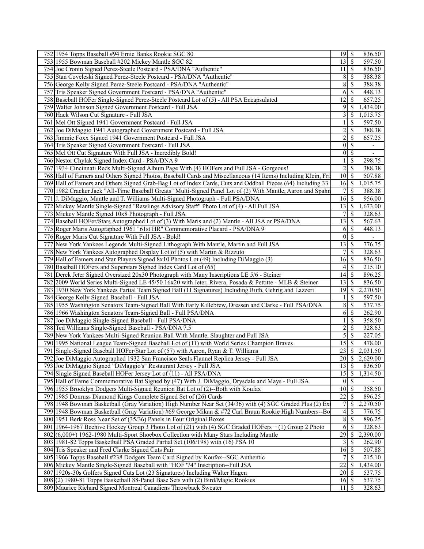| $\sqrt{S}$<br>597.50<br>753 1955 Bowman Baseball #202 Mickey Mantle SGC 82<br>13<br>11<br>836.50<br>754 Joe Cronin Signed Perez-Steele Postcard - PSA/DNA "Authentic"<br>  S<br>755 Stan Coveleski Signed Perez-Steele Postcard - PSA/DNA "Authentic"<br>8<br>$\mathcal{S}$<br>388.38<br>8<br>388.38<br>756 George Kelly Signed Perez-Steele Postcard - PSA/DNA "Authentic"<br>-S<br>6<br>448.13<br>757 Tris Speaker Signed Government Postcard - PSA/DNA "Authentic"<br>-S<br>758 Baseball HOFer Single-Signed Perez-Steele Postcard Lot of (5) - All PSA Encapsulated<br>12<br>657.25<br>-S<br>1,434.00<br>759 Walter Johnson Signed Government Postcard - Full JSA<br>9<br><sup>\$</sup><br>1,015.75<br>760 Hack Wilson Cut Signature - Full JSA<br>3<br>- \$<br>\$<br>597.50<br>761 Mel Ott Signed 1941 Government Postcard - Full JSA<br>$\overline{c}$<br>$\mathbb{S}$<br>388.38<br>762 Joe DiMaggio 1941 Autographed Government Postcard - Full JSA<br>$\overline{c}$<br>763 Jimmie Foxx Signed 1941 Government Postcard - Full JSA<br>$\mathbb{S}$<br>657.25<br>$\vert 0 \vert$<br>$\mathbb{S}$<br>764 Tris Speaker Signed Government Postcard - Full JSA<br>$\overline{\phantom{a}}$<br>$\boldsymbol{0}$<br>$\mathbb{S}$<br>765 Mel Ott Cut Signature With Full JSA - Incredibly Bold!<br>298.75<br>766 Nestor Chylak Signed Index Card - PSA/DNA 9<br>$\mathcal{S}$<br>$\overline{\mathcal{S}}$<br>2<br>388.38<br>767 1934 Cincinnati Reds Multi-Signed Album Page With (4) HOFers and Full JSA - Gorgeous!<br>768 Hall of Famers and Others Signed Photos, Baseball Cards and Miscellaneous (14 Items) Including Klein, Fri<br>-\$<br>507.88<br>10<br>16<br>1,015.75<br>769 Hall of Famers and Others Signed Grab-Bag Lot of Index Cards, Cuts and Oddball Pieces (64) Including 33<br>8<br>770 1982 Cracker Jack "All-Time Baseball Greats" Multi-Signed Panel Lot of (2) With Mantle, Aaron and Spahn<br><sup>\$</sup><br>388.38<br>7<br>771 J. DiMaggio, Mantle and T. Williams Multi-Signed Photograph - Full PSA/DNA<br>-\$<br>956.00<br>16<br>772 Mickey Mantle Single-Signed "Rawlings Advisory Staff" Photo Lot of (4) - All Full JSA<br>1,673.00<br>13<br>  \$<br>773 Mickey Mantle Signed 10x8 Photograph - Full JSA<br>$\mathbb{S}$<br>328.63<br>774 Baseball HOFer/Stars Autographed Lot of (3) With Maris and (2) Mantle - All JSA or PSA/DNA<br>13<br>-S<br>567.63<br>775 Roger Maris Autographed 1961 "61st HR" Commemorative Placard - PSA/DNA 9<br>-S<br>448.13<br>6<br>776 Roger Maris Cut Signature With Full JSA - Bold!<br>$\overline{0}$<br>$\mathbb{S}$<br>776.75<br>777 New York Yankees Legends Multi-Signed Lithograph With Mantle, Martin and Full JSA<br>13<br>-\$<br>778 New York Yankees Autographed Display Lot of (5) with Martin & Rizzuto<br>$\mathcal{S}$<br>328.63<br>7<br>$\mathcal{S}$<br>836.50<br>779 Hall of Famers and Star Players Signed 8x10 Photos Lot (49) Including DiMaggio (3)<br>16<br>215.10<br>780 Baseball HOFers and Superstars Signed Index Card Lot of (65)<br><sup>\$</sup><br>4<br>14<br>781 Derek Jeter Signed Oversized 20x30 Photograph with Many Inscriptions LE 5/6 - Steiner<br>  S<br>896.25<br>836.50<br>782 2009 World Series Multi-Signed LE 45/50 16x20 with Jeter, Rivera, Posada & Pettitte - MLB & Steiner<br>$\mathcal{S}$<br>13<br>2,270.50<br><sup>\$</sup><br>783 1930 New York Yankees Partial Team Signed Ball (11 Signatures) Including Ruth, Gehrig and Lazzeri<br>19<br>597.50<br>784 George Kelly Signed Baseball - Full JSA<br><sup>\$</sup><br>785 1955 Washington Senators Team-Signed Ball With Early Killebrew, Dressen and Clarke - Full PSA/DNA<br>8<br>$\mathcal{S}$<br>537.75<br>$\mathcal{S}$<br>262.90<br>786 1966 Washington Senators Team-Signed Ball - Full PSA/DNA<br>6<br>$\mathbb{S}$<br>787 Joe DiMaggio Single-Signed Baseball - Full PSA/DNA<br>358.50<br>2<br>\$<br>328.63<br>788 Ted Williams Single-Signed Baseball - PSA/DNA 7.5<br>5<br>227.05<br>$\mathcal{S}$<br>789 New York Yankees Multi-Signed Reunion Ball With Mantle, Slaughter and Full JSA<br><sup>\$</sup><br>790 1995 National League Team-Signed Baseball Lot of (11) with World Series Champion Braves<br>15<br>478.00<br>23<br>2,031.50<br>791<br>Single-Signed Baseball HOFer/Star Lot of (57) with Aaron, Ryan & T. Williams<br><sup>\$</sup><br>792 Joe DiMaggio Autographed 1932 San Francisco Seals Flannel Replica Jersey - Full JSA<br>2,629.00<br>$13 \mid$ \$<br>793 Joe DiMaggio Signed "DiMaggio's" Restaurant Jersey - Full JSA<br>836.50<br>794 Single Signed Baseball HOFer Jersey Lot of (11) - All PSA/DNA<br>$\sqrt{S}$<br>1,314.50<br>15<br>795 Hall of Fame Commemorative Bat Signed by (47) With J. DiMaggio, Drysdale and Mays - Full JSA<br><sup>5</sup><br> 0 <br>10<br>$\mathcal{S}$<br>358.50<br>796 1955 Brooklyn Dodgers Multi-Signed Reunion Bat Lot of (2)--Both with Koufax<br>22<br>896.25<br>797 1985 Donruss Diamond Kings Complete Signed Set of (26) Cards<br>\$<br>$\boldsymbol{7}$<br>2,270.50<br>798 1948 Bowman Basketball (Gray Variation) High Number Near Set (34/36) with (4) SGC Graded Plus (2) Ex<br><sup>\$</sup><br>4<br>799 1948 Bowman Basketball (Gray Variation) #69 George Mikan & #72 Carl Braun Rookie High Numbers--Bo<br><sup>\$</sup><br>776.75<br>$8\,$<br>896.25<br>800 1951 Berk Ross Near Set of (35/36) Panels in Four Original Boxes<br><b>S</b><br>801 1964-1967 Beehive Hockey Group 3 Photo Lot of (21) with (4) SGC Graded HOFers + (1) Group 2 Photo<br>6<br>-\$<br>328.63<br>29<br>802 (6,000+) 1962-1980 Multi-Sport Shoebox Collection with Many Stars Including Mantle<br>\$<br>2,390.00<br>803   1981-82 Topps Basketball PSA Graded Partial Set (106/198) with (16) PSA 10<br>262.90<br>3<br>-S<br>804 Tris Speaker and Fred Clarke Signed Cuts Pair<br>16<br>8<br>507.88<br>805 1966 Topps Baseball #238 Dodgers Team Card Signed by Koufax--SGC Authentic<br>$\overline{\mathcal{S}}$<br>7<br>215.10<br>22<br>806 Mickey Mantle Single-Signed Baseball with "HOF '74" Inscription--Full JSA<br>1,434.00<br>-\$<br>$\overline{20}$<br>537.75<br>807 1920s-30s Golfers Signed Cuts Lot (23 Signatures) Including Walter Hagen<br>  S<br>$16\overline{3}$<br>537.75<br>808(2) 1980-81 Topps Basketball 88-Panel Base Sets with (2) Bird/Magic Rookies<br>$11 \mid$ \$<br>809 Maurice Richard Signed Montreal Canadiens Throwback Sweater<br>328.63 | 752 1954 Topps Baseball #94 Ernie Banks Rookie SGC 80 | 836.50 |
|---------------------------------------------------------------------------------------------------------------------------------------------------------------------------------------------------------------------------------------------------------------------------------------------------------------------------------------------------------------------------------------------------------------------------------------------------------------------------------------------------------------------------------------------------------------------------------------------------------------------------------------------------------------------------------------------------------------------------------------------------------------------------------------------------------------------------------------------------------------------------------------------------------------------------------------------------------------------------------------------------------------------------------------------------------------------------------------------------------------------------------------------------------------------------------------------------------------------------------------------------------------------------------------------------------------------------------------------------------------------------------------------------------------------------------------------------------------------------------------------------------------------------------------------------------------------------------------------------------------------------------------------------------------------------------------------------------------------------------------------------------------------------------------------------------------------------------------------------------------------------------------------------------------------------------------------------------------------------------------------------------------------------------------------------------------------------------------------------------------------------------------------------------------------------------------------------------------------------------------------------------------------------------------------------------------------------------------------------------------------------------------------------------------------------------------------------------------------------------------------------------------------------------------------------------------------------------------------------------------------------------------------------------------------------------------------------------------------------------------------------------------------------------------------------------------------------------------------------------------------------------------------------------------------------------------------------------------------------------------------------------------------------------------------------------------------------------------------------------------------------------------------------------------------------------------------------------------------------------------------------------------------------------------------------------------------------------------------------------------------------------------------------------------------------------------------------------------------------------------------------------------------------------------------------------------------------------------------------------------------------------------------------------------------------------------------------------------------------------------------------------------------------------------------------------------------------------------------------------------------------------------------------------------------------------------------------------------------------------------------------------------------------------------------------------------------------------------------------------------------------------------------------------------------------------------------------------------------------------------------------------------------------------------------------------------------------------------------------------------------------------------------------------------------------------------------------------------------------------------------------------------------------------------------------------------------------------------------------------------------------------------------------------------------------------------------------------------------------------------------------------------------------------------------------------------------------------------------------------------------------------------------------------------------------------------------------------------------------------------------------------------------------------------------------------------------------------------------------------------------------------------------------------------------------------------------------------------------------------------------------------------------------------------------------------------------------------------------------------------------------------------------------------------------------------------------------------------------------------------------------------------------------------------------------------------------------------------------------------------------------------------------------------------------------------------------------------------------------------------------------------------------------------------------------------------------------------------------------------------------------------------------------------------------------------------------------------------------------------------------------------------------------------------------------------------------------------------------------------------------------------------------------------------------------------------------------------------------------------------------------------------------------------------------------------------------------------------------------------------------------------------------------------------------|-------------------------------------------------------|--------|
|                                                                                                                                                                                                                                                                                                                                                                                                                                                                                                                                                                                                                                                                                                                                                                                                                                                                                                                                                                                                                                                                                                                                                                                                                                                                                                                                                                                                                                                                                                                                                                                                                                                                                                                                                                                                                                                                                                                                                                                                                                                                                                                                                                                                                                                                                                                                                                                                                                                                                                                                                                                                                                                                                                                                                                                                                                                                                                                                                                                                                                                                                                                                                                                                                                                                                                                                                                                                                                                                                                                                                                                                                                                                                                                                                                                                                                                                                                                                                                                                                                                                                                                                                                                                                                                                                                                                                                                                                                                                                                                                                                                                                                                                                                                                                                                                                                                                                                                                                                                                                                                                                                                                                                                                                                                                                                                                                                                                                                                                                                                                                                                                                                                                                                                                                                                                                                                                                                                                                                                                                                                                                                                                                                                                                                                                                                                                                                                                                     |                                                       |        |
|                                                                                                                                                                                                                                                                                                                                                                                                                                                                                                                                                                                                                                                                                                                                                                                                                                                                                                                                                                                                                                                                                                                                                                                                                                                                                                                                                                                                                                                                                                                                                                                                                                                                                                                                                                                                                                                                                                                                                                                                                                                                                                                                                                                                                                                                                                                                                                                                                                                                                                                                                                                                                                                                                                                                                                                                                                                                                                                                                                                                                                                                                                                                                                                                                                                                                                                                                                                                                                                                                                                                                                                                                                                                                                                                                                                                                                                                                                                                                                                                                                                                                                                                                                                                                                                                                                                                                                                                                                                                                                                                                                                                                                                                                                                                                                                                                                                                                                                                                                                                                                                                                                                                                                                                                                                                                                                                                                                                                                                                                                                                                                                                                                                                                                                                                                                                                                                                                                                                                                                                                                                                                                                                                                                                                                                                                                                                                                                                                     |                                                       |        |
|                                                                                                                                                                                                                                                                                                                                                                                                                                                                                                                                                                                                                                                                                                                                                                                                                                                                                                                                                                                                                                                                                                                                                                                                                                                                                                                                                                                                                                                                                                                                                                                                                                                                                                                                                                                                                                                                                                                                                                                                                                                                                                                                                                                                                                                                                                                                                                                                                                                                                                                                                                                                                                                                                                                                                                                                                                                                                                                                                                                                                                                                                                                                                                                                                                                                                                                                                                                                                                                                                                                                                                                                                                                                                                                                                                                                                                                                                                                                                                                                                                                                                                                                                                                                                                                                                                                                                                                                                                                                                                                                                                                                                                                                                                                                                                                                                                                                                                                                                                                                                                                                                                                                                                                                                                                                                                                                                                                                                                                                                                                                                                                                                                                                                                                                                                                                                                                                                                                                                                                                                                                                                                                                                                                                                                                                                                                                                                                                                     |                                                       |        |
|                                                                                                                                                                                                                                                                                                                                                                                                                                                                                                                                                                                                                                                                                                                                                                                                                                                                                                                                                                                                                                                                                                                                                                                                                                                                                                                                                                                                                                                                                                                                                                                                                                                                                                                                                                                                                                                                                                                                                                                                                                                                                                                                                                                                                                                                                                                                                                                                                                                                                                                                                                                                                                                                                                                                                                                                                                                                                                                                                                                                                                                                                                                                                                                                                                                                                                                                                                                                                                                                                                                                                                                                                                                                                                                                                                                                                                                                                                                                                                                                                                                                                                                                                                                                                                                                                                                                                                                                                                                                                                                                                                                                                                                                                                                                                                                                                                                                                                                                                                                                                                                                                                                                                                                                                                                                                                                                                                                                                                                                                                                                                                                                                                                                                                                                                                                                                                                                                                                                                                                                                                                                                                                                                                                                                                                                                                                                                                                                                     |                                                       |        |
|                                                                                                                                                                                                                                                                                                                                                                                                                                                                                                                                                                                                                                                                                                                                                                                                                                                                                                                                                                                                                                                                                                                                                                                                                                                                                                                                                                                                                                                                                                                                                                                                                                                                                                                                                                                                                                                                                                                                                                                                                                                                                                                                                                                                                                                                                                                                                                                                                                                                                                                                                                                                                                                                                                                                                                                                                                                                                                                                                                                                                                                                                                                                                                                                                                                                                                                                                                                                                                                                                                                                                                                                                                                                                                                                                                                                                                                                                                                                                                                                                                                                                                                                                                                                                                                                                                                                                                                                                                                                                                                                                                                                                                                                                                                                                                                                                                                                                                                                                                                                                                                                                                                                                                                                                                                                                                                                                                                                                                                                                                                                                                                                                                                                                                                                                                                                                                                                                                                                                                                                                                                                                                                                                                                                                                                                                                                                                                                                                     |                                                       |        |
|                                                                                                                                                                                                                                                                                                                                                                                                                                                                                                                                                                                                                                                                                                                                                                                                                                                                                                                                                                                                                                                                                                                                                                                                                                                                                                                                                                                                                                                                                                                                                                                                                                                                                                                                                                                                                                                                                                                                                                                                                                                                                                                                                                                                                                                                                                                                                                                                                                                                                                                                                                                                                                                                                                                                                                                                                                                                                                                                                                                                                                                                                                                                                                                                                                                                                                                                                                                                                                                                                                                                                                                                                                                                                                                                                                                                                                                                                                                                                                                                                                                                                                                                                                                                                                                                                                                                                                                                                                                                                                                                                                                                                                                                                                                                                                                                                                                                                                                                                                                                                                                                                                                                                                                                                                                                                                                                                                                                                                                                                                                                                                                                                                                                                                                                                                                                                                                                                                                                                                                                                                                                                                                                                                                                                                                                                                                                                                                                                     |                                                       |        |
|                                                                                                                                                                                                                                                                                                                                                                                                                                                                                                                                                                                                                                                                                                                                                                                                                                                                                                                                                                                                                                                                                                                                                                                                                                                                                                                                                                                                                                                                                                                                                                                                                                                                                                                                                                                                                                                                                                                                                                                                                                                                                                                                                                                                                                                                                                                                                                                                                                                                                                                                                                                                                                                                                                                                                                                                                                                                                                                                                                                                                                                                                                                                                                                                                                                                                                                                                                                                                                                                                                                                                                                                                                                                                                                                                                                                                                                                                                                                                                                                                                                                                                                                                                                                                                                                                                                                                                                                                                                                                                                                                                                                                                                                                                                                                                                                                                                                                                                                                                                                                                                                                                                                                                                                                                                                                                                                                                                                                                                                                                                                                                                                                                                                                                                                                                                                                                                                                                                                                                                                                                                                                                                                                                                                                                                                                                                                                                                                                     |                                                       |        |
|                                                                                                                                                                                                                                                                                                                                                                                                                                                                                                                                                                                                                                                                                                                                                                                                                                                                                                                                                                                                                                                                                                                                                                                                                                                                                                                                                                                                                                                                                                                                                                                                                                                                                                                                                                                                                                                                                                                                                                                                                                                                                                                                                                                                                                                                                                                                                                                                                                                                                                                                                                                                                                                                                                                                                                                                                                                                                                                                                                                                                                                                                                                                                                                                                                                                                                                                                                                                                                                                                                                                                                                                                                                                                                                                                                                                                                                                                                                                                                                                                                                                                                                                                                                                                                                                                                                                                                                                                                                                                                                                                                                                                                                                                                                                                                                                                                                                                                                                                                                                                                                                                                                                                                                                                                                                                                                                                                                                                                                                                                                                                                                                                                                                                                                                                                                                                                                                                                                                                                                                                                                                                                                                                                                                                                                                                                                                                                                                                     |                                                       |        |
|                                                                                                                                                                                                                                                                                                                                                                                                                                                                                                                                                                                                                                                                                                                                                                                                                                                                                                                                                                                                                                                                                                                                                                                                                                                                                                                                                                                                                                                                                                                                                                                                                                                                                                                                                                                                                                                                                                                                                                                                                                                                                                                                                                                                                                                                                                                                                                                                                                                                                                                                                                                                                                                                                                                                                                                                                                                                                                                                                                                                                                                                                                                                                                                                                                                                                                                                                                                                                                                                                                                                                                                                                                                                                                                                                                                                                                                                                                                                                                                                                                                                                                                                                                                                                                                                                                                                                                                                                                                                                                                                                                                                                                                                                                                                                                                                                                                                                                                                                                                                                                                                                                                                                                                                                                                                                                                                                                                                                                                                                                                                                                                                                                                                                                                                                                                                                                                                                                                                                                                                                                                                                                                                                                                                                                                                                                                                                                                                                     |                                                       |        |
|                                                                                                                                                                                                                                                                                                                                                                                                                                                                                                                                                                                                                                                                                                                                                                                                                                                                                                                                                                                                                                                                                                                                                                                                                                                                                                                                                                                                                                                                                                                                                                                                                                                                                                                                                                                                                                                                                                                                                                                                                                                                                                                                                                                                                                                                                                                                                                                                                                                                                                                                                                                                                                                                                                                                                                                                                                                                                                                                                                                                                                                                                                                                                                                                                                                                                                                                                                                                                                                                                                                                                                                                                                                                                                                                                                                                                                                                                                                                                                                                                                                                                                                                                                                                                                                                                                                                                                                                                                                                                                                                                                                                                                                                                                                                                                                                                                                                                                                                                                                                                                                                                                                                                                                                                                                                                                                                                                                                                                                                                                                                                                                                                                                                                                                                                                                                                                                                                                                                                                                                                                                                                                                                                                                                                                                                                                                                                                                                                     |                                                       |        |
|                                                                                                                                                                                                                                                                                                                                                                                                                                                                                                                                                                                                                                                                                                                                                                                                                                                                                                                                                                                                                                                                                                                                                                                                                                                                                                                                                                                                                                                                                                                                                                                                                                                                                                                                                                                                                                                                                                                                                                                                                                                                                                                                                                                                                                                                                                                                                                                                                                                                                                                                                                                                                                                                                                                                                                                                                                                                                                                                                                                                                                                                                                                                                                                                                                                                                                                                                                                                                                                                                                                                                                                                                                                                                                                                                                                                                                                                                                                                                                                                                                                                                                                                                                                                                                                                                                                                                                                                                                                                                                                                                                                                                                                                                                                                                                                                                                                                                                                                                                                                                                                                                                                                                                                                                                                                                                                                                                                                                                                                                                                                                                                                                                                                                                                                                                                                                                                                                                                                                                                                                                                                                                                                                                                                                                                                                                                                                                                                                     |                                                       |        |
|                                                                                                                                                                                                                                                                                                                                                                                                                                                                                                                                                                                                                                                                                                                                                                                                                                                                                                                                                                                                                                                                                                                                                                                                                                                                                                                                                                                                                                                                                                                                                                                                                                                                                                                                                                                                                                                                                                                                                                                                                                                                                                                                                                                                                                                                                                                                                                                                                                                                                                                                                                                                                                                                                                                                                                                                                                                                                                                                                                                                                                                                                                                                                                                                                                                                                                                                                                                                                                                                                                                                                                                                                                                                                                                                                                                                                                                                                                                                                                                                                                                                                                                                                                                                                                                                                                                                                                                                                                                                                                                                                                                                                                                                                                                                                                                                                                                                                                                                                                                                                                                                                                                                                                                                                                                                                                                                                                                                                                                                                                                                                                                                                                                                                                                                                                                                                                                                                                                                                                                                                                                                                                                                                                                                                                                                                                                                                                                                                     |                                                       |        |
|                                                                                                                                                                                                                                                                                                                                                                                                                                                                                                                                                                                                                                                                                                                                                                                                                                                                                                                                                                                                                                                                                                                                                                                                                                                                                                                                                                                                                                                                                                                                                                                                                                                                                                                                                                                                                                                                                                                                                                                                                                                                                                                                                                                                                                                                                                                                                                                                                                                                                                                                                                                                                                                                                                                                                                                                                                                                                                                                                                                                                                                                                                                                                                                                                                                                                                                                                                                                                                                                                                                                                                                                                                                                                                                                                                                                                                                                                                                                                                                                                                                                                                                                                                                                                                                                                                                                                                                                                                                                                                                                                                                                                                                                                                                                                                                                                                                                                                                                                                                                                                                                                                                                                                                                                                                                                                                                                                                                                                                                                                                                                                                                                                                                                                                                                                                                                                                                                                                                                                                                                                                                                                                                                                                                                                                                                                                                                                                                                     |                                                       |        |
|                                                                                                                                                                                                                                                                                                                                                                                                                                                                                                                                                                                                                                                                                                                                                                                                                                                                                                                                                                                                                                                                                                                                                                                                                                                                                                                                                                                                                                                                                                                                                                                                                                                                                                                                                                                                                                                                                                                                                                                                                                                                                                                                                                                                                                                                                                                                                                                                                                                                                                                                                                                                                                                                                                                                                                                                                                                                                                                                                                                                                                                                                                                                                                                                                                                                                                                                                                                                                                                                                                                                                                                                                                                                                                                                                                                                                                                                                                                                                                                                                                                                                                                                                                                                                                                                                                                                                                                                                                                                                                                                                                                                                                                                                                                                                                                                                                                                                                                                                                                                                                                                                                                                                                                                                                                                                                                                                                                                                                                                                                                                                                                                                                                                                                                                                                                                                                                                                                                                                                                                                                                                                                                                                                                                                                                                                                                                                                                                                     |                                                       |        |
|                                                                                                                                                                                                                                                                                                                                                                                                                                                                                                                                                                                                                                                                                                                                                                                                                                                                                                                                                                                                                                                                                                                                                                                                                                                                                                                                                                                                                                                                                                                                                                                                                                                                                                                                                                                                                                                                                                                                                                                                                                                                                                                                                                                                                                                                                                                                                                                                                                                                                                                                                                                                                                                                                                                                                                                                                                                                                                                                                                                                                                                                                                                                                                                                                                                                                                                                                                                                                                                                                                                                                                                                                                                                                                                                                                                                                                                                                                                                                                                                                                                                                                                                                                                                                                                                                                                                                                                                                                                                                                                                                                                                                                                                                                                                                                                                                                                                                                                                                                                                                                                                                                                                                                                                                                                                                                                                                                                                                                                                                                                                                                                                                                                                                                                                                                                                                                                                                                                                                                                                                                                                                                                                                                                                                                                                                                                                                                                                                     |                                                       |        |
|                                                                                                                                                                                                                                                                                                                                                                                                                                                                                                                                                                                                                                                                                                                                                                                                                                                                                                                                                                                                                                                                                                                                                                                                                                                                                                                                                                                                                                                                                                                                                                                                                                                                                                                                                                                                                                                                                                                                                                                                                                                                                                                                                                                                                                                                                                                                                                                                                                                                                                                                                                                                                                                                                                                                                                                                                                                                                                                                                                                                                                                                                                                                                                                                                                                                                                                                                                                                                                                                                                                                                                                                                                                                                                                                                                                                                                                                                                                                                                                                                                                                                                                                                                                                                                                                                                                                                                                                                                                                                                                                                                                                                                                                                                                                                                                                                                                                                                                                                                                                                                                                                                                                                                                                                                                                                                                                                                                                                                                                                                                                                                                                                                                                                                                                                                                                                                                                                                                                                                                                                                                                                                                                                                                                                                                                                                                                                                                                                     |                                                       |        |
|                                                                                                                                                                                                                                                                                                                                                                                                                                                                                                                                                                                                                                                                                                                                                                                                                                                                                                                                                                                                                                                                                                                                                                                                                                                                                                                                                                                                                                                                                                                                                                                                                                                                                                                                                                                                                                                                                                                                                                                                                                                                                                                                                                                                                                                                                                                                                                                                                                                                                                                                                                                                                                                                                                                                                                                                                                                                                                                                                                                                                                                                                                                                                                                                                                                                                                                                                                                                                                                                                                                                                                                                                                                                                                                                                                                                                                                                                                                                                                                                                                                                                                                                                                                                                                                                                                                                                                                                                                                                                                                                                                                                                                                                                                                                                                                                                                                                                                                                                                                                                                                                                                                                                                                                                                                                                                                                                                                                                                                                                                                                                                                                                                                                                                                                                                                                                                                                                                                                                                                                                                                                                                                                                                                                                                                                                                                                                                                                                     |                                                       |        |
|                                                                                                                                                                                                                                                                                                                                                                                                                                                                                                                                                                                                                                                                                                                                                                                                                                                                                                                                                                                                                                                                                                                                                                                                                                                                                                                                                                                                                                                                                                                                                                                                                                                                                                                                                                                                                                                                                                                                                                                                                                                                                                                                                                                                                                                                                                                                                                                                                                                                                                                                                                                                                                                                                                                                                                                                                                                                                                                                                                                                                                                                                                                                                                                                                                                                                                                                                                                                                                                                                                                                                                                                                                                                                                                                                                                                                                                                                                                                                                                                                                                                                                                                                                                                                                                                                                                                                                                                                                                                                                                                                                                                                                                                                                                                                                                                                                                                                                                                                                                                                                                                                                                                                                                                                                                                                                                                                                                                                                                                                                                                                                                                                                                                                                                                                                                                                                                                                                                                                                                                                                                                                                                                                                                                                                                                                                                                                                                                                     |                                                       |        |
|                                                                                                                                                                                                                                                                                                                                                                                                                                                                                                                                                                                                                                                                                                                                                                                                                                                                                                                                                                                                                                                                                                                                                                                                                                                                                                                                                                                                                                                                                                                                                                                                                                                                                                                                                                                                                                                                                                                                                                                                                                                                                                                                                                                                                                                                                                                                                                                                                                                                                                                                                                                                                                                                                                                                                                                                                                                                                                                                                                                                                                                                                                                                                                                                                                                                                                                                                                                                                                                                                                                                                                                                                                                                                                                                                                                                                                                                                                                                                                                                                                                                                                                                                                                                                                                                                                                                                                                                                                                                                                                                                                                                                                                                                                                                                                                                                                                                                                                                                                                                                                                                                                                                                                                                                                                                                                                                                                                                                                                                                                                                                                                                                                                                                                                                                                                                                                                                                                                                                                                                                                                                                                                                                                                                                                                                                                                                                                                                                     |                                                       |        |
|                                                                                                                                                                                                                                                                                                                                                                                                                                                                                                                                                                                                                                                                                                                                                                                                                                                                                                                                                                                                                                                                                                                                                                                                                                                                                                                                                                                                                                                                                                                                                                                                                                                                                                                                                                                                                                                                                                                                                                                                                                                                                                                                                                                                                                                                                                                                                                                                                                                                                                                                                                                                                                                                                                                                                                                                                                                                                                                                                                                                                                                                                                                                                                                                                                                                                                                                                                                                                                                                                                                                                                                                                                                                                                                                                                                                                                                                                                                                                                                                                                                                                                                                                                                                                                                                                                                                                                                                                                                                                                                                                                                                                                                                                                                                                                                                                                                                                                                                                                                                                                                                                                                                                                                                                                                                                                                                                                                                                                                                                                                                                                                                                                                                                                                                                                                                                                                                                                                                                                                                                                                                                                                                                                                                                                                                                                                                                                                                                     |                                                       |        |
|                                                                                                                                                                                                                                                                                                                                                                                                                                                                                                                                                                                                                                                                                                                                                                                                                                                                                                                                                                                                                                                                                                                                                                                                                                                                                                                                                                                                                                                                                                                                                                                                                                                                                                                                                                                                                                                                                                                                                                                                                                                                                                                                                                                                                                                                                                                                                                                                                                                                                                                                                                                                                                                                                                                                                                                                                                                                                                                                                                                                                                                                                                                                                                                                                                                                                                                                                                                                                                                                                                                                                                                                                                                                                                                                                                                                                                                                                                                                                                                                                                                                                                                                                                                                                                                                                                                                                                                                                                                                                                                                                                                                                                                                                                                                                                                                                                                                                                                                                                                                                                                                                                                                                                                                                                                                                                                                                                                                                                                                                                                                                                                                                                                                                                                                                                                                                                                                                                                                                                                                                                                                                                                                                                                                                                                                                                                                                                                                                     |                                                       |        |
|                                                                                                                                                                                                                                                                                                                                                                                                                                                                                                                                                                                                                                                                                                                                                                                                                                                                                                                                                                                                                                                                                                                                                                                                                                                                                                                                                                                                                                                                                                                                                                                                                                                                                                                                                                                                                                                                                                                                                                                                                                                                                                                                                                                                                                                                                                                                                                                                                                                                                                                                                                                                                                                                                                                                                                                                                                                                                                                                                                                                                                                                                                                                                                                                                                                                                                                                                                                                                                                                                                                                                                                                                                                                                                                                                                                                                                                                                                                                                                                                                                                                                                                                                                                                                                                                                                                                                                                                                                                                                                                                                                                                                                                                                                                                                                                                                                                                                                                                                                                                                                                                                                                                                                                                                                                                                                                                                                                                                                                                                                                                                                                                                                                                                                                                                                                                                                                                                                                                                                                                                                                                                                                                                                                                                                                                                                                                                                                                                     |                                                       |        |
|                                                                                                                                                                                                                                                                                                                                                                                                                                                                                                                                                                                                                                                                                                                                                                                                                                                                                                                                                                                                                                                                                                                                                                                                                                                                                                                                                                                                                                                                                                                                                                                                                                                                                                                                                                                                                                                                                                                                                                                                                                                                                                                                                                                                                                                                                                                                                                                                                                                                                                                                                                                                                                                                                                                                                                                                                                                                                                                                                                                                                                                                                                                                                                                                                                                                                                                                                                                                                                                                                                                                                                                                                                                                                                                                                                                                                                                                                                                                                                                                                                                                                                                                                                                                                                                                                                                                                                                                                                                                                                                                                                                                                                                                                                                                                                                                                                                                                                                                                                                                                                                                                                                                                                                                                                                                                                                                                                                                                                                                                                                                                                                                                                                                                                                                                                                                                                                                                                                                                                                                                                                                                                                                                                                                                                                                                                                                                                                                                     |                                                       |        |
|                                                                                                                                                                                                                                                                                                                                                                                                                                                                                                                                                                                                                                                                                                                                                                                                                                                                                                                                                                                                                                                                                                                                                                                                                                                                                                                                                                                                                                                                                                                                                                                                                                                                                                                                                                                                                                                                                                                                                                                                                                                                                                                                                                                                                                                                                                                                                                                                                                                                                                                                                                                                                                                                                                                                                                                                                                                                                                                                                                                                                                                                                                                                                                                                                                                                                                                                                                                                                                                                                                                                                                                                                                                                                                                                                                                                                                                                                                                                                                                                                                                                                                                                                                                                                                                                                                                                                                                                                                                                                                                                                                                                                                                                                                                                                                                                                                                                                                                                                                                                                                                                                                                                                                                                                                                                                                                                                                                                                                                                                                                                                                                                                                                                                                                                                                                                                                                                                                                                                                                                                                                                                                                                                                                                                                                                                                                                                                                                                     |                                                       |        |
|                                                                                                                                                                                                                                                                                                                                                                                                                                                                                                                                                                                                                                                                                                                                                                                                                                                                                                                                                                                                                                                                                                                                                                                                                                                                                                                                                                                                                                                                                                                                                                                                                                                                                                                                                                                                                                                                                                                                                                                                                                                                                                                                                                                                                                                                                                                                                                                                                                                                                                                                                                                                                                                                                                                                                                                                                                                                                                                                                                                                                                                                                                                                                                                                                                                                                                                                                                                                                                                                                                                                                                                                                                                                                                                                                                                                                                                                                                                                                                                                                                                                                                                                                                                                                                                                                                                                                                                                                                                                                                                                                                                                                                                                                                                                                                                                                                                                                                                                                                                                                                                                                                                                                                                                                                                                                                                                                                                                                                                                                                                                                                                                                                                                                                                                                                                                                                                                                                                                                                                                                                                                                                                                                                                                                                                                                                                                                                                                                     |                                                       |        |
|                                                                                                                                                                                                                                                                                                                                                                                                                                                                                                                                                                                                                                                                                                                                                                                                                                                                                                                                                                                                                                                                                                                                                                                                                                                                                                                                                                                                                                                                                                                                                                                                                                                                                                                                                                                                                                                                                                                                                                                                                                                                                                                                                                                                                                                                                                                                                                                                                                                                                                                                                                                                                                                                                                                                                                                                                                                                                                                                                                                                                                                                                                                                                                                                                                                                                                                                                                                                                                                                                                                                                                                                                                                                                                                                                                                                                                                                                                                                                                                                                                                                                                                                                                                                                                                                                                                                                                                                                                                                                                                                                                                                                                                                                                                                                                                                                                                                                                                                                                                                                                                                                                                                                                                                                                                                                                                                                                                                                                                                                                                                                                                                                                                                                                                                                                                                                                                                                                                                                                                                                                                                                                                                                                                                                                                                                                                                                                                                                     |                                                       |        |
|                                                                                                                                                                                                                                                                                                                                                                                                                                                                                                                                                                                                                                                                                                                                                                                                                                                                                                                                                                                                                                                                                                                                                                                                                                                                                                                                                                                                                                                                                                                                                                                                                                                                                                                                                                                                                                                                                                                                                                                                                                                                                                                                                                                                                                                                                                                                                                                                                                                                                                                                                                                                                                                                                                                                                                                                                                                                                                                                                                                                                                                                                                                                                                                                                                                                                                                                                                                                                                                                                                                                                                                                                                                                                                                                                                                                                                                                                                                                                                                                                                                                                                                                                                                                                                                                                                                                                                                                                                                                                                                                                                                                                                                                                                                                                                                                                                                                                                                                                                                                                                                                                                                                                                                                                                                                                                                                                                                                                                                                                                                                                                                                                                                                                                                                                                                                                                                                                                                                                                                                                                                                                                                                                                                                                                                                                                                                                                                                                     |                                                       |        |
|                                                                                                                                                                                                                                                                                                                                                                                                                                                                                                                                                                                                                                                                                                                                                                                                                                                                                                                                                                                                                                                                                                                                                                                                                                                                                                                                                                                                                                                                                                                                                                                                                                                                                                                                                                                                                                                                                                                                                                                                                                                                                                                                                                                                                                                                                                                                                                                                                                                                                                                                                                                                                                                                                                                                                                                                                                                                                                                                                                                                                                                                                                                                                                                                                                                                                                                                                                                                                                                                                                                                                                                                                                                                                                                                                                                                                                                                                                                                                                                                                                                                                                                                                                                                                                                                                                                                                                                                                                                                                                                                                                                                                                                                                                                                                                                                                                                                                                                                                                                                                                                                                                                                                                                                                                                                                                                                                                                                                                                                                                                                                                                                                                                                                                                                                                                                                                                                                                                                                                                                                                                                                                                                                                                                                                                                                                                                                                                                                     |                                                       |        |
|                                                                                                                                                                                                                                                                                                                                                                                                                                                                                                                                                                                                                                                                                                                                                                                                                                                                                                                                                                                                                                                                                                                                                                                                                                                                                                                                                                                                                                                                                                                                                                                                                                                                                                                                                                                                                                                                                                                                                                                                                                                                                                                                                                                                                                                                                                                                                                                                                                                                                                                                                                                                                                                                                                                                                                                                                                                                                                                                                                                                                                                                                                                                                                                                                                                                                                                                                                                                                                                                                                                                                                                                                                                                                                                                                                                                                                                                                                                                                                                                                                                                                                                                                                                                                                                                                                                                                                                                                                                                                                                                                                                                                                                                                                                                                                                                                                                                                                                                                                                                                                                                                                                                                                                                                                                                                                                                                                                                                                                                                                                                                                                                                                                                                                                                                                                                                                                                                                                                                                                                                                                                                                                                                                                                                                                                                                                                                                                                                     |                                                       |        |
|                                                                                                                                                                                                                                                                                                                                                                                                                                                                                                                                                                                                                                                                                                                                                                                                                                                                                                                                                                                                                                                                                                                                                                                                                                                                                                                                                                                                                                                                                                                                                                                                                                                                                                                                                                                                                                                                                                                                                                                                                                                                                                                                                                                                                                                                                                                                                                                                                                                                                                                                                                                                                                                                                                                                                                                                                                                                                                                                                                                                                                                                                                                                                                                                                                                                                                                                                                                                                                                                                                                                                                                                                                                                                                                                                                                                                                                                                                                                                                                                                                                                                                                                                                                                                                                                                                                                                                                                                                                                                                                                                                                                                                                                                                                                                                                                                                                                                                                                                                                                                                                                                                                                                                                                                                                                                                                                                                                                                                                                                                                                                                                                                                                                                                                                                                                                                                                                                                                                                                                                                                                                                                                                                                                                                                                                                                                                                                                                                     |                                                       |        |
|                                                                                                                                                                                                                                                                                                                                                                                                                                                                                                                                                                                                                                                                                                                                                                                                                                                                                                                                                                                                                                                                                                                                                                                                                                                                                                                                                                                                                                                                                                                                                                                                                                                                                                                                                                                                                                                                                                                                                                                                                                                                                                                                                                                                                                                                                                                                                                                                                                                                                                                                                                                                                                                                                                                                                                                                                                                                                                                                                                                                                                                                                                                                                                                                                                                                                                                                                                                                                                                                                                                                                                                                                                                                                                                                                                                                                                                                                                                                                                                                                                                                                                                                                                                                                                                                                                                                                                                                                                                                                                                                                                                                                                                                                                                                                                                                                                                                                                                                                                                                                                                                                                                                                                                                                                                                                                                                                                                                                                                                                                                                                                                                                                                                                                                                                                                                                                                                                                                                                                                                                                                                                                                                                                                                                                                                                                                                                                                                                     |                                                       |        |
|                                                                                                                                                                                                                                                                                                                                                                                                                                                                                                                                                                                                                                                                                                                                                                                                                                                                                                                                                                                                                                                                                                                                                                                                                                                                                                                                                                                                                                                                                                                                                                                                                                                                                                                                                                                                                                                                                                                                                                                                                                                                                                                                                                                                                                                                                                                                                                                                                                                                                                                                                                                                                                                                                                                                                                                                                                                                                                                                                                                                                                                                                                                                                                                                                                                                                                                                                                                                                                                                                                                                                                                                                                                                                                                                                                                                                                                                                                                                                                                                                                                                                                                                                                                                                                                                                                                                                                                                                                                                                                                                                                                                                                                                                                                                                                                                                                                                                                                                                                                                                                                                                                                                                                                                                                                                                                                                                                                                                                                                                                                                                                                                                                                                                                                                                                                                                                                                                                                                                                                                                                                                                                                                                                                                                                                                                                                                                                                                                     |                                                       |        |
|                                                                                                                                                                                                                                                                                                                                                                                                                                                                                                                                                                                                                                                                                                                                                                                                                                                                                                                                                                                                                                                                                                                                                                                                                                                                                                                                                                                                                                                                                                                                                                                                                                                                                                                                                                                                                                                                                                                                                                                                                                                                                                                                                                                                                                                                                                                                                                                                                                                                                                                                                                                                                                                                                                                                                                                                                                                                                                                                                                                                                                                                                                                                                                                                                                                                                                                                                                                                                                                                                                                                                                                                                                                                                                                                                                                                                                                                                                                                                                                                                                                                                                                                                                                                                                                                                                                                                                                                                                                                                                                                                                                                                                                                                                                                                                                                                                                                                                                                                                                                                                                                                                                                                                                                                                                                                                                                                                                                                                                                                                                                                                                                                                                                                                                                                                                                                                                                                                                                                                                                                                                                                                                                                                                                                                                                                                                                                                                                                     |                                                       |        |
|                                                                                                                                                                                                                                                                                                                                                                                                                                                                                                                                                                                                                                                                                                                                                                                                                                                                                                                                                                                                                                                                                                                                                                                                                                                                                                                                                                                                                                                                                                                                                                                                                                                                                                                                                                                                                                                                                                                                                                                                                                                                                                                                                                                                                                                                                                                                                                                                                                                                                                                                                                                                                                                                                                                                                                                                                                                                                                                                                                                                                                                                                                                                                                                                                                                                                                                                                                                                                                                                                                                                                                                                                                                                                                                                                                                                                                                                                                                                                                                                                                                                                                                                                                                                                                                                                                                                                                                                                                                                                                                                                                                                                                                                                                                                                                                                                                                                                                                                                                                                                                                                                                                                                                                                                                                                                                                                                                                                                                                                                                                                                                                                                                                                                                                                                                                                                                                                                                                                                                                                                                                                                                                                                                                                                                                                                                                                                                                                                     |                                                       |        |
|                                                                                                                                                                                                                                                                                                                                                                                                                                                                                                                                                                                                                                                                                                                                                                                                                                                                                                                                                                                                                                                                                                                                                                                                                                                                                                                                                                                                                                                                                                                                                                                                                                                                                                                                                                                                                                                                                                                                                                                                                                                                                                                                                                                                                                                                                                                                                                                                                                                                                                                                                                                                                                                                                                                                                                                                                                                                                                                                                                                                                                                                                                                                                                                                                                                                                                                                                                                                                                                                                                                                                                                                                                                                                                                                                                                                                                                                                                                                                                                                                                                                                                                                                                                                                                                                                                                                                                                                                                                                                                                                                                                                                                                                                                                                                                                                                                                                                                                                                                                                                                                                                                                                                                                                                                                                                                                                                                                                                                                                                                                                                                                                                                                                                                                                                                                                                                                                                                                                                                                                                                                                                                                                                                                                                                                                                                                                                                                                                     |                                                       |        |
|                                                                                                                                                                                                                                                                                                                                                                                                                                                                                                                                                                                                                                                                                                                                                                                                                                                                                                                                                                                                                                                                                                                                                                                                                                                                                                                                                                                                                                                                                                                                                                                                                                                                                                                                                                                                                                                                                                                                                                                                                                                                                                                                                                                                                                                                                                                                                                                                                                                                                                                                                                                                                                                                                                                                                                                                                                                                                                                                                                                                                                                                                                                                                                                                                                                                                                                                                                                                                                                                                                                                                                                                                                                                                                                                                                                                                                                                                                                                                                                                                                                                                                                                                                                                                                                                                                                                                                                                                                                                                                                                                                                                                                                                                                                                                                                                                                                                                                                                                                                                                                                                                                                                                                                                                                                                                                                                                                                                                                                                                                                                                                                                                                                                                                                                                                                                                                                                                                                                                                                                                                                                                                                                                                                                                                                                                                                                                                                                                     |                                                       |        |
|                                                                                                                                                                                                                                                                                                                                                                                                                                                                                                                                                                                                                                                                                                                                                                                                                                                                                                                                                                                                                                                                                                                                                                                                                                                                                                                                                                                                                                                                                                                                                                                                                                                                                                                                                                                                                                                                                                                                                                                                                                                                                                                                                                                                                                                                                                                                                                                                                                                                                                                                                                                                                                                                                                                                                                                                                                                                                                                                                                                                                                                                                                                                                                                                                                                                                                                                                                                                                                                                                                                                                                                                                                                                                                                                                                                                                                                                                                                                                                                                                                                                                                                                                                                                                                                                                                                                                                                                                                                                                                                                                                                                                                                                                                                                                                                                                                                                                                                                                                                                                                                                                                                                                                                                                                                                                                                                                                                                                                                                                                                                                                                                                                                                                                                                                                                                                                                                                                                                                                                                                                                                                                                                                                                                                                                                                                                                                                                                                     |                                                       |        |
|                                                                                                                                                                                                                                                                                                                                                                                                                                                                                                                                                                                                                                                                                                                                                                                                                                                                                                                                                                                                                                                                                                                                                                                                                                                                                                                                                                                                                                                                                                                                                                                                                                                                                                                                                                                                                                                                                                                                                                                                                                                                                                                                                                                                                                                                                                                                                                                                                                                                                                                                                                                                                                                                                                                                                                                                                                                                                                                                                                                                                                                                                                                                                                                                                                                                                                                                                                                                                                                                                                                                                                                                                                                                                                                                                                                                                                                                                                                                                                                                                                                                                                                                                                                                                                                                                                                                                                                                                                                                                                                                                                                                                                                                                                                                                                                                                                                                                                                                                                                                                                                                                                                                                                                                                                                                                                                                                                                                                                                                                                                                                                                                                                                                                                                                                                                                                                                                                                                                                                                                                                                                                                                                                                                                                                                                                                                                                                                                                     |                                                       |        |
|                                                                                                                                                                                                                                                                                                                                                                                                                                                                                                                                                                                                                                                                                                                                                                                                                                                                                                                                                                                                                                                                                                                                                                                                                                                                                                                                                                                                                                                                                                                                                                                                                                                                                                                                                                                                                                                                                                                                                                                                                                                                                                                                                                                                                                                                                                                                                                                                                                                                                                                                                                                                                                                                                                                                                                                                                                                                                                                                                                                                                                                                                                                                                                                                                                                                                                                                                                                                                                                                                                                                                                                                                                                                                                                                                                                                                                                                                                                                                                                                                                                                                                                                                                                                                                                                                                                                                                                                                                                                                                                                                                                                                                                                                                                                                                                                                                                                                                                                                                                                                                                                                                                                                                                                                                                                                                                                                                                                                                                                                                                                                                                                                                                                                                                                                                                                                                                                                                                                                                                                                                                                                                                                                                                                                                                                                                                                                                                                                     |                                                       |        |
|                                                                                                                                                                                                                                                                                                                                                                                                                                                                                                                                                                                                                                                                                                                                                                                                                                                                                                                                                                                                                                                                                                                                                                                                                                                                                                                                                                                                                                                                                                                                                                                                                                                                                                                                                                                                                                                                                                                                                                                                                                                                                                                                                                                                                                                                                                                                                                                                                                                                                                                                                                                                                                                                                                                                                                                                                                                                                                                                                                                                                                                                                                                                                                                                                                                                                                                                                                                                                                                                                                                                                                                                                                                                                                                                                                                                                                                                                                                                                                                                                                                                                                                                                                                                                                                                                                                                                                                                                                                                                                                                                                                                                                                                                                                                                                                                                                                                                                                                                                                                                                                                                                                                                                                                                                                                                                                                                                                                                                                                                                                                                                                                                                                                                                                                                                                                                                                                                                                                                                                                                                                                                                                                                                                                                                                                                                                                                                                                                     |                                                       |        |
|                                                                                                                                                                                                                                                                                                                                                                                                                                                                                                                                                                                                                                                                                                                                                                                                                                                                                                                                                                                                                                                                                                                                                                                                                                                                                                                                                                                                                                                                                                                                                                                                                                                                                                                                                                                                                                                                                                                                                                                                                                                                                                                                                                                                                                                                                                                                                                                                                                                                                                                                                                                                                                                                                                                                                                                                                                                                                                                                                                                                                                                                                                                                                                                                                                                                                                                                                                                                                                                                                                                                                                                                                                                                                                                                                                                                                                                                                                                                                                                                                                                                                                                                                                                                                                                                                                                                                                                                                                                                                                                                                                                                                                                                                                                                                                                                                                                                                                                                                                                                                                                                                                                                                                                                                                                                                                                                                                                                                                                                                                                                                                                                                                                                                                                                                                                                                                                                                                                                                                                                                                                                                                                                                                                                                                                                                                                                                                                                                     |                                                       |        |
|                                                                                                                                                                                                                                                                                                                                                                                                                                                                                                                                                                                                                                                                                                                                                                                                                                                                                                                                                                                                                                                                                                                                                                                                                                                                                                                                                                                                                                                                                                                                                                                                                                                                                                                                                                                                                                                                                                                                                                                                                                                                                                                                                                                                                                                                                                                                                                                                                                                                                                                                                                                                                                                                                                                                                                                                                                                                                                                                                                                                                                                                                                                                                                                                                                                                                                                                                                                                                                                                                                                                                                                                                                                                                                                                                                                                                                                                                                                                                                                                                                                                                                                                                                                                                                                                                                                                                                                                                                                                                                                                                                                                                                                                                                                                                                                                                                                                                                                                                                                                                                                                                                                                                                                                                                                                                                                                                                                                                                                                                                                                                                                                                                                                                                                                                                                                                                                                                                                                                                                                                                                                                                                                                                                                                                                                                                                                                                                                                     |                                                       |        |
|                                                                                                                                                                                                                                                                                                                                                                                                                                                                                                                                                                                                                                                                                                                                                                                                                                                                                                                                                                                                                                                                                                                                                                                                                                                                                                                                                                                                                                                                                                                                                                                                                                                                                                                                                                                                                                                                                                                                                                                                                                                                                                                                                                                                                                                                                                                                                                                                                                                                                                                                                                                                                                                                                                                                                                                                                                                                                                                                                                                                                                                                                                                                                                                                                                                                                                                                                                                                                                                                                                                                                                                                                                                                                                                                                                                                                                                                                                                                                                                                                                                                                                                                                                                                                                                                                                                                                                                                                                                                                                                                                                                                                                                                                                                                                                                                                                                                                                                                                                                                                                                                                                                                                                                                                                                                                                                                                                                                                                                                                                                                                                                                                                                                                                                                                                                                                                                                                                                                                                                                                                                                                                                                                                                                                                                                                                                                                                                                                     |                                                       |        |
|                                                                                                                                                                                                                                                                                                                                                                                                                                                                                                                                                                                                                                                                                                                                                                                                                                                                                                                                                                                                                                                                                                                                                                                                                                                                                                                                                                                                                                                                                                                                                                                                                                                                                                                                                                                                                                                                                                                                                                                                                                                                                                                                                                                                                                                                                                                                                                                                                                                                                                                                                                                                                                                                                                                                                                                                                                                                                                                                                                                                                                                                                                                                                                                                                                                                                                                                                                                                                                                                                                                                                                                                                                                                                                                                                                                                                                                                                                                                                                                                                                                                                                                                                                                                                                                                                                                                                                                                                                                                                                                                                                                                                                                                                                                                                                                                                                                                                                                                                                                                                                                                                                                                                                                                                                                                                                                                                                                                                                                                                                                                                                                                                                                                                                                                                                                                                                                                                                                                                                                                                                                                                                                                                                                                                                                                                                                                                                                                                     |                                                       |        |
|                                                                                                                                                                                                                                                                                                                                                                                                                                                                                                                                                                                                                                                                                                                                                                                                                                                                                                                                                                                                                                                                                                                                                                                                                                                                                                                                                                                                                                                                                                                                                                                                                                                                                                                                                                                                                                                                                                                                                                                                                                                                                                                                                                                                                                                                                                                                                                                                                                                                                                                                                                                                                                                                                                                                                                                                                                                                                                                                                                                                                                                                                                                                                                                                                                                                                                                                                                                                                                                                                                                                                                                                                                                                                                                                                                                                                                                                                                                                                                                                                                                                                                                                                                                                                                                                                                                                                                                                                                                                                                                                                                                                                                                                                                                                                                                                                                                                                                                                                                                                                                                                                                                                                                                                                                                                                                                                                                                                                                                                                                                                                                                                                                                                                                                                                                                                                                                                                                                                                                                                                                                                                                                                                                                                                                                                                                                                                                                                                     |                                                       |        |
|                                                                                                                                                                                                                                                                                                                                                                                                                                                                                                                                                                                                                                                                                                                                                                                                                                                                                                                                                                                                                                                                                                                                                                                                                                                                                                                                                                                                                                                                                                                                                                                                                                                                                                                                                                                                                                                                                                                                                                                                                                                                                                                                                                                                                                                                                                                                                                                                                                                                                                                                                                                                                                                                                                                                                                                                                                                                                                                                                                                                                                                                                                                                                                                                                                                                                                                                                                                                                                                                                                                                                                                                                                                                                                                                                                                                                                                                                                                                                                                                                                                                                                                                                                                                                                                                                                                                                                                                                                                                                                                                                                                                                                                                                                                                                                                                                                                                                                                                                                                                                                                                                                                                                                                                                                                                                                                                                                                                                                                                                                                                                                                                                                                                                                                                                                                                                                                                                                                                                                                                                                                                                                                                                                                                                                                                                                                                                                                                                     |                                                       |        |
|                                                                                                                                                                                                                                                                                                                                                                                                                                                                                                                                                                                                                                                                                                                                                                                                                                                                                                                                                                                                                                                                                                                                                                                                                                                                                                                                                                                                                                                                                                                                                                                                                                                                                                                                                                                                                                                                                                                                                                                                                                                                                                                                                                                                                                                                                                                                                                                                                                                                                                                                                                                                                                                                                                                                                                                                                                                                                                                                                                                                                                                                                                                                                                                                                                                                                                                                                                                                                                                                                                                                                                                                                                                                                                                                                                                                                                                                                                                                                                                                                                                                                                                                                                                                                                                                                                                                                                                                                                                                                                                                                                                                                                                                                                                                                                                                                                                                                                                                                                                                                                                                                                                                                                                                                                                                                                                                                                                                                                                                                                                                                                                                                                                                                                                                                                                                                                                                                                                                                                                                                                                                                                                                                                                                                                                                                                                                                                                                                     |                                                       |        |
|                                                                                                                                                                                                                                                                                                                                                                                                                                                                                                                                                                                                                                                                                                                                                                                                                                                                                                                                                                                                                                                                                                                                                                                                                                                                                                                                                                                                                                                                                                                                                                                                                                                                                                                                                                                                                                                                                                                                                                                                                                                                                                                                                                                                                                                                                                                                                                                                                                                                                                                                                                                                                                                                                                                                                                                                                                                                                                                                                                                                                                                                                                                                                                                                                                                                                                                                                                                                                                                                                                                                                                                                                                                                                                                                                                                                                                                                                                                                                                                                                                                                                                                                                                                                                                                                                                                                                                                                                                                                                                                                                                                                                                                                                                                                                                                                                                                                                                                                                                                                                                                                                                                                                                                                                                                                                                                                                                                                                                                                                                                                                                                                                                                                                                                                                                                                                                                                                                                                                                                                                                                                                                                                                                                                                                                                                                                                                                                                                     |                                                       |        |
|                                                                                                                                                                                                                                                                                                                                                                                                                                                                                                                                                                                                                                                                                                                                                                                                                                                                                                                                                                                                                                                                                                                                                                                                                                                                                                                                                                                                                                                                                                                                                                                                                                                                                                                                                                                                                                                                                                                                                                                                                                                                                                                                                                                                                                                                                                                                                                                                                                                                                                                                                                                                                                                                                                                                                                                                                                                                                                                                                                                                                                                                                                                                                                                                                                                                                                                                                                                                                                                                                                                                                                                                                                                                                                                                                                                                                                                                                                                                                                                                                                                                                                                                                                                                                                                                                                                                                                                                                                                                                                                                                                                                                                                                                                                                                                                                                                                                                                                                                                                                                                                                                                                                                                                                                                                                                                                                                                                                                                                                                                                                                                                                                                                                                                                                                                                                                                                                                                                                                                                                                                                                                                                                                                                                                                                                                                                                                                                                                     |                                                       |        |
|                                                                                                                                                                                                                                                                                                                                                                                                                                                                                                                                                                                                                                                                                                                                                                                                                                                                                                                                                                                                                                                                                                                                                                                                                                                                                                                                                                                                                                                                                                                                                                                                                                                                                                                                                                                                                                                                                                                                                                                                                                                                                                                                                                                                                                                                                                                                                                                                                                                                                                                                                                                                                                                                                                                                                                                                                                                                                                                                                                                                                                                                                                                                                                                                                                                                                                                                                                                                                                                                                                                                                                                                                                                                                                                                                                                                                                                                                                                                                                                                                                                                                                                                                                                                                                                                                                                                                                                                                                                                                                                                                                                                                                                                                                                                                                                                                                                                                                                                                                                                                                                                                                                                                                                                                                                                                                                                                                                                                                                                                                                                                                                                                                                                                                                                                                                                                                                                                                                                                                                                                                                                                                                                                                                                                                                                                                                                                                                                                     |                                                       |        |
|                                                                                                                                                                                                                                                                                                                                                                                                                                                                                                                                                                                                                                                                                                                                                                                                                                                                                                                                                                                                                                                                                                                                                                                                                                                                                                                                                                                                                                                                                                                                                                                                                                                                                                                                                                                                                                                                                                                                                                                                                                                                                                                                                                                                                                                                                                                                                                                                                                                                                                                                                                                                                                                                                                                                                                                                                                                                                                                                                                                                                                                                                                                                                                                                                                                                                                                                                                                                                                                                                                                                                                                                                                                                                                                                                                                                                                                                                                                                                                                                                                                                                                                                                                                                                                                                                                                                                                                                                                                                                                                                                                                                                                                                                                                                                                                                                                                                                                                                                                                                                                                                                                                                                                                                                                                                                                                                                                                                                                                                                                                                                                                                                                                                                                                                                                                                                                                                                                                                                                                                                                                                                                                                                                                                                                                                                                                                                                                                                     |                                                       |        |
|                                                                                                                                                                                                                                                                                                                                                                                                                                                                                                                                                                                                                                                                                                                                                                                                                                                                                                                                                                                                                                                                                                                                                                                                                                                                                                                                                                                                                                                                                                                                                                                                                                                                                                                                                                                                                                                                                                                                                                                                                                                                                                                                                                                                                                                                                                                                                                                                                                                                                                                                                                                                                                                                                                                                                                                                                                                                                                                                                                                                                                                                                                                                                                                                                                                                                                                                                                                                                                                                                                                                                                                                                                                                                                                                                                                                                                                                                                                                                                                                                                                                                                                                                                                                                                                                                                                                                                                                                                                                                                                                                                                                                                                                                                                                                                                                                                                                                                                                                                                                                                                                                                                                                                                                                                                                                                                                                                                                                                                                                                                                                                                                                                                                                                                                                                                                                                                                                                                                                                                                                                                                                                                                                                                                                                                                                                                                                                                                                     |                                                       |        |
|                                                                                                                                                                                                                                                                                                                                                                                                                                                                                                                                                                                                                                                                                                                                                                                                                                                                                                                                                                                                                                                                                                                                                                                                                                                                                                                                                                                                                                                                                                                                                                                                                                                                                                                                                                                                                                                                                                                                                                                                                                                                                                                                                                                                                                                                                                                                                                                                                                                                                                                                                                                                                                                                                                                                                                                                                                                                                                                                                                                                                                                                                                                                                                                                                                                                                                                                                                                                                                                                                                                                                                                                                                                                                                                                                                                                                                                                                                                                                                                                                                                                                                                                                                                                                                                                                                                                                                                                                                                                                                                                                                                                                                                                                                                                                                                                                                                                                                                                                                                                                                                                                                                                                                                                                                                                                                                                                                                                                                                                                                                                                                                                                                                                                                                                                                                                                                                                                                                                                                                                                                                                                                                                                                                                                                                                                                                                                                                                                     |                                                       |        |
|                                                                                                                                                                                                                                                                                                                                                                                                                                                                                                                                                                                                                                                                                                                                                                                                                                                                                                                                                                                                                                                                                                                                                                                                                                                                                                                                                                                                                                                                                                                                                                                                                                                                                                                                                                                                                                                                                                                                                                                                                                                                                                                                                                                                                                                                                                                                                                                                                                                                                                                                                                                                                                                                                                                                                                                                                                                                                                                                                                                                                                                                                                                                                                                                                                                                                                                                                                                                                                                                                                                                                                                                                                                                                                                                                                                                                                                                                                                                                                                                                                                                                                                                                                                                                                                                                                                                                                                                                                                                                                                                                                                                                                                                                                                                                                                                                                                                                                                                                                                                                                                                                                                                                                                                                                                                                                                                                                                                                                                                                                                                                                                                                                                                                                                                                                                                                                                                                                                                                                                                                                                                                                                                                                                                                                                                                                                                                                                                                     |                                                       |        |
|                                                                                                                                                                                                                                                                                                                                                                                                                                                                                                                                                                                                                                                                                                                                                                                                                                                                                                                                                                                                                                                                                                                                                                                                                                                                                                                                                                                                                                                                                                                                                                                                                                                                                                                                                                                                                                                                                                                                                                                                                                                                                                                                                                                                                                                                                                                                                                                                                                                                                                                                                                                                                                                                                                                                                                                                                                                                                                                                                                                                                                                                                                                                                                                                                                                                                                                                                                                                                                                                                                                                                                                                                                                                                                                                                                                                                                                                                                                                                                                                                                                                                                                                                                                                                                                                                                                                                                                                                                                                                                                                                                                                                                                                                                                                                                                                                                                                                                                                                                                                                                                                                                                                                                                                                                                                                                                                                                                                                                                                                                                                                                                                                                                                                                                                                                                                                                                                                                                                                                                                                                                                                                                                                                                                                                                                                                                                                                                                                     |                                                       |        |
|                                                                                                                                                                                                                                                                                                                                                                                                                                                                                                                                                                                                                                                                                                                                                                                                                                                                                                                                                                                                                                                                                                                                                                                                                                                                                                                                                                                                                                                                                                                                                                                                                                                                                                                                                                                                                                                                                                                                                                                                                                                                                                                                                                                                                                                                                                                                                                                                                                                                                                                                                                                                                                                                                                                                                                                                                                                                                                                                                                                                                                                                                                                                                                                                                                                                                                                                                                                                                                                                                                                                                                                                                                                                                                                                                                                                                                                                                                                                                                                                                                                                                                                                                                                                                                                                                                                                                                                                                                                                                                                                                                                                                                                                                                                                                                                                                                                                                                                                                                                                                                                                                                                                                                                                                                                                                                                                                                                                                                                                                                                                                                                                                                                                                                                                                                                                                                                                                                                                                                                                                                                                                                                                                                                                                                                                                                                                                                                                                     |                                                       |        |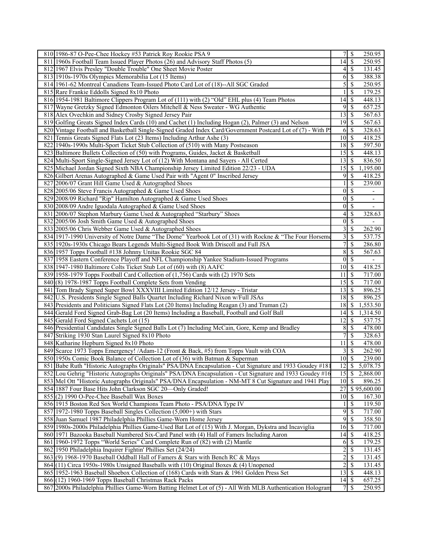| 810 1986-87 O-Pee-Chee Hockey #53 Patrick Roy Rookie PSA 9                                                   |                         | S                        | 250.95                   |
|--------------------------------------------------------------------------------------------------------------|-------------------------|--------------------------|--------------------------|
| 811 1960s Football Team Issued Player Photos (26) and Advisory Staff Photos (5)                              | $14\overline{3}$        |                          | $\overline{250.95}$      |
| 812 1967 Elvis Presley "Double Trouble" One Sheet Movie Poster                                               | 4                       | -S                       | 131.45                   |
| 813 1910s-1970s Olympics Memorabilia Lot (15 Items)                                                          | 6                       | \$                       | 388.38                   |
| 814 1961-62 Montreal Canadiens Team-Issued Photo Card Lot of (18)--All SGC Graded                            | 5                       | $\mathcal{S}$            | 250.95                   |
|                                                                                                              |                         |                          |                          |
| 815 Rare Frankie Eddolls Signed 8x10 Photo                                                                   |                         | <sup>\$</sup>            | 179.25                   |
| 816 1954-1981 Baltimore Clippers Program Lot of (111) with (2) "Old" EHL plus (4) Team Photos                | 14                      | <sup>\$</sup>            | 448.13                   |
| 817 Wayne Gretzky Signed Edmonton Oilers Mitchell & Ness Sweater - WG Authentic                              | 9                       | $\sqrt{s}$               | 657.25                   |
| 818 Alex Ovechkin and Sidney Crosby Signed Jersey Pair                                                       | 13                      | $\mathbb{S}$             | 567.63                   |
| 819 Golfing Greats Signed Index Cards (10) and Cachet (1) Including Hogan (2), Palmer (3) and Nelson         | 19                      | -\$                      | 567.63                   |
| 820 Vintage Football and Basketball Single-Signed Graded Index Card/Government Postcard Lot of (7) - With P. | 6                       | $\mathsf{S}$             | 328.63                   |
| 821 Tennis Greats Signed Flats Lot (23 Items) Including Arthur Ashe (3)                                      | $10\vert S$             |                          | 418.25                   |
| 822 1940s-1990s Multi-Sport Ticket Stub Collection of (510) with Many Postseason                             |                         |                          | 597.50                   |
| 823 Baltimore Bullets Collection of (50) with Programs, Guides, Jacket & Basketball                          |                         |                          | 448.13                   |
| 824 Multi-Sport Single-Signed Jersey Lot of (12) With Montana and Sayers - All Certed                        | 13                      | - \$                     | 836.50                   |
| 825 Michael Jordan Signed Sixth NBA Championship Jersey Limited Edition 22/23 - UDA                          | $\overline{15}$         | 8                        | 1,195.00                 |
|                                                                                                              | 9                       |                          | 418.25                   |
| 826 Gilbert Arenas Autographed & Game Used Pair with "Agent 0" Inscribed Jersey                              |                         | S                        |                          |
| 827 2006/07 Grant Hill Game Used & Autographed Shoes                                                         |                         | \$                       | 239.00                   |
| 828 2005/06 Steve Francis Autographed & Game Used Shoes                                                      | $\vert 0 \vert$         | $\overline{\mathcal{S}}$ | ÷,                       |
| 829 2008/09 Richard "Rip" Hamilton Autographed & Game Used Shoes                                             | $\vert 0 \vert$         | \$                       | $\frac{1}{2}$            |
| 830 2008/09 Andre Iguodala Autographed & Game Used Shoes                                                     | 0                       | \$                       | $\overline{\phantom{a}}$ |
| 831 2006/07 Stephon Marbury Game Used & Autographed "Starbury" Shoes                                         | 4                       | $\mathcal{S}$            | 328.63                   |
| 832 2005/06 Josh Smith Game Used & Autographed Shoes                                                         | $\vert 0 \vert$         | $\sqrt{s}$               |                          |
| 833 2005/06 Chris Webber Game Used & Autographed Shoes                                                       | $\overline{\mathbf{3}}$ | <sup>\$</sup>            | 262.90                   |
| 834 1917-1990 University of Notre Dame "The Dome" Yearbook Lot of (31) with Rockne & "The Four Horseme       | $\overline{\mathbf{3}}$ | $\overline{\mathcal{S}}$ | 537.75                   |
| 835 1920s-1930s Chicago Bears Legends Multi-Signed Book With Driscoll and Full JSA                           | 7                       | \$                       | 286.80                   |
| 836 1957 Topps Football #138 Johnny Unitas Rookie SGC 84                                                     | 8                       | \$                       | 567.63                   |
| 837 1958 Eastern Conference Playoff and NFL Championship Yankee Stadium-Issued Programs                      |                         | $0$ <sub>s</sub>         | $\blacksquare$           |
| 838 1947-1980 Baltimore Colts Ticket Stub Lot of (60) with (8) AAFC                                          | $10 \mid S$             |                          | 418.25                   |
|                                                                                                              |                         |                          |                          |
| 839 1958-1979 Topps Football Card Collection of (1,756) Cards with (2) 1970 Sets                             | 11                      | \$                       | 717.00                   |
| 840(8) 1978-1987 Topps Football Complete Sets from Vending                                                   |                         |                          | 717.00                   |
| 841 Tom Brady Signed Super Bowl XXXVIII Limited Edition 12/12 Jersey - Tristar                               |                         |                          | 896.25                   |
| 842 U.S. Presidents Single Signed Balls Quartet Including Richard Nixon w/Full JSAs                          | $18$   \$               |                          | 896.25                   |
| 843 Presidents and Politicians Signed Flats Lot (20 Items) Including Reagan (3) and Truman (2)               | 18                      | \$                       | 1,553.50                 |
| 844 Gerald Ford Signed Grab-Bag Lot (20 Items) Including a Baseball, Football and Golf Ball                  | 14                      | 8                        | 1,314.50                 |
| 845 Gerald Ford Signed Cachets Lot (15)                                                                      | 12                      | -S                       | 537.75                   |
| 846 Presidential Candidates Single Signed Balls Lot (7) Including McCain, Gore, Kemp and Bradley             | 8                       | $\mathsf{S}$             | 478.00                   |
| 847 Striking 1930 Stan Laurel Signed 8x10 Photo                                                              | 7                       | <sup>\$</sup>            | 328.63                   |
| 848 Katharine Hepburn Signed 8x10 Photo                                                                      | 11                      | \$                       | 478.00                   |
| 849 Scarce 1973 Topps Emergency! /Adam-12 (Front & Back, #5) from Topps Vault with COA                       |                         | 3S                       | 262.90                   |
| 850 1950s Comic Book Balance of Collection Lot of (36) with Batman & Superman                                | $10 \mid$ \$            |                          | 239.00                   |
| 851 Babe Ruth "Historic Autographs Originals" PSA/DNA Encapsulation - Cut Signature and 1933 Goudey #18      | 12                      | $\mathcal{S}$            | 5,078.75                 |
|                                                                                                              |                         |                          |                          |
| 852 Lou Gehrig "Historic Autographs Originals" PSA/DNA Encapsulation - Cut Signature and 1933 Goudey #16     |                         |                          | 2,868.00                 |
| 853 Mel Ott "Historic Autographs Originals" PSA/DNA Encapsulation - NM-MT 8 Cut Signature and 1941 Play      | 10 <sup>1</sup>         | $\mathcal{S}$            | 896.25                   |
| 854 1887 Four Base Hits John Clarkson SGC 20-Only Graded!                                                    | 27                      |                          | \$95,600.00              |
| 855(2) 1990 O-Pee-Chee Baseball Wax Boxes                                                                    |                         |                          | 167.30                   |
| 856 1915 Boston Red Sox World Champions Team Photo - PSA/DNA Type IV                                         |                         | $\mathbb{S}$             | 119.50                   |
| 857 1972-1980 Topps Baseball Singles Collection (5,000+) with Stars                                          | 9                       | \$                       | 717.00                   |
| 858 Juan Samuel 1987 Philadelphia Phillies Game-Worn Home Jersey                                             | 9                       | -\$                      | 358.50                   |
| 859 1980s-2000s Philadelphia Phillies Game-Used Bat Lot of (15) With J. Morgan, Dykstra and Incaviglia       | 16                      | $\mathbb{S}$             | 717.00                   |
| 860 1971 Bazooka Baseball Numbered Six-Card Panel with (4) Hall of Famers Including Aaron                    | 14                      | <sup>\$</sup>            | 418.25                   |
| 861 1960-1972 Topps "World Series" Card Complete Run of (82) with (2) Mantle                                 | 6                       | S                        | 179.25                   |
| 862 1950 Philadelphia Inquirer Fightin' Phillies Set (24/24)                                                 | $\overline{c}$          | $\mathcal{S}$            | 131.45                   |
| 863(9) 1968-1970 Baseball Oddball Hall of Famers & Stars with Bench RC & Mays                                | $\overline{c}$          | S                        | 131.45                   |
| 864 (11) Circa 1950s-1980s Unsigned Baseballs with (10) Original Boxes & (4) Unopened                        | $\overline{c}$          | $\mathcal{S}$            | 131.45                   |
|                                                                                                              | 13                      | $\mathsf{S}$             | 448.13                   |
| 865 1952-1963 Baseball Shoebox Collection of (168) Cards with Stars & 1961 Golden Press Set                  |                         |                          |                          |
| 866 (12) 1960-1969 Topps Baseball Christmas Rack Packs                                                       |                         |                          | 657.25                   |
| 867 2000s Philadelphia Phillies Game-Worn Batting Helmet Lot of (5) - All With MLB Authentication Hologram   | $7\overline{ }$         | $\mathsf{S}$             | 250.95                   |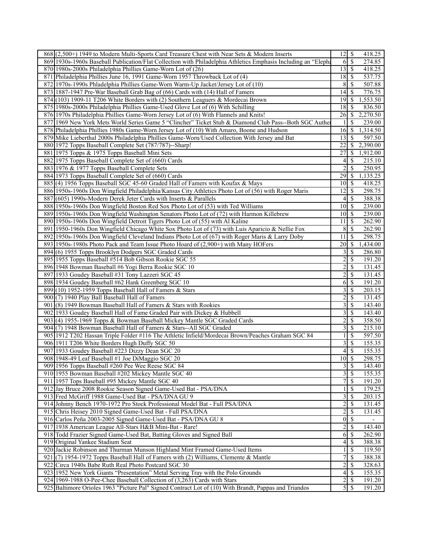| 868 (2,500+) 1949 to Modern Multi-Sports Card Treasure Chest with Near Sets & Modern Inserts                   | $\overline{12}$ \$<br>418.25                           |
|----------------------------------------------------------------------------------------------------------------|--------------------------------------------------------|
| 869 1930s-1960s Baseball Publication/Flat Collection with Philadelphia Athletics Emphasis Including an "Elepha | $\overline{\mathcal{S}}$<br>274.85<br>6                |
| 870 1980s-2000s Philadelphia Phillies Game-Worn Lot of (26)                                                    | $\overline{13}$ \ $\overline{\$}$<br>418.25            |
| 871 Philadelphia Phillies June 16, 1991 Game-Worn 1957 Throwback Lot of (4)                                    | $\overline{18}$ \$<br>537.75                           |
| 872 1970s-1990s Phladelphia Phillies Game-Worn Warm-Up Jacket/Jersey Lot of (10)                               | <sup>\$</sup><br>507.88<br>8                           |
| 873 1887-1947 Pre-War Baseball Grab Bag of (66) Cards with (14) Hall of Famers                                 | $\overline{14}$<br>$\mathcal{S}$<br>776.75             |
| 874 (103) 1909-11 T206 White Borders with (2) Southern Leaguers & Mordecai Brown                               | 19<br>-\$<br>1,553.50                                  |
| 875 1980s-2000s Philadelphia Phillies Game-Used Glove Lot of (6) With Schilling                                | 18<br><sup>\$</sup><br>836.50                          |
| 876 1970s Philadelphia Phillies Game-Worn Jersey Lot of (6) With Flannels and Knits!                           | 26<br>-\$<br>2,270.50                                  |
| 877 1969 New York Mets World Series Game 5 "Clincher" Ticket Stub & Diamond Club Pass--Both SGC Authe          | S<br>239.00                                            |
| 878 Philadelphia Phillies 1980s Game-Worn Jersey Lot of (10) With Amaro, Boone and Hudson                      | 16<br>$\mathcal{S}$<br>1,314.50                        |
| 879 Mike Lieberthal 2000s Philadelphia Phillies Game-Worn/Used Collection With Jersey and Bat                  | 13<br>597.50<br>-\$                                    |
| 880 1972 Topps Baseball Complete Set (787/787)--Sharp!                                                         | $\overline{22}$<br>2,390.00                            |
|                                                                                                                | -S                                                     |
| 881 1975 Topps & 1975 Topps Baseball Mini Sets                                                                 | 1,912.00<br>27<br><sup>\$</sup>                        |
| 882 1975 Topps Baseball Complete Set of (660) Cards                                                            | <sup>\$</sup><br>215.10<br>4                           |
| 883 1976 & 1977 Topps Baseball Complete Sets                                                                   | 2<br><sup>\$</sup><br>250.95                           |
| 884 1973 Topps Baseball Complete Set of (660) Cards                                                            | 29<br>$\mathcal{S}$<br>1,135.25                        |
| 885 (4) 1956 Topps Baseball SGC 45-60 Graded Hall of Famers with Koufax & Mays                                 | 10 <sup>1</sup><br>-\$<br>418.25                       |
| 886 1950s-1960s Don Wingfield Philadelphia/Kansas City Athletics Photo Lot of (56) with Roger Maris            | $\overline{12}$<br>$\mathcal{S}$<br>298.75             |
| 887(605) 1990s-Modern Derek Jeter Cards with Inserts & Parallels                                               | $\overline{\mathcal{S}}$<br>388.38<br>$\vert$          |
| 888 1950s-1960s Don Wingfield Boston Red Sox Photo Lot of (53) with Ted Williams                               | 239.00<br>10<br>-\$                                    |
| 889 1950s-1960s Don Wingfield Washington Senators Photo Lot of (72) with Harmon Killebrew                      | $10$ $\sqrt{5}$<br>239.00                              |
| 890 1950s-1960s Don Wingfield Detroit Tigers Photo Lot of (55) with Al Kaline                                  | 11<br>-\$<br>262.90                                    |
| 891 1950-1960s Don Wingfield Chicago White Sox Photo Lot of (73) with Luis Aparicio & Nellie Fox               | $\,$ 8 $\,$<br>$\mathcal{S}$<br>262.90                 |
| 892 1950s-1960s Don Wingfield Cleveland Indians Photo Lot of (67) with Roger Maris & Larry Doby                | 11<br><sup>\$</sup><br>298.75                          |
| 893 1950s-1980s Photo Pack and Team Issue Photo Hoard of (2,900+) with Many HOFers                             | 20<br>-\$<br>1,434.00                                  |
| 894 (6) 1955 Topps Brooklyn Dodgers SGC Graded Cards                                                           | <sup>\$</sup><br>286.80                                |
| 895 1955 Topps Baseball #514 Bob Gibson Rookie SGC 55                                                          | 2<br><sup>\$</sup><br>191.20                           |
| 896 1948 Bowman Baseball #6 Yogi Berra Rookie SGC 10                                                           | $\overline{2}$<br>\$<br>131.45                         |
| 897 1933 Goudey Baseball #31 Tony Lazzeri SGC 45                                                               | $\overline{c}$<br>\$<br>131.45                         |
| 898 1934 Goudey Baseball #62 Hank Greenberg SGC 10                                                             | $\mathcal{S}$<br>191.20<br>6                           |
| 899 (10) 1952-1959 Topps Baseball Hall of Famers & Stars                                                       | $\overline{3}$<br>$\overline{\mathcal{S}}$<br>203.15   |
| 900(7) 1940 Play Ball Baseball Hall of Famers                                                                  | $\overline{c}$<br>\$<br>131.45                         |
| 901 (8) 1949 Bowman Baseball Hall of Famers & Stars with Rookies                                               | 3<br><sup>\$</sup><br>143.40                           |
| 902 1933 Goudey Baseball Hall of Fame Graded Pair with Dickey & Hubbell                                        | 3<br>\$<br>143.40                                      |
| 903 (4) 1955-1969 Topps & Bowman Baseball Mickey Mantle SGC Graded Cards                                       | $\overline{c}$<br>\$<br>358.50                         |
| 904 (7) 1948 Bowman Baseball Hall of Famers & Stars--All SGC Graded                                            | 3<br>\$<br>215.10                                      |
| 905 1912 T202 Hassan Triple Folder #116 The Athletic Infield/Mordecai Brown/Peaches Graham SGC 84              | $\mathbb{S}$<br>597.50                                 |
| 906 1911 T206 White Borders Hugh Duffy SGC 50                                                                  | 3<br>$\overline{\mathcal{S}}$<br>155.35                |
| 907 1933 Goudey Baseball #223 Dizzy Dean SGC 20                                                                | 155.35<br>\$<br>4                                      |
| 908 1948-49 Leaf Baseball #1 Joe DiMaggio SGC 20                                                               | $\overline{10}$ \$<br>298.75                           |
| 909 1956 Topps Baseball #260 Pee Wee Reese SGC 84                                                              | $3 \overline{\smash{)}\smash{)}\smash{}}$<br>143.40    |
| 910 1955 Bowman Baseball #202 Mickey Mantle SGC 40                                                             | \$<br>3<br>155.35                                      |
| 911 1957 Tops Baseball #95 Mickey Mantle SGC 40                                                                | 7 <sup>1</sup><br>$\overline{\mathcal{S}}$<br>191.20   |
| 912 Jay Bruce 2008 Rookie Season Signed Game-Used Bat - PSA/DNA                                                | \$<br>179.25                                           |
| 913 Fred McGriff 1988 Game-Used Bat - PSA/DNA GU 9                                                             | 3<br>\$<br>203.15                                      |
| 914 Johnny Bench 1970-1972 Pro Stock Professional Model Bat - Full PSA/DNA                                     | $\overline{c}$<br>\$<br>131.45                         |
| 915 Chris Heisey 2010 Signed Game-Used Bat - Full PSA/DNA                                                      | 2<br>\$<br>131.45                                      |
| 916 Carlos Peña 2003-2005 Signed Game-Used Bat - PSA/DNA GU 8                                                  | \$<br>$\overline{0}$                                   |
| 917 1938 American League All-Stars H&B Mini-Bat - Rare!                                                        | $\overline{c}$<br>$\mathcal{S}$<br>143.40              |
| 918 Todd Frazier Signed Game-Used Bat, Batting Gloves and Signed Ball                                          | $\mathcal{S}$<br>262.90<br>6                           |
| 919 Original Yankee Stadium Seat                                                                               | \$<br>388.38<br>4                                      |
| 920 Jackie Robinson and Thurman Munson Highland Mint Framed Game-Used Items                                    | \$<br>119.50                                           |
| 921 (7) 1954-1972 Topps Baseball Hall of Famers with (2) Williams, Clemente & Mantle                           | \$<br>7<br>388.38                                      |
| 922 Circa 1940s Babe Ruth Real Photo Postcard SGC 30                                                           | 2<br>\$<br>328.63                                      |
| 923 1952 New York Giants "Presentation" Metal Serving Tray with the Polo Grounds                               | $\overline{\mathcal{S}}$<br>$\left 4\right $<br>155.35 |
| 924 1969-1988 O-Pee-Chee Baseball Collection of (3,263) Cards with Stars                                       | $\overline{2}$<br>$\mathcal{S}$<br>191.20              |
| 925 Baltimore Orioles 1963 "Picture Pal" Signed Contract Lot of (10) With Brandt, Pappas and Triandos          | 191.20                                                 |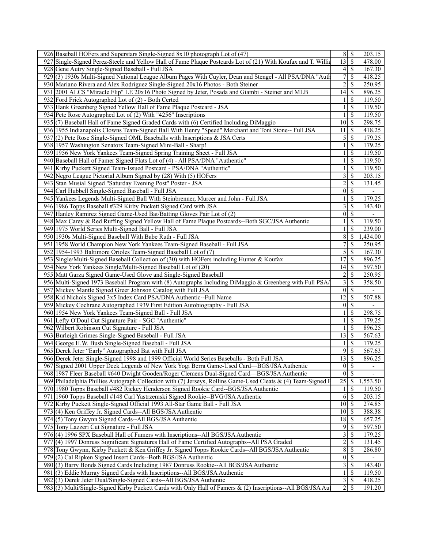|                                             | 203.15                                                                                                                                                                                                                                                                                                                                                                    |                                                                                                                                                                                                                                                                                                                                                                                                                                                                                                                                                                                                                                                                                                                                                                                                                                                                                                                                         |
|---------------------------------------------|---------------------------------------------------------------------------------------------------------------------------------------------------------------------------------------------------------------------------------------------------------------------------------------------------------------------------------------------------------------------------|-----------------------------------------------------------------------------------------------------------------------------------------------------------------------------------------------------------------------------------------------------------------------------------------------------------------------------------------------------------------------------------------------------------------------------------------------------------------------------------------------------------------------------------------------------------------------------------------------------------------------------------------------------------------------------------------------------------------------------------------------------------------------------------------------------------------------------------------------------------------------------------------------------------------------------------------|
| $\overline{13}$                             | 478.00                                                                                                                                                                                                                                                                                                                                                                    |                                                                                                                                                                                                                                                                                                                                                                                                                                                                                                                                                                                                                                                                                                                                                                                                                                                                                                                                         |
| $\left 4\right $                            | 167.30                                                                                                                                                                                                                                                                                                                                                                    |                                                                                                                                                                                                                                                                                                                                                                                                                                                                                                                                                                                                                                                                                                                                                                                                                                                                                                                                         |
| $\boldsymbol{7}$                            | 418.25                                                                                                                                                                                                                                                                                                                                                                    |                                                                                                                                                                                                                                                                                                                                                                                                                                                                                                                                                                                                                                                                                                                                                                                                                                                                                                                                         |
|                                             |                                                                                                                                                                                                                                                                                                                                                                           |                                                                                                                                                                                                                                                                                                                                                                                                                                                                                                                                                                                                                                                                                                                                                                                                                                                                                                                                         |
|                                             |                                                                                                                                                                                                                                                                                                                                                                           |                                                                                                                                                                                                                                                                                                                                                                                                                                                                                                                                                                                                                                                                                                                                                                                                                                                                                                                                         |
|                                             |                                                                                                                                                                                                                                                                                                                                                                           |                                                                                                                                                                                                                                                                                                                                                                                                                                                                                                                                                                                                                                                                                                                                                                                                                                                                                                                                         |
|                                             |                                                                                                                                                                                                                                                                                                                                                                           |                                                                                                                                                                                                                                                                                                                                                                                                                                                                                                                                                                                                                                                                                                                                                                                                                                                                                                                                         |
|                                             |                                                                                                                                                                                                                                                                                                                                                                           |                                                                                                                                                                                                                                                                                                                                                                                                                                                                                                                                                                                                                                                                                                                                                                                                                                                                                                                                         |
|                                             |                                                                                                                                                                                                                                                                                                                                                                           |                                                                                                                                                                                                                                                                                                                                                                                                                                                                                                                                                                                                                                                                                                                                                                                                                                                                                                                                         |
|                                             |                                                                                                                                                                                                                                                                                                                                                                           |                                                                                                                                                                                                                                                                                                                                                                                                                                                                                                                                                                                                                                                                                                                                                                                                                                                                                                                                         |
|                                             |                                                                                                                                                                                                                                                                                                                                                                           |                                                                                                                                                                                                                                                                                                                                                                                                                                                                                                                                                                                                                                                                                                                                                                                                                                                                                                                                         |
|                                             |                                                                                                                                                                                                                                                                                                                                                                           |                                                                                                                                                                                                                                                                                                                                                                                                                                                                                                                                                                                                                                                                                                                                                                                                                                                                                                                                         |
|                                             |                                                                                                                                                                                                                                                                                                                                                                           |                                                                                                                                                                                                                                                                                                                                                                                                                                                                                                                                                                                                                                                                                                                                                                                                                                                                                                                                         |
|                                             |                                                                                                                                                                                                                                                                                                                                                                           |                                                                                                                                                                                                                                                                                                                                                                                                                                                                                                                                                                                                                                                                                                                                                                                                                                                                                                                                         |
|                                             |                                                                                                                                                                                                                                                                                                                                                                           |                                                                                                                                                                                                                                                                                                                                                                                                                                                                                                                                                                                                                                                                                                                                                                                                                                                                                                                                         |
|                                             |                                                                                                                                                                                                                                                                                                                                                                           |                                                                                                                                                                                                                                                                                                                                                                                                                                                                                                                                                                                                                                                                                                                                                                                                                                                                                                                                         |
|                                             |                                                                                                                                                                                                                                                                                                                                                                           |                                                                                                                                                                                                                                                                                                                                                                                                                                                                                                                                                                                                                                                                                                                                                                                                                                                                                                                                         |
|                                             |                                                                                                                                                                                                                                                                                                                                                                           |                                                                                                                                                                                                                                                                                                                                                                                                                                                                                                                                                                                                                                                                                                                                                                                                                                                                                                                                         |
|                                             |                                                                                                                                                                                                                                                                                                                                                                           |                                                                                                                                                                                                                                                                                                                                                                                                                                                                                                                                                                                                                                                                                                                                                                                                                                                                                                                                         |
|                                             |                                                                                                                                                                                                                                                                                                                                                                           |                                                                                                                                                                                                                                                                                                                                                                                                                                                                                                                                                                                                                                                                                                                                                                                                                                                                                                                                         |
|                                             |                                                                                                                                                                                                                                                                                                                                                                           |                                                                                                                                                                                                                                                                                                                                                                                                                                                                                                                                                                                                                                                                                                                                                                                                                                                                                                                                         |
|                                             |                                                                                                                                                                                                                                                                                                                                                                           |                                                                                                                                                                                                                                                                                                                                                                                                                                                                                                                                                                                                                                                                                                                                                                                                                                                                                                                                         |
|                                             |                                                                                                                                                                                                                                                                                                                                                                           |                                                                                                                                                                                                                                                                                                                                                                                                                                                                                                                                                                                                                                                                                                                                                                                                                                                                                                                                         |
|                                             |                                                                                                                                                                                                                                                                                                                                                                           |                                                                                                                                                                                                                                                                                                                                                                                                                                                                                                                                                                                                                                                                                                                                                                                                                                                                                                                                         |
|                                             |                                                                                                                                                                                                                                                                                                                                                                           |                                                                                                                                                                                                                                                                                                                                                                                                                                                                                                                                                                                                                                                                                                                                                                                                                                                                                                                                         |
|                                             |                                                                                                                                                                                                                                                                                                                                                                           |                                                                                                                                                                                                                                                                                                                                                                                                                                                                                                                                                                                                                                                                                                                                                                                                                                                                                                                                         |
|                                             |                                                                                                                                                                                                                                                                                                                                                                           |                                                                                                                                                                                                                                                                                                                                                                                                                                                                                                                                                                                                                                                                                                                                                                                                                                                                                                                                         |
|                                             |                                                                                                                                                                                                                                                                                                                                                                           |                                                                                                                                                                                                                                                                                                                                                                                                                                                                                                                                                                                                                                                                                                                                                                                                                                                                                                                                         |
|                                             |                                                                                                                                                                                                                                                                                                                                                                           |                                                                                                                                                                                                                                                                                                                                                                                                                                                                                                                                                                                                                                                                                                                                                                                                                                                                                                                                         |
|                                             |                                                                                                                                                                                                                                                                                                                                                                           |                                                                                                                                                                                                                                                                                                                                                                                                                                                                                                                                                                                                                                                                                                                                                                                                                                                                                                                                         |
|                                             |                                                                                                                                                                                                                                                                                                                                                                           |                                                                                                                                                                                                                                                                                                                                                                                                                                                                                                                                                                                                                                                                                                                                                                                                                                                                                                                                         |
|                                             |                                                                                                                                                                                                                                                                                                                                                                           |                                                                                                                                                                                                                                                                                                                                                                                                                                                                                                                                                                                                                                                                                                                                                                                                                                                                                                                                         |
|                                             |                                                                                                                                                                                                                                                                                                                                                                           |                                                                                                                                                                                                                                                                                                                                                                                                                                                                                                                                                                                                                                                                                                                                                                                                                                                                                                                                         |
|                                             |                                                                                                                                                                                                                                                                                                                                                                           |                                                                                                                                                                                                                                                                                                                                                                                                                                                                                                                                                                                                                                                                                                                                                                                                                                                                                                                                         |
|                                             |                                                                                                                                                                                                                                                                                                                                                                           |                                                                                                                                                                                                                                                                                                                                                                                                                                                                                                                                                                                                                                                                                                                                                                                                                                                                                                                                         |
|                                             |                                                                                                                                                                                                                                                                                                                                                                           |                                                                                                                                                                                                                                                                                                                                                                                                                                                                                                                                                                                                                                                                                                                                                                                                                                                                                                                                         |
|                                             |                                                                                                                                                                                                                                                                                                                                                                           |                                                                                                                                                                                                                                                                                                                                                                                                                                                                                                                                                                                                                                                                                                                                                                                                                                                                                                                                         |
|                                             |                                                                                                                                                                                                                                                                                                                                                                           |                                                                                                                                                                                                                                                                                                                                                                                                                                                                                                                                                                                                                                                                                                                                                                                                                                                                                                                                         |
|                                             |                                                                                                                                                                                                                                                                                                                                                                           |                                                                                                                                                                                                                                                                                                                                                                                                                                                                                                                                                                                                                                                                                                                                                                                                                                                                                                                                         |
|                                             |                                                                                                                                                                                                                                                                                                                                                                           |                                                                                                                                                                                                                                                                                                                                                                                                                                                                                                                                                                                                                                                                                                                                                                                                                                                                                                                                         |
|                                             |                                                                                                                                                                                                                                                                                                                                                                           |                                                                                                                                                                                                                                                                                                                                                                                                                                                                                                                                                                                                                                                                                                                                                                                                                                                                                                                                         |
|                                             | $\overline{\phantom{a}}$                                                                                                                                                                                                                                                                                                                                                  |                                                                                                                                                                                                                                                                                                                                                                                                                                                                                                                                                                                                                                                                                                                                                                                                                                                                                                                                         |
|                                             |                                                                                                                                                                                                                                                                                                                                                                           |                                                                                                                                                                                                                                                                                                                                                                                                                                                                                                                                                                                                                                                                                                                                                                                                                                                                                                                                         |
|                                             |                                                                                                                                                                                                                                                                                                                                                                           |                                                                                                                                                                                                                                                                                                                                                                                                                                                                                                                                                                                                                                                                                                                                                                                                                                                                                                                                         |
|                                             |                                                                                                                                                                                                                                                                                                                                                                           |                                                                                                                                                                                                                                                                                                                                                                                                                                                                                                                                                                                                                                                                                                                                                                                                                                                                                                                                         |
| 6                                           | 203.15                                                                                                                                                                                                                                                                                                                                                                    |                                                                                                                                                                                                                                                                                                                                                                                                                                                                                                                                                                                                                                                                                                                                                                                                                                                                                                                                         |
| 10 <sup>1</sup>                             | 274.85                                                                                                                                                                                                                                                                                                                                                                    |                                                                                                                                                                                                                                                                                                                                                                                                                                                                                                                                                                                                                                                                                                                                                                                                                                                                                                                                         |
|                                             | 388.38                                                                                                                                                                                                                                                                                                                                                                    |                                                                                                                                                                                                                                                                                                                                                                                                                                                                                                                                                                                                                                                                                                                                                                                                                                                                                                                                         |
| 18                                          | 657.25                                                                                                                                                                                                                                                                                                                                                                    |                                                                                                                                                                                                                                                                                                                                                                                                                                                                                                                                                                                                                                                                                                                                                                                                                                                                                                                                         |
| $\overline{9}$<br><sup>\$</sup>             | 597.50                                                                                                                                                                                                                                                                                                                                                                    |                                                                                                                                                                                                                                                                                                                                                                                                                                                                                                                                                                                                                                                                                                                                                                                                                                                                                                                                         |
|                                             |                                                                                                                                                                                                                                                                                                                                                                           |                                                                                                                                                                                                                                                                                                                                                                                                                                                                                                                                                                                                                                                                                                                                                                                                                                                                                                                                         |
| $\overline{\mathbf{3}}$<br>\$               | 179.25                                                                                                                                                                                                                                                                                                                                                                    |                                                                                                                                                                                                                                                                                                                                                                                                                                                                                                                                                                                                                                                                                                                                                                                                                                                                                                                                         |
| $\overline{\mathbf{c}}$<br>\$               | 131.45                                                                                                                                                                                                                                                                                                                                                                    |                                                                                                                                                                                                                                                                                                                                                                                                                                                                                                                                                                                                                                                                                                                                                                                                                                                                                                                                         |
| $\overline{8}$<br>\$                        | 286.80                                                                                                                                                                                                                                                                                                                                                                    |                                                                                                                                                                                                                                                                                                                                                                                                                                                                                                                                                                                                                                                                                                                                                                                                                                                                                                                                         |
| $\vert 0 \vert$<br>$\overline{\mathcal{S}}$ |                                                                                                                                                                                                                                                                                                                                                                           |                                                                                                                                                                                                                                                                                                                                                                                                                                                                                                                                                                                                                                                                                                                                                                                                                                                                                                                                         |
| $\overline{3}$<br>$\mathbb{S}$              |                                                                                                                                                                                                                                                                                                                                                                           |                                                                                                                                                                                                                                                                                                                                                                                                                                                                                                                                                                                                                                                                                                                                                                                                                                                                                                                                         |
| $\mathbb{S}$                                | 143.40                                                                                                                                                                                                                                                                                                                                                                    |                                                                                                                                                                                                                                                                                                                                                                                                                                                                                                                                                                                                                                                                                                                                                                                                                                                                                                                                         |
| $\overline{3}$<br>$\mathcal{S}$             | 119.50<br>418.25                                                                                                                                                                                                                                                                                                                                                          |                                                                                                                                                                                                                                                                                                                                                                                                                                                                                                                                                                                                                                                                                                                                                                                                                                                                                                                                         |
|                                             | $\overline{2}$<br>14<br>10 <sup>1</sup><br>11<br>$\mathfrak{S}$<br>$\mathbf{1}$<br>$\overline{\mathbf{3}}$<br>$\overline{c}$<br>$\vert 0 \vert$<br>1<br>3<br>$\vert 0 \vert$<br>$\mathbf{1}$<br>$\boldsymbol{8}$<br>$\overline{7}$<br>5<br>17<br>14<br>$\overline{\mathbf{c}}$<br>3<br> 0 <br>$\overline{12}$<br>$\vert 0 \vert$<br>1<br>$\overline{13}$<br>9<br>13<br> 0 | $8 \overline{\smash{)}\,5}$<br>$\overline{\mathcal{S}}$<br>$\overline{\mathcal{S}}$<br>\$<br>\$<br>250.95<br>\$<br>896.25<br>\$<br>119.50<br>\$<br>119.50<br>\$<br>119.50<br><sup>\$</sup><br>298.75<br>\$<br>418.25<br>\$<br>179.25<br>\$<br>179.25<br>\$<br>119.50<br>$\mathbb{S}$<br>119.50<br>\$<br>119.50<br>\$<br>203.15<br>\$<br>131.45<br>\$<br>$\mathbb{S}$<br>179.25<br>\$<br>143.40<br>\$<br>\$<br>119.50<br>\$<br>239.00<br>$\mathbb{S}$<br>1,434.00<br>\$<br>250.95<br>\$<br>167.30<br>\$<br>896.25<br>\$<br>597.50<br>\$<br>250.95<br>\$<br>358.50<br>$\overline{\mathcal{S}}$<br>\$<br>507.88<br><sup>\$</sup><br>\$<br>298.75<br>\$<br>179.25<br>\$<br>896.25<br>$\overline{\mathcal{S}}$<br>567.63<br>$\mathbb{S}$<br>179.25<br>567.63<br>\$<br>$\overline{\mathcal{S}}$<br>896.25<br>$0 \mid \$$<br>$\overline{\mathcal{S}}$<br>$25 \mid$ \$<br>1,553.50<br>\$<br>119.50<br>\$<br>-S<br>$10$ $\beta$<br><sup>\$</sup> |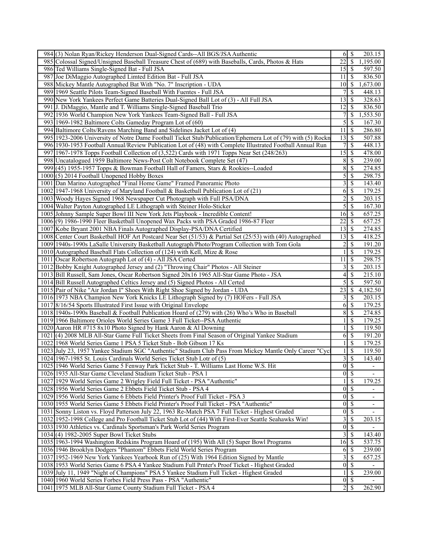|     | 984(3) Nolan Ryan/Rickey Henderson Dual-Signed Cards--All BGS/JSA Authentic                                 |                     | $6 \mid$ \$              | 203.15         |
|-----|-------------------------------------------------------------------------------------------------------------|---------------------|--------------------------|----------------|
|     | 985 Colossal Signed/Unsigned Baseball Treasure Chest of (689) with Baseballs, Cards, Photos & Hats          | 22                  | $\mathcal{S}$            | 1,195.00       |
|     | 986 Ted Williams Single-Signed Bat - Full JSA                                                               | 15                  | l \$                     | 597.50         |
| 987 | Joe DiMaggio Autographed Limted Edition Bat - Full JSA                                                      | 11                  | $\mathcal{S}$            | 836.50         |
|     | 988 Mickey Mantle Autographed Bat With "No. 7" Inscription - UDA                                            | 10                  | -S                       | 1,673.00       |
|     | 989 1969 Seattle Pilots Team-Signed Baseball With Fuentes - Full JSA                                        |                     | \$                       | 448.13         |
|     | 990 New York Yankees Perfect Game Batteries Dual-Signed Ball Lot of (3) - All Full JSA                      | 13                  | $\mathcal{S}$            | 328.63         |
|     | 991 J. DiMaggio, Mantle and T. Williams Single-Signed Baseball Trio                                         | 12                  | $\mathcal{S}$            | 836.50         |
| 992 | 1936 World Champion New York Yankees Team-Signed Ball - Full JSA                                            |                     | \$                       | 1,553.50       |
| 993 | 1969-1982 Baltimore Colts Gameday Program Lot of (60)                                                       | 5                   | \$                       | 167.30         |
|     | 994 Baltimore Colts/Ravens Marching Band and Sidelines Jacket Lot of (4)                                    | 11                  | $\sqrt{3}$               | 286.80         |
|     | 995 1923-2006 University of Notre Dame Football Ticket Stub/Publication/Ephemera Lot of (79) with (5) Rockn | 13                  | $\mathbb{S}$             | 507.88         |
|     | 996 1930-1953 Football Annual/Review Publication Lot of (48) with Complete Illustrated Football Annual Run  | 7                   | $\mathcal{S}$            | 448.13         |
|     | 997 1967-1978 Topps Football Collection of (3,522) Cards with 1971 Topps Near Set (248/263)                 | 15                  | $\mathbf s$              | 478.00         |
|     |                                                                                                             |                     |                          |                |
| 998 | Uncatalogued 1959 Baltimore News-Post Colt Notebook Complete Set (47)                                       | 8                   | \$                       | 239.00         |
| 999 | $(45)$ 1955-1957 Topps & Bowman Football Hall of Famers, Stars & Rookies--Loaded                            | 8                   | -S                       | 274.85         |
|     | 1000 (5) 2014 Football Unopened Hobby Boxes                                                                 | 5                   | $\mathcal{S}$            | 298.75         |
|     | 1001 Dan Marino Autographed "Final Home Game" Framed Panoramic Photo                                        | 3                   | $\mathbb{S}$             | 143.40         |
|     | 1002 1947-1968 University of Maryland Football & Basketball Publication Lot of (21)                         | 6                   | $\mathbb{S}$             | 179.25         |
|     | 1003 Woody Hayes Signed 1968 Newspaper Cut Photograph with Full PSA/DNA                                     | $\overline{c}$      | $\mathcal{S}$            | 203.15         |
|     | 1004 Walter Payton Autographed LE Lithograph with Steiner Holo-Sticker                                      | 5                   | $\overline{\mathcal{S}}$ | 167.30         |
|     | 1005 Johnny Sample Super Bowl III New York Jets Playbook - Incredible Content!                              | 16                  | -\$                      | 657.25         |
|     | 1006(9) 1986-1990 Fleer Basketball Unopened Wax Packs with PSA Graded 1986-87 Fleer                         | $\overline{22}$     | -\$                      | 657.25         |
|     | 1007 Kobe Bryant 2001 NBA Finals Autographed Display-PSA/DNA Certified                                      | 13                  | $\mathbb{S}$             | 274.85         |
|     | 1008 Center Court Basketball HOF Art Postcard Near Set (51/53) & Partial Set (25/53) with (40) Autographed  | 13                  | -\$                      | 418.25         |
|     | 1009 1940s-1990s LaSalle University Basketball Autograph/Photo/Program Collection with Tom Gola             | $\overline{2}$      | $\mathcal{S}$            | 191.20         |
|     | 1010 Autographed Baseball Flats Collection of (124) with Kell, Mize & Rose                                  |                     | $\mathbb{S}$             | 179.25         |
|     | 1011 Oscar Robertson Autograph Lot of (4) - All JSA Certed                                                  | 11                  | \$                       | 298.75         |
|     | 1012 Bobby Knight Autographed Jersey and (2) "Throwing Chair" Photos - All Steiner                          | 3                   | $\mathcal{S}$            | 203.15         |
|     | 1013 Bill Russell, Sam Jones, Oscar Robertson Signed 20x16 1965 All-Star Game Photo - JSA                   | 4                   | $\mathbb{S}$             | 215.10         |
|     | 1014 Bill Russell Autographed Celtics Jersey and (5) Signed Photos - All Certed                             | 5                   | \$                       | 597.50         |
|     | 1015 Pair of Nike "Air Jordan I" Shoes With Right Shoe Signed by Jordan - UDA                               | 23                  | -\$                      | 4,182.50       |
|     | 1016 1973 NBA Champion New York Knicks LE Lithograph Signed by (7) HOFers - Full JSA                        | 3                   | $\mathbb{S}$             | 203.15         |
|     | 1017 8/16/54 Sports Illustrated First Issue with Original Envelope                                          | 6                   | \$                       | 179.25         |
|     | 1018 1940s-1990s Baseball & Football Publication Hoard of (279) with (26) Who's Who in Baseball             | 8                   | -\$                      | 274.85         |
|     | 1019 1966 Baltimore Orioles World Series Game 3 Full Ticket--PSA Authentic                                  |                     | \$                       | 179.25         |
|     | 1020 Aaron HR #715 8x10 Photo Signed by Hank Aaron & Al Downing                                             |                     | \$                       | 119.50         |
|     | 1021 (4) 2008 MLB All-Star Game Full Ticket Sheets from Final Season of Original Yankee Stadium             | 6                   | $\mathbb{S}$             | 191.20         |
|     | 1022 1968 World Series Game 1 PSA 5 Ticket Stub - Bob Gibson 17 Ks                                          |                     | \$                       | 179.25         |
|     | 1023 July 23, 1957 Yankee Stadium SGC "Authentic" Stadium Club Pass From Mickey Mantle Only Career "Cyc     |                     | \$                       | 119.50         |
|     | 1024 1967-1985 St. Louis Cardinals World Series Ticket Stub Lotr of (5)                                     | $\overline{3}$      | $\overline{\mathcal{S}}$ | 143.40         |
|     | 1025 1946 World Series Game 5 Fenway Park Ticket Stub - T. Williams Last Home W.S. Hit                      | $0 \mid \mathsf{S}$ |                          | $\blacksquare$ |
|     | 1026 1935 All-Star Game Cleveland Stadium Ticket Stub - PSA 1                                               | $\overline{0}$      | $\overline{\mathcal{S}}$ |                |
|     | 1027 1929 World Series Game 2 Wrigley Field Full Ticket - PSA "Authentic"                                   | 1                   | <sup>S</sup>             | 179.25         |
|     | 1028 1956 World Series Game 2 Ebbets Field Ticket Stub - PSA 4                                              | $\boldsymbol{0}$    | -\$                      | $\blacksquare$ |
|     | 1029 1956 World Series Game 6 Ebbets Field Printer's Proof Full Ticket - PSA 3                              | $\vert 0 \vert$     | <sup>\$</sup>            | -              |
|     | 1030 1955 World Series Game 5 Ebbets Field Printer's Proof Full Ticket - PSA "Authentic"                    | $\overline{0}$      | $\sqrt{S}$               | ٠              |
|     | 1031 Sonny Liston vs. Floyd Patterson July 22, 1963 Re-Match PSA 7 Full Ticket - Highest Graded             | $\vert 0 \vert$     | $\overline{\mathcal{S}}$ |                |
|     | 1032 1952-1998 College and Pro Football Ticket Stub Lot of (44) With First-Ever Seattle Seahawks Win!       | 3                   | -\$                      | 203.15         |
|     | 1033 1930 Athletics vs. Cardinals Sportsman's Park World Series Program                                     | $\boldsymbol{0}$    | $\overline{\mathcal{S}}$ |                |
|     | 1034(4) 1982-2005 Super Bowl Ticket Stubs                                                                   | 3                   | $\mathcal{S}$            | 143.40         |
|     | 1035 1963-1994 Washington Redskins Program Hoard of (195) With All (5) Super Bowl Programs                  | 16                  | 8                        | 537.75         |
|     | 1036 1946 Brooklyn Dodgers "Phantom" Ebbets Field World Series Program                                      | 6                   | $\sqrt{S}$               | 239.00         |
|     | 1037 1952-1969 New York Yankees Yearbook Run of (25) With 1964 Edition Signed by Mantle                     | 3                   | $\mathbb{S}$             | 657.25         |
|     | 1038 1953 World Series Game 6 PSA 4 Yankee Stadium Full Prnter's Proof Ticket - Highest Graded              | $\vert 0 \vert$     | $\overline{\mathcal{S}}$ |                |
|     | 1039 July 11, 1949 "Night of Champions" PSA 5 Yankee Stadium Full Ticket - Highest Graded                   |                     | S                        | 239.00         |
|     | 1040 1960 World Series Forbes Field Press Pass - PSA "Authentic"                                            | 0                   | $\sqrt{3}$               |                |
|     | 1041 1975 MLB All-Star Game County Stadium Full Ticket - PSA 4                                              |                     | $2\sqrt{3}$              | 262.90         |
|     |                                                                                                             |                     |                          |                |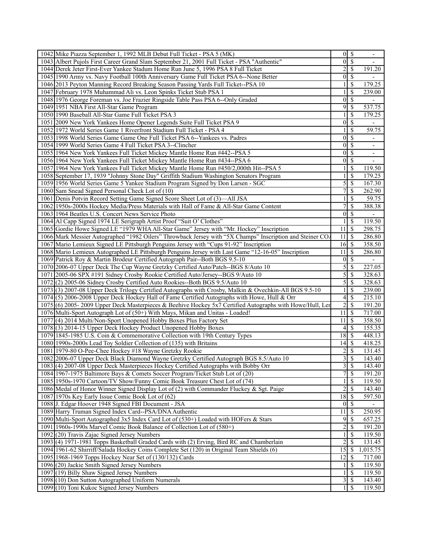| 1042 Mike Piazza September 1, 1992 MLB Debut Full Ticket - PSA 5 (MK)                                                                    | $0 \mid$ \$                 |                          | $\overline{\phantom{a}}$     |
|------------------------------------------------------------------------------------------------------------------------------------------|-----------------------------|--------------------------|------------------------------|
| 1043 Albert Pujols First Career Grand Slam September 21, 2001 Full Ticket - PSA "Authentic"                                              | $\vert 0 \vert$             | $\overline{\mathcal{S}}$ |                              |
| 1044 Derek Jeter First-Ever Yankee Stadum Home Run June 5, 1996 PSA 8 Full Ticket                                                        | 2                           | <sup>\$</sup>            | 191.20                       |
| 1045 1990 Army vs. Navy Football 100th Anniversary Game Full Ticket PSA 6--None Better                                                   | 0                           | $\mathbb{S}$             |                              |
| 1046 2013 Peyton Manning Record Breaking Season Passing Yards Full Ticket--PSA 10                                                        |                             | S                        | 179.25                       |
| 1047 February 1978 Muhammad Ali vs. Leon Spinks Ticket Stub PSA 1                                                                        |                             | \$                       | 239.00                       |
| 1048 1976 George Foreman vs. Joe Frazier Ringside Table Pass PSA 6--Only Graded                                                          | $\mathbf{0}$                | $\overline{\mathcal{S}}$ |                              |
| 1049 1951 NBA First All-Star Game Program                                                                                                | $\overline{9}$              | $\overline{\mathcal{S}}$ | 537.75                       |
| 1050 1990 Baseball All-Star Game Full Ticket PSA 3                                                                                       |                             | $\mathcal{S}$            | 179.25                       |
| 1051 2009 New York Yankees Home Opener Legends Suite Full Ticket PSA 9                                                                   | $\boldsymbol{0}$            | $\mathcal{S}$            | $\overline{\phantom{a}}$     |
| 1052 1972 World Series Game 1 Riverfront Stadium Full Ticket - PSA 4                                                                     |                             | \$                       | 59.75                        |
| 1053 1998 World Series Game Game One Full Ticket PSA 6--Yankees vs. Padres                                                               | $\mathbf{0}$                | $\mathcal{S}$            |                              |
| 1054 1999 World Series Game 4 Full Ticket PSA 3--Clincher                                                                                | $\mathbf{0}$                | $\mathcal{S}$            | $\qquad \qquad \blacksquare$ |
| 1055 1964 New York Yankees Full Ticket Mickey Mantle Home Run #442--PSA 5                                                                | $\vert 0 \vert$             | \$                       | $\overline{\phantom{0}}$     |
| 1056 1964 New York Yankees Full Ticket Mickey Mantle Home Run #434--PSA 6                                                                | $\boldsymbol{0}$            | $\mathcal{S}$            | $\overline{\phantom{0}}$     |
| 1057 1964 New York Yankees Full Ticket Mickey Mantle Home Run #450/2,000th Hit--PSA 5                                                    |                             | \$                       | $\overline{1}19.50$          |
| 1058 September 17, 1939 "Johnny Stone Day" Griffith Stadium Washington Senators Program                                                  |                             | $\mathbb{S}$             | 179.25                       |
| 1059 1956 World Series Game 5 Yankee Stadium Program Signed by Don Larsen - SGC                                                          | 5                           | $\mathcal{S}$            | 167.30                       |
| 1060 Sam Snead Signed Personal Check Lot of (10)                                                                                         | 7                           | $\mathbb{S}$             | 262.90                       |
| 1061 Denis Potvin Record Setting Game Signed Score Sheet Lot of (3)—All JSA                                                              | 1                           | $\mathbb{S}$             | 59.75                        |
| 1062 1950s-2000s Hockey Media/Press Materials with Hall of Fame & All-Star Game Content                                                  | 7                           | $\mathbb{S}$             | 388.38                       |
| 1063 1964 Beatles U.S. Concert News Service Photo                                                                                        | $\boldsymbol{0}$            | $\mathbb{S}$             |                              |
| 1064 Al Capp Signed 1974 LE Serigraph Artist Proof "Suit O' Clothes"                                                                     | 1                           | $\mathcal{S}$            | 119.50                       |
| 1065 Gordie Howe Signed LE "1979 WHA All-Star Game" Jersey with "Mr. Hockey" Inscription                                                 | 11                          | $\mathcal{S}$            | 298.75                       |
| 1066 Mark Messier Autographed "1982 Oilers" Throwback Jersey with "5X Champs" Inscription and Steiner CO.                                | 11                          | -\$                      | 286.80                       |
| 1067 Mario Lemieux Signed LE Pittsburgh Penguins Jersey with "Cups 91-92" Inscription                                                    | 16                          | l \$                     | 358.50                       |
| 1068 Mario Lemieux Autographed LE Pittsburgh Penguins Jersey with Last Game "12-16-05" Inscription                                       | 11                          | \$                       | 286.80                       |
| 1069 Patrick Roy & Martin Brodeur Certified Autograph Pair--Both BGS 9.5-10                                                              | $\overline{0}$              | -S                       |                              |
| 1070 2006-07 Upper Deck The Cup Wayne Gretzky Certified Auto/Patch--BGS 8/Auto 10                                                        | 5                           | -S                       | 227.05                       |
| 1071 2005-06 SPX #191 Sidney Crosby Rookie Certified Auto/Jersey--BGS 9/Auto 10                                                          | 5                           | \$                       | 328.63                       |
| 1072(2) 2005-06 Sidney Crosby Certified Auto Rookies--Both BGS 9.5/Auto 10                                                               | 5                           | -\$                      | 328.63                       |
| 1073 (3) 2007-08 Upper Deck Trilogy Certified Autographs with Crosby, Malkin & Ovechkin-All BGS 9.5-10                                   |                             | $\mathcal{S}$            | 239.00                       |
| 1074(5) 2006-2008 Upper Deck Hockey Hall of Fame Certified Autographs with Howe, Hull & Orr                                              | 4                           | \$                       | 215.10                       |
| 1075 (6) 2005-2009 Upper Deck Masterpieces & Beehive Hockey 5x7 Certified Autographs with Howe/Hull, Ler                                 | 2                           | -S                       | 191.20                       |
| 1076 Multi-Sport Autograph Lot of (50+) With Mays, Mikan and Unitas - Loaded!                                                            | 11                          | <b>S</b>                 | 717.00                       |
| 1077 (4) 2014 Multi/Non-Sport Unopened Hobby Boxes Plus Factory Set                                                                      | 11                          | -S                       | 358.50                       |
| 1078 (3) 2014-15 Upper Deck Hockey Product Unopened Hobby Boxes                                                                          | 4                           | -\$                      | 155.35                       |
| 1079 1845-1985 U.S. Coin & Commemorative Collection with 19th Century Types                                                              | 18                          | 8                        | 448.13                       |
| 1080 1990s-2000s Lead Toy Soldier Collection of (135) with Britains                                                                      | $14 \overline{\smash{)}\,}$ |                          | 418.25                       |
| 1081 1979-80 O-Pee-Chee Hockey #18 Wayne Gretzky Rookie                                                                                  | $\overline{\mathbf{c}}$     | <sup>\$</sup>            | 131.45                       |
| 1082 2006-07 Upper Deck Black Diamond Wayne Gretzky Certified Autograph BGS 8.5/Auto 10                                                  | $\overline{3}$              | $\overline{\mathcal{S}}$ | 143.40                       |
| 1083 (4) 2007-08 Upper Deck Masterpieces Hockey Certified Autographs with Bobby Orr                                                      | 3S                          |                          | 143.40                       |
| 1084 1967-1975 Baltimore Bays & Comets Soccer Program/Ticket Stub Lot of (20)                                                            | 7                           | $\overline{\mathcal{S}}$ | 191.20                       |
| 1085 1950s-1970 Cartoon/TV Show/Funny Comic Book Treasure Chest Lot of (74)                                                              |                             | -\$                      | 119.50                       |
| 1086 Medal of Honor Winner Signed Display Lot of (2) with Commander Fluckey & Sgt. Paige                                                 | $\overline{c}$              | $\mathcal{S}$            | 143.40                       |
| 1087 1970s Key Early Issue Comic Book Lot of (62)                                                                                        | 18                          | -S                       | 597.50                       |
| 1088 J. Edgar Hoover 1948 Signed FBI Document - JSA                                                                                      | $\vert 0 \vert$             | 8                        | $\overline{\phantom{a}}$     |
| 1089 Harry Truman Signed Index Card--PSA/DNA Authentic                                                                                   | 11                          | $\mathcal{S}$            | 250.95                       |
| 1090 Multi-Sport Autographed 3x5 Index Card Lot of (530+) Loaded with HOFers & Stars                                                     | 9                           | -\$                      | 657.25                       |
| 1091 1960s-1990s Marvel Comic Book Balance of Collection Lot of (580+)                                                                   |                             | $\mathcal{S}$            | 191.20                       |
|                                                                                                                                          | $\overline{c}$              | $\mathbb{S}$             | 119.50                       |
| 1092 (20) Travis Zajac Signed Jersey Numbers<br>1093(4) 1971-1981 Topps Basketball Graded Cards with (2) Erving, Bird RC and Chamberlain | $\overline{2}$              | S                        | 131.45                       |
|                                                                                                                                          | 15                          |                          |                              |
| 1094 1961-62 Shirriff/Salada Hockey Coins Complete Set (120) in Original Team Shields (6)                                                |                             | - S                      | 1,015.75                     |
| 1095 1968-1969 Topps Hockey Near Set of (130/132) Cards                                                                                  | 12                          | $\mathcal{S}$            | 717.00                       |
| 1096 (20) Jackie Smith Signed Jersey Numbers<br>1097 (19) Billy Shaw Signed Jersey Numbers                                               |                             | \$<br>-S                 | 119.50<br>119.50             |
| 1098 (10) Don Sutton Autographed Uniform Numerals                                                                                        |                             | $\mathbb{S}$             | 143.40                       |
|                                                                                                                                          | 3                           | - \$                     |                              |
| 1099 (10) Toni Kukoc Signed Jersey Numbers                                                                                               | $\frac{1}{2}$               |                          | 119.50                       |